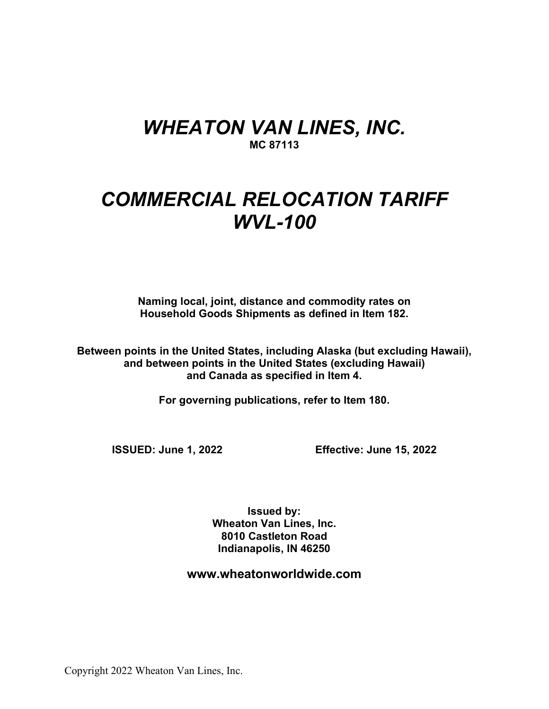# *WHEATON VAN LINES, INC.* **MC 87113**

# *COMMERCIAL RELOCATION TARIFF WVL-100*

**Naming local, joint, distance and commodity rates on Household Goods Shipments as defined in Item 182.**

**Between points in the United States, including Alaska (but excluding Hawaii), and between points in the United States (excluding Hawaii) and Canada as specified in Item 4.**

**For governing publications, refer to Item 180.**

**ISSUED: June 1, 2022 Effective: June 15, 2022**

**Issued by: Wheaton Van Lines, Inc. 8010 Castleton Road Indianapolis, IN 46250**

**www.wheatonworldwide.com**

Copyright 2022 Wheaton Van Lines, Inc.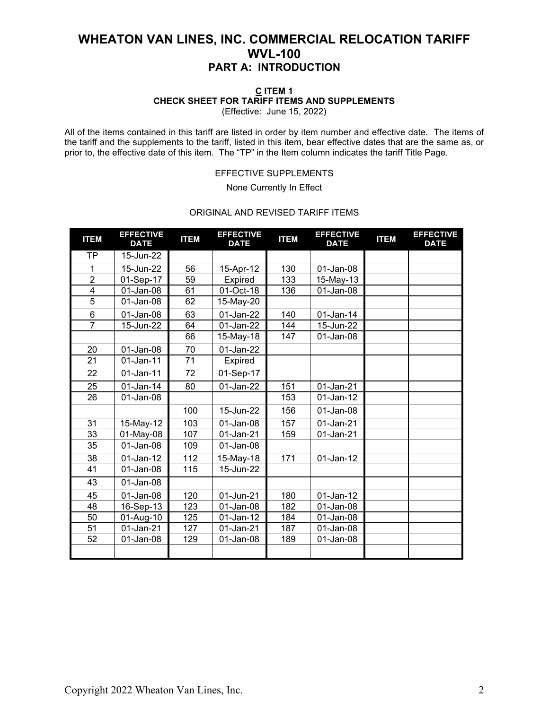### **C ITEM 1 CHECK SHEET FOR TARIFF ITEMS AND SUPPLEMENTS**

(Effective: June 15, 2022)

All of the items contained in this tariff are listed in order by item number and effective date. The items of the tariff and the supplements to the tariff, listed in this item, bear effective dates that are the same as, or prior to, the effective date of this item. The "TP" in the Item column indicates the tariff Title Page.

#### EFFECTIVE SUPPLEMENTS

None Currently In Effect

### ORIGINAL AND REVISED TARIFF ITEMS

| <b>ITEM</b>     | <b>EFFECTIVE</b><br><b>DATE</b> | <b>ITEM</b>     | <b>EFFECTIVE</b><br><b>DATE</b> | <b>ITEM</b> | <b>EFFECTIVE</b><br><b>DATE</b> | <b>ITEM</b> | <b>EFFECTIVE</b><br><b>DATE</b> |
|-----------------|---------------------------------|-----------------|---------------------------------|-------------|---------------------------------|-------------|---------------------------------|
| <b>TP</b>       | 15-Jun-22                       |                 |                                 |             |                                 |             |                                 |
| 1               | 15-Jun-22                       | 56              | 15-Apr-12                       | 130         | 01-Jan-08                       |             |                                 |
| $\overline{2}$  | 01-Sep-17                       | 59              | Expired                         | 133         | 15-May-13                       |             |                                 |
| $\overline{4}$  | 01-Jan-08                       | 61              | 01-Oct-18                       | 136         | 01-Jan-08                       |             |                                 |
| $\overline{5}$  | 01-Jan-08                       | 62              | 15-May-20                       |             |                                 |             |                                 |
| $\,6$           | 01-Jan-08                       | 63              | 01-Jan-22                       | 140         | $01$ -Jan-14                    |             |                                 |
| $\overline{7}$  | 15-Jun-22                       | 64              | 01-Jan-22                       | 144         | 15-Jun-22                       |             |                                 |
|                 |                                 | 66              | 15-May-18                       | 147         | 01-Jan-08                       |             |                                 |
| 20              | 01-Jan-08                       | 70              | 01-Jan-22                       |             |                                 |             |                                 |
| $\overline{21}$ | 01-Jan-11                       | $\overline{71}$ | Expired                         |             |                                 |             |                                 |
| 22              | 01-Jan-11                       | 72              | 01-Sep-17                       |             |                                 |             |                                 |
| 25              | $01$ -Jan-14                    | 80              | 01-Jan-22                       | 151         | 01-Jan-21                       |             |                                 |
| 26              | 01-Jan-08                       |                 |                                 | 153         | 01-Jan-12                       |             |                                 |
|                 |                                 | 100             | 15-Jun-22                       | 156         | 01-Jan-08                       |             |                                 |
| 31              | 15-May-12                       | 103             | 01-Jan-08                       | 157         | 01-Jan-21                       |             |                                 |
| 33              | 01-May-08                       | 107             | 01-Jan-21                       | 159         | 01-Jan-21                       |             |                                 |
| 35              | 01-Jan-08                       | 109             | 01-Jan-08                       |             |                                 |             |                                 |
| 38              | $01$ -Jan-12                    | 112             | 15-May-18                       | 171         | 01-Jan-12                       |             |                                 |
| 41              | 01-Jan-08                       | 115             | 15-Jun-22                       |             |                                 |             |                                 |
| 43              | 01-Jan-08                       |                 |                                 |             |                                 |             |                                 |
| 45              | 01-Jan-08                       | 120             | 01-Jun-21                       | 180         | $01$ -Jan-12                    |             |                                 |
| 48              | 16-Sep-13                       | 123             | 01-Jan-08                       | 182         | 01-Jan-08                       |             |                                 |
| 50              | 01-Aug-10                       | 125             | 01-Jan-12                       | 184         | 01-Jan-08                       |             |                                 |
| 51              | 01-Jan-21                       | 127             | 01-Jan-21                       | 187         | 01-Jan-08                       |             |                                 |
| 52              | 01-Jan-08                       | 129             | 01-Jan-08                       | 189         | 01-Jan-08                       |             |                                 |
|                 |                                 |                 |                                 |             |                                 |             |                                 |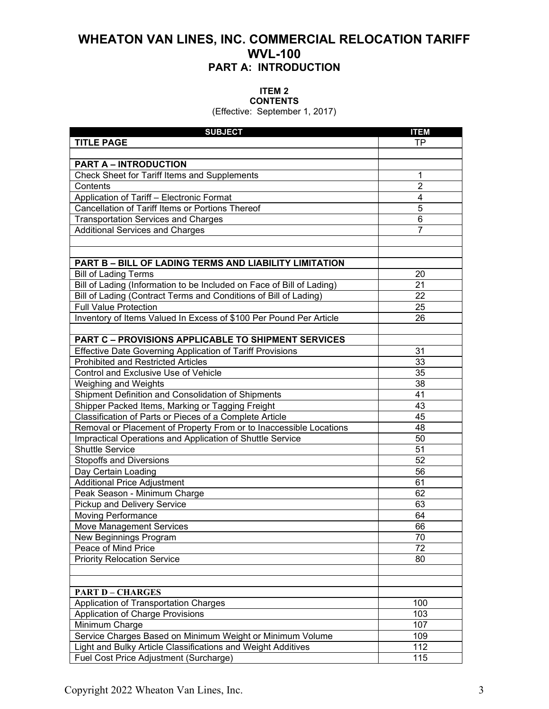#### **ITEM 2 CONTENTS**

(Effective: September 1, 2017)

| <b>SUBJECT</b>                                                        | <b>ITEM</b>    |
|-----------------------------------------------------------------------|----------------|
| <b>TITLE PAGE</b>                                                     | TP.            |
|                                                                       |                |
| <b>PART A - INTRODUCTION</b>                                          |                |
| Check Sheet for Tariff Items and Supplements                          | 1              |
| Contents                                                              | $\overline{2}$ |
| Application of Tariff - Electronic Format                             | 4              |
| Cancellation of Tariff Items or Portions Thereof                      | 5              |
| <b>Transportation Services and Charges</b>                            | 6              |
| <b>Additional Services and Charges</b>                                | 7              |
|                                                                       |                |
|                                                                       |                |
| <b>PART B - BILL OF LADING TERMS AND LIABILITY LIMITATION</b>         |                |
| <b>Bill of Lading Terms</b>                                           | 20             |
| Bill of Lading (Information to be Included on Face of Bill of Lading) | 21             |
| Bill of Lading (Contract Terms and Conditions of Bill of Lading)      | 22             |
| <b>Full Value Protection</b>                                          | 25             |
| Inventory of Items Valued In Excess of \$100 Per Pound Per Article    | 26             |
|                                                                       |                |
| <b>PART C - PROVISIONS APPLICABLE TO SHIPMENT SERVICES</b>            |                |
| <b>Effective Date Governing Application of Tariff Provisions</b>      | 31             |
| <b>Prohibited and Restricted Articles</b>                             | 33             |
| Control and Exclusive Use of Vehicle                                  | 35             |
| Weighing and Weights                                                  | 38             |
| Shipment Definition and Consolidation of Shipments                    | 41             |
| Shipper Packed Items, Marking or Tagging Freight                      | 43             |
| Classification of Parts or Pieces of a Complete Article               | 45             |
| Removal or Placement of Property From or to Inaccessible Locations    | 48             |
| Impractical Operations and Application of Shuttle Service             | 50             |
| <b>Shuttle Service</b>                                                | 51             |
| <b>Stopoffs and Diversions</b>                                        | 52             |
| Day Certain Loading                                                   | 56             |
| <b>Additional Price Adjustment</b>                                    | 61             |
| Peak Season - Minimum Charge                                          | 62             |
| Pickup and Delivery Service                                           | 63             |
| <b>Moving Performance</b>                                             | 64             |
| Move Management Services                                              | 66             |
| New Beginnings Program                                                | 70             |
| Peace of Mind Price                                                   | 72             |
| <b>Priority Relocation Service</b>                                    | 80             |
|                                                                       |                |
|                                                                       |                |
| <b>PART D - CHARGES</b>                                               |                |
| Application of Transportation Charges                                 | 100            |
| Application of Charge Provisions                                      | 103            |
| Minimum Charge                                                        | 107            |
| Service Charges Based on Minimum Weight or Minimum Volume             | 109            |
| Light and Bulky Article Classifications and Weight Additives          | 112            |
| Fuel Cost Price Adjustment (Surcharge)                                | 115            |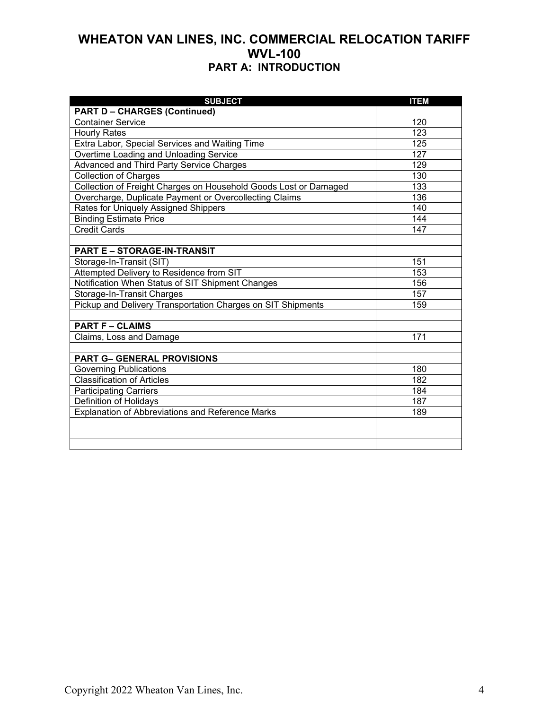| <b>SUBJECT</b>                                                   | <b>ITEM</b>      |
|------------------------------------------------------------------|------------------|
| <b>PART D - CHARGES (Continued)</b>                              |                  |
| <b>Container Service</b>                                         | 120              |
| <b>Hourly Rates</b>                                              | 123              |
| Extra Labor, Special Services and Waiting Time                   | 125              |
| Overtime Loading and Unloading Service                           | 127              |
| <b>Advanced and Third Party Service Charges</b>                  | 129              |
| <b>Collection of Charges</b>                                     | 130              |
| Collection of Freight Charges on Household Goods Lost or Damaged | 133              |
| Overcharge, Duplicate Payment or Overcollecting Claims           | 136              |
| Rates for Uniquely Assigned Shippers                             | 140              |
| <b>Binding Estimate Price</b>                                    | 144              |
| <b>Credit Cards</b>                                              | 147              |
|                                                                  |                  |
| <b>PART E - STORAGE-IN-TRANSIT</b>                               |                  |
| Storage-In-Transit (SIT)                                         | 151              |
| Attempted Delivery to Residence from SIT                         | 153              |
| Notification When Status of SIT Shipment Changes                 | 156              |
| Storage-In-Transit Charges                                       | 157              |
| Pickup and Delivery Transportation Charges on SIT Shipments      | 159              |
|                                                                  |                  |
| <b>PART F - CLAIMS</b>                                           |                  |
| Claims, Loss and Damage                                          | 171              |
|                                                                  |                  |
| <b>PART G- GENERAL PROVISIONS</b>                                |                  |
| <b>Governing Publications</b>                                    | 180              |
| <b>Classification of Articles</b>                                | $\overline{182}$ |
| <b>Participating Carriers</b>                                    | 184              |
| Definition of Holidays                                           | 187              |
| <b>Explanation of Abbreviations and Reference Marks</b>          | 189              |
|                                                                  |                  |
|                                                                  |                  |
|                                                                  |                  |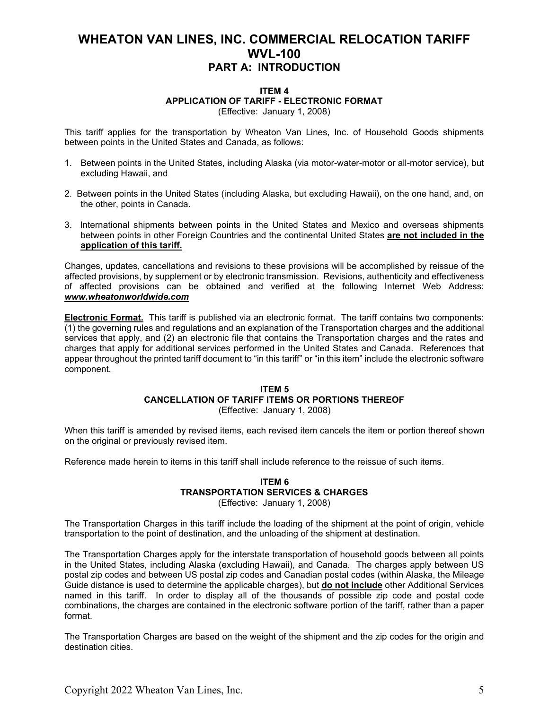#### **ITEM 4 APPLICATION OF TARIFF - ELECTRONIC FORMAT** (Effective: January 1, 2008)

This tariff applies for the transportation by Wheaton Van Lines, Inc. of Household Goods shipments between points in the United States and Canada, as follows:

- 1. Between points in the United States, including Alaska (via motor-water-motor or all-motor service), but excluding Hawaii, and
- 2. Between points in the United States (including Alaska, but excluding Hawaii), on the one hand, and, on the other, points in Canada.
- 3. International shipments between points in the United States and Mexico and overseas shipments between points in other Foreign Countries and the continental United States **are not included in the application of this tariff.**

Changes, updates, cancellations and revisions to these provisions will be accomplished by reissue of the affected provisions, by supplement or by electronic transmission. Revisions, authenticity and effectiveness of affected provisions can be obtained and verified at the following Internet Web Address: *www.wheatonworldwide.com* 

**Electronic Format.** This tariff is published via an electronic format. The tariff contains two components: (1) the governing rules and regulations and an explanation of the Transportation charges and the additional services that apply, and (2) an electronic file that contains the Transportation charges and the rates and charges that apply for additional services performed in the United States and Canada. References that appear throughout the printed tariff document to "in this tariff" or "in this item" include the electronic software component.

### **ITEM 5 CANCELLATION OF TARIFF ITEMS OR PORTIONS THEREOF**

(Effective: January 1, 2008)

When this tariff is amended by revised items, each revised item cancels the item or portion thereof shown on the original or previously revised item.

Reference made herein to items in this tariff shall include reference to the reissue of such items.

### **ITEM 6 TRANSPORTATION SERVICES & CHARGES**

(Effective: January 1, 2008)

The Transportation Charges in this tariff include the loading of the shipment at the point of origin, vehicle transportation to the point of destination, and the unloading of the shipment at destination.

The Transportation Charges apply for the interstate transportation of household goods between all points in the United States, including Alaska (excluding Hawaii), and Canada. The charges apply between US postal zip codes and between US postal zip codes and Canadian postal codes (within Alaska, the Mileage Guide distance is used to determine the applicable charges), but **do not include** other Additional Services named in this tariff. In order to display all of the thousands of possible zip code and postal code combinations, the charges are contained in the electronic software portion of the tariff, rather than a paper format.

The Transportation Charges are based on the weight of the shipment and the zip codes for the origin and destination cities.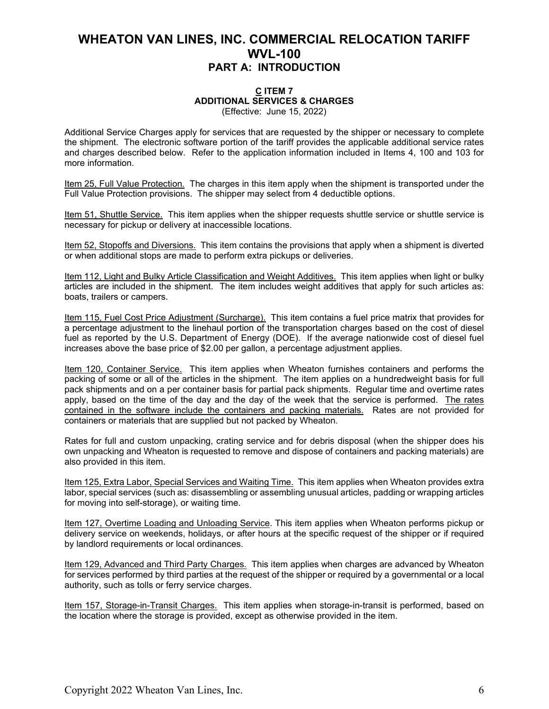#### **C ITEM 7 ADDITIONAL SERVICES & CHARGES** (Effective: June 15, 2022)

Additional Service Charges apply for services that are requested by the shipper or necessary to complete the shipment. The electronic software portion of the tariff provides the applicable additional service rates and charges described below. Refer to the application information included in Items 4, 100 and 103 for more information.

Item 25, Full Value Protection. The charges in this item apply when the shipment is transported under the Full Value Protection provisions. The shipper may select from 4 deductible options.

Item 51, Shuttle Service. This item applies when the shipper requests shuttle service or shuttle service is necessary for pickup or delivery at inaccessible locations.

Item 52, Stopoffs and Diversions. This item contains the provisions that apply when a shipment is diverted or when additional stops are made to perform extra pickups or deliveries.

Item 112, Light and Bulky Article Classification and Weight Additives. This item applies when light or bulky articles are included in the shipment. The item includes weight additives that apply for such articles as: boats, trailers or campers.

Item 115, Fuel Cost Price Adjustment (Surcharge). This item contains a fuel price matrix that provides for a percentage adjustment to the linehaul portion of the transportation charges based on the cost of diesel fuel as reported by the U.S. Department of Energy (DOE). If the average nationwide cost of diesel fuel increases above the base price of \$2.00 per gallon, a percentage adjustment applies.

Item 120, Container Service. This item applies when Wheaton furnishes containers and performs the packing of some or all of the articles in the shipment. The item applies on a hundredweight basis for full pack shipments and on a per container basis for partial pack shipments. Regular time and overtime rates apply, based on the time of the day and the day of the week that the service is performed. The rates contained in the software include the containers and packing materials. Rates are not provided for containers or materials that are supplied but not packed by Wheaton.

Rates for full and custom unpacking, crating service and for debris disposal (when the shipper does his own unpacking and Wheaton is requested to remove and dispose of containers and packing materials) are also provided in this item.

Item 125, Extra Labor, Special Services and Waiting Time. This item applies when Wheaton provides extra labor, special services (such as: disassembling or assembling unusual articles, padding or wrapping articles for moving into self-storage), or waiting time.

Item 127, Overtime Loading and Unloading Service. This item applies when Wheaton performs pickup or delivery service on weekends, holidays, or after hours at the specific request of the shipper or if required by landlord requirements or local ordinances.

Item 129, Advanced and Third Party Charges. This item applies when charges are advanced by Wheaton for services performed by third parties at the request of the shipper or required by a governmental or a local authority, such as tolls or ferry service charges.

Item 157, Storage-in-Transit Charges. This item applies when storage-in-transit is performed, based on the location where the storage is provided, except as otherwise provided in the item.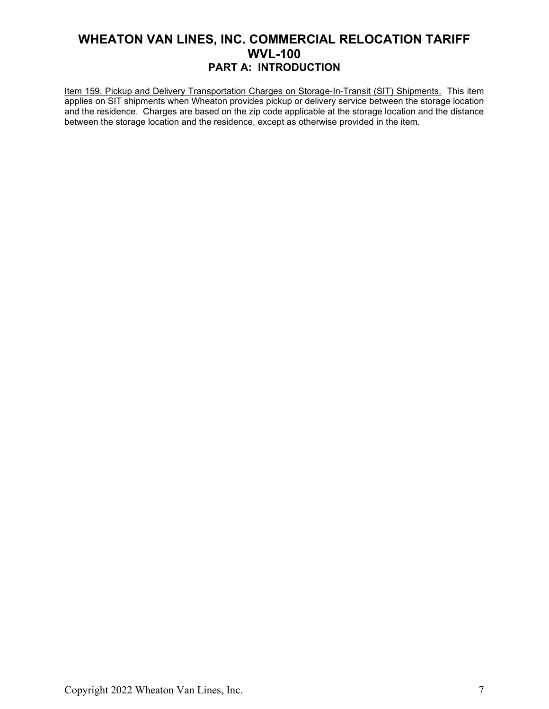Item 159, Pickup and Delivery Transportation Charges on Storage-In-Transit (SIT) Shipments. This item applies on SIT shipments when Wheaton provides pickup or delivery service between the storage location and the residence. Charges are based on the zip code applicable at the storage location and the distance between the storage location and the residence, except as otherwise provided in the item.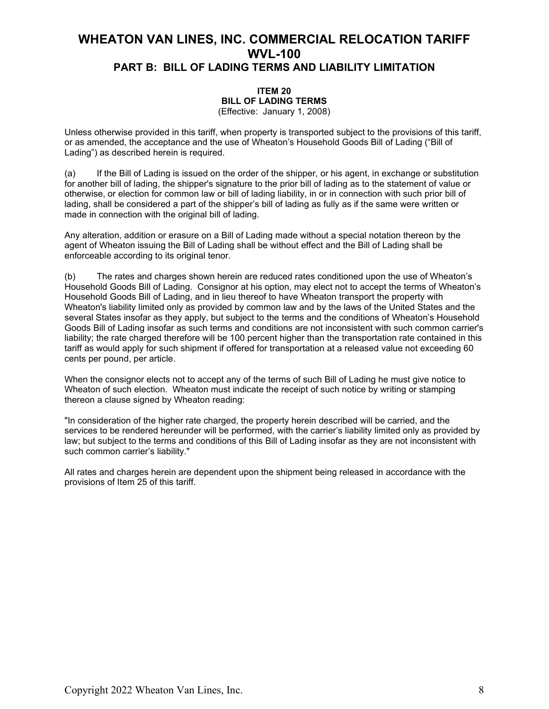### **WHEATON VAN LINES, INC. COMMERCIAL RELOCATION TARIFF WVL-100 PART B: BILL OF LADING TERMS AND LIABILITY LIMITATION**

#### **ITEM 20 BILL OF LADING TERMS**  (Effective: January 1, 2008)

Unless otherwise provided in this tariff, when property is transported subject to the provisions of this tariff, or as amended, the acceptance and the use of Wheaton's Household Goods Bill of Lading ("Bill of Lading") as described herein is required.

(a) If the Bill of Lading is issued on the order of the shipper, or his agent, in exchange or substitution for another bill of lading, the shipper's signature to the prior bill of lading as to the statement of value or otherwise, or election for common law or bill of lading liability, in or in connection with such prior bill of lading, shall be considered a part of the shipper's bill of lading as fully as if the same were written or made in connection with the original bill of lading.

Any alteration, addition or erasure on a Bill of Lading made without a special notation thereon by the agent of Wheaton issuing the Bill of Lading shall be without effect and the Bill of Lading shall be enforceable according to its original tenor.

(b) The rates and charges shown herein are reduced rates conditioned upon the use of Wheaton's Household Goods Bill of Lading. Consignor at his option, may elect not to accept the terms of Wheaton's Household Goods Bill of Lading, and in lieu thereof to have Wheaton transport the property with Wheaton's liability limited only as provided by common law and by the laws of the United States and the several States insofar as they apply, but subject to the terms and the conditions of Wheaton's Household Goods Bill of Lading insofar as such terms and conditions are not inconsistent with such common carrier's liability; the rate charged therefore will be 100 percent higher than the transportation rate contained in this tariff as would apply for such shipment if offered for transportation at a released value not exceeding 60 cents per pound, per article.

When the consignor elects not to accept any of the terms of such Bill of Lading he must give notice to Wheaton of such election. Wheaton must indicate the receipt of such notice by writing or stamping thereon a clause signed by Wheaton reading:

"In consideration of the higher rate charged, the property herein described will be carried, and the services to be rendered hereunder will be performed, with the carrier's liability limited only as provided by law; but subject to the terms and conditions of this Bill of Lading insofar as they are not inconsistent with such common carrier's liability."

All rates and charges herein are dependent upon the shipment being released in accordance with the provisions of Item 25 of this tariff.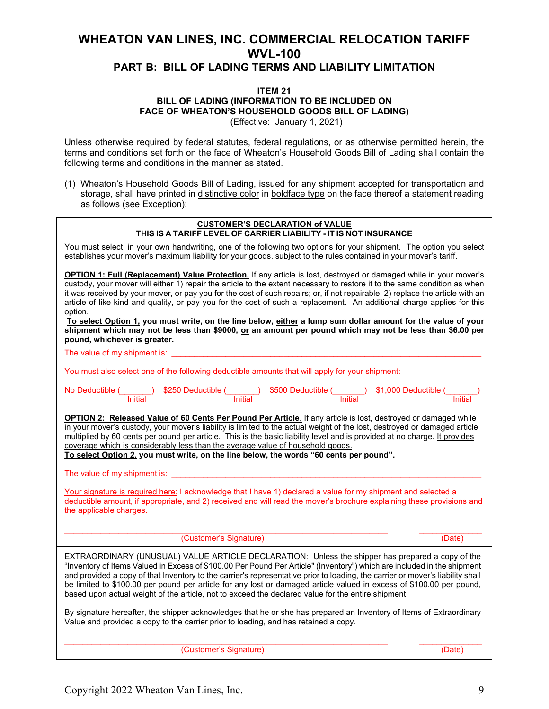### **PART B: BILL OF LADING TERMS AND LIABILITY LIMITATION**

#### **ITEM 21**

**BILL OF LADING (INFORMATION TO BE INCLUDED ON FACE OF WHEATON'S HOUSEHOLD GOODS BILL OF LADING)**

(Effective: January 1, 2021)

Unless otherwise required by federal statutes, federal regulations, or as otherwise permitted herein, the terms and conditions set forth on the face of Wheaton's Household Goods Bill of Lading shall contain the following terms and conditions in the manner as stated.

(1) Wheaton's Household Goods Bill of Lading, issued for any shipment accepted for transportation and storage, shall have printed in distinctive color in boldface type on the face thereof a statement reading as follows (see Exception):

| <b>CUSTOMER'S DECLARATION of VALUE</b><br>THIS IS A TARIFF LEVEL OF CARRIER LIABILITY - IT IS NOT INSURANCE                                                                                                                                                                                                                                                                                                                                                                                                                                                                                                                                                                                                                                                                             |  |  |  |  |  |  |
|-----------------------------------------------------------------------------------------------------------------------------------------------------------------------------------------------------------------------------------------------------------------------------------------------------------------------------------------------------------------------------------------------------------------------------------------------------------------------------------------------------------------------------------------------------------------------------------------------------------------------------------------------------------------------------------------------------------------------------------------------------------------------------------------|--|--|--|--|--|--|
| You must select, in your own handwriting, one of the following two options for your shipment. The option you select<br>establishes your mover's maximum liability for your goods, subject to the rules contained in your mover's tariff.                                                                                                                                                                                                                                                                                                                                                                                                                                                                                                                                                |  |  |  |  |  |  |
| <b>OPTION 1: Full (Replacement) Value Protection.</b> If any article is lost, destroyed or damaged while in your mover's<br>custody, your mover will either 1) repair the article to the extent necessary to restore it to the same condition as when<br>it was received by your mover, or pay you for the cost of such repairs; or, if not repairable, 2) replace the article with an<br>article of like kind and quality, or pay you for the cost of such a replacement. An additional charge applies for this<br>option.<br>To select Option 1, you must write, on the line below, either a lump sum dollar amount for the value of your<br>shipment which may not be less than \$9000, or an amount per pound which may not be less than \$6.00 per<br>pound, whichever is greater. |  |  |  |  |  |  |
| The value of my shipment is:<br><u> 1980 - Jan Stein Harry Harry Harry Harry Harry Harry Harry Harry Harry Harry Harry Harry Harry Harry</u>                                                                                                                                                                                                                                                                                                                                                                                                                                                                                                                                                                                                                                            |  |  |  |  |  |  |
| You must also select one of the following deductible amounts that will apply for your shipment:                                                                                                                                                                                                                                                                                                                                                                                                                                                                                                                                                                                                                                                                                         |  |  |  |  |  |  |
| No Deductible (September 2500 Deductible (September 2500 Deductible (September 2500 Deductible (September 250<br>Thitial Thitial Initial Initial Initial Initial Initial Initial Initial Initial Initial                                                                                                                                                                                                                                                                                                                                                                                                                                                                                                                                                                                |  |  |  |  |  |  |
| OPTION 2: Released Value of 60 Cents Per Pound Per Article. If any article is lost, destroyed or damaged while<br>in your mover's custody, your mover's liability is limited to the actual weight of the lost, destroyed or damaged article<br>multiplied by 60 cents per pound per article. This is the basic liability level and is provided at no charge. It provides<br>coverage which is considerably less than the average value of household goods.<br>To select Option 2, you must write, on the line below, the words "60 cents per pound".                                                                                                                                                                                                                                    |  |  |  |  |  |  |
| The value of my shipment is:                                                                                                                                                                                                                                                                                                                                                                                                                                                                                                                                                                                                                                                                                                                                                            |  |  |  |  |  |  |
| Your signature is required here: I acknowledge that I have 1) declared a value for my shipment and selected a<br>deductible amount, if appropriate, and 2) received and will read the mover's brochure explaining these provisions and<br>the applicable charges.                                                                                                                                                                                                                                                                                                                                                                                                                                                                                                                       |  |  |  |  |  |  |
| (Customer's Signature)<br>(Date)                                                                                                                                                                                                                                                                                                                                                                                                                                                                                                                                                                                                                                                                                                                                                        |  |  |  |  |  |  |
| EXTRAORDINARY (UNUSUAL) VALUE ARTICLE DECLARATION: Unless the shipper has prepared a copy of the<br>"Inventory of Items Valued in Excess of \$100.00 Per Pound Per Article" (Inventory") which are included in the shipment<br>and provided a copy of that Inventory to the carrier's representative prior to loading, the carrier or mover's liability shall<br>be limited to \$100.00 per pound per article for any lost or damaged article valued in excess of \$100.00 per pound,<br>based upon actual weight of the article, not to exceed the declared value for the entire shipment.                                                                                                                                                                                             |  |  |  |  |  |  |
| By signature hereafter, the shipper acknowledges that he or she has prepared an Inventory of Items of Extraordinary<br>Value and provided a copy to the carrier prior to loading, and has retained a copy.                                                                                                                                                                                                                                                                                                                                                                                                                                                                                                                                                                              |  |  |  |  |  |  |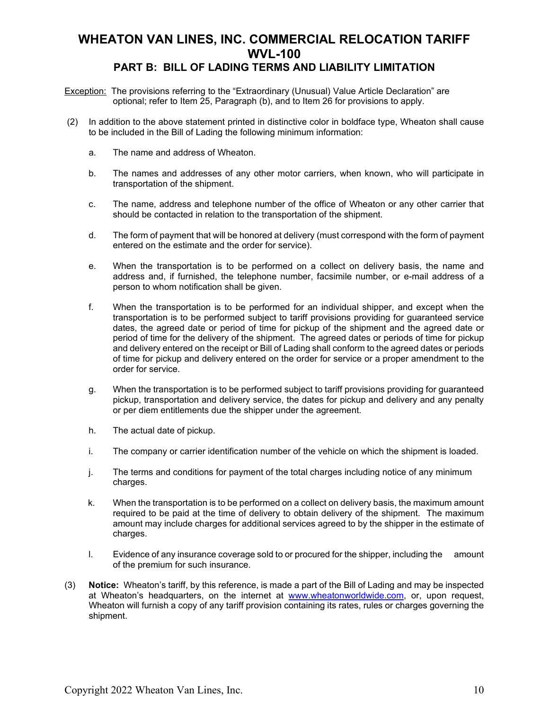### **PART B: BILL OF LADING TERMS AND LIABILITY LIMITATION**

- **Exception:** The provisions referring to the "Extraordinary (Unusual) Value Article Declaration" are optional; refer to Item 25, Paragraph (b), and to Item 26 for provisions to apply.
- (2) In addition to the above statement printed in distinctive color in boldface type, Wheaton shall cause to be included in the Bill of Lading the following minimum information:
	- a. The name and address of Wheaton.
	- b. The names and addresses of any other motor carriers, when known, who will participate in transportation of the shipment.
	- c. The name, address and telephone number of the office of Wheaton or any other carrier that should be contacted in relation to the transportation of the shipment.
	- d. The form of payment that will be honored at delivery (must correspond with the form of payment entered on the estimate and the order for service).
	- e. When the transportation is to be performed on a collect on delivery basis, the name and address and, if furnished, the telephone number, facsimile number, or e-mail address of a person to whom notification shall be given.
	- f. When the transportation is to be performed for an individual shipper, and except when the transportation is to be performed subject to tariff provisions providing for guaranteed service dates, the agreed date or period of time for pickup of the shipment and the agreed date or period of time for the delivery of the shipment. The agreed dates or periods of time for pickup and delivery entered on the receipt or Bill of Lading shall conform to the agreed dates or periods of time for pickup and delivery entered on the order for service or a proper amendment to the order for service.
	- g. When the transportation is to be performed subject to tariff provisions providing for guaranteed pickup, transportation and delivery service, the dates for pickup and delivery and any penalty or per diem entitlements due the shipper under the agreement.
	- h. The actual date of pickup.
	- i. The company or carrier identification number of the vehicle on which the shipment is loaded.
	- j. The terms and conditions for payment of the total charges including notice of any minimum charges.
	- k. When the transportation is to be performed on a collect on delivery basis, the maximum amount required to be paid at the time of delivery to obtain delivery of the shipment. The maximum amount may include charges for additional services agreed to by the shipper in the estimate of charges.
	- l. Evidence of any insurance coverage sold to or procured for the shipper, including the amount of the premium for such insurance.
- (3) **Notice:** Wheaton's tariff, by this reference, is made a part of the Bill of Lading and may be inspected at Wheaton's headquarters, on the internet at [www.wheatonworldwide.com,](http://www.wheatonworldwide.com/) or, upon request, Wheaton will furnish a copy of any tariff provision containing its rates, rules or charges governing the shipment.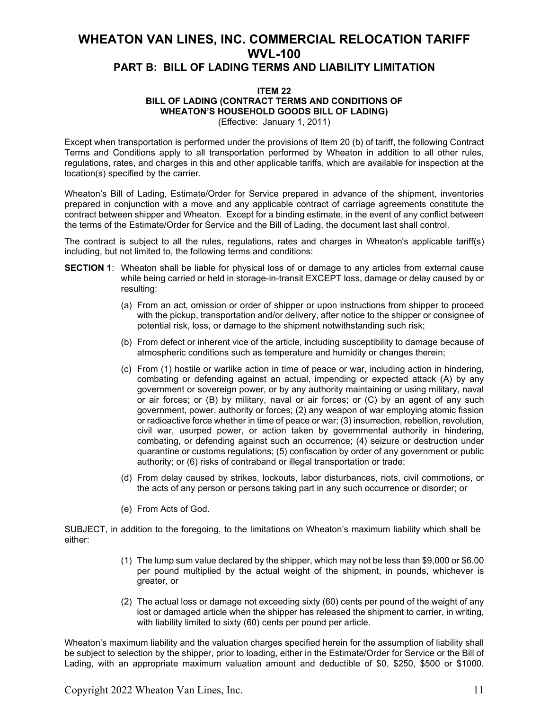### **WHEATON VAN LINES, INC. COMMERCIAL RELOCATION TARIFF WVL-100 PART B: BILL OF LADING TERMS AND LIABILITY LIMITATION**

#### **ITEM 22 BILL OF LADING (CONTRACT TERMS AND CONDITIONS OF WHEATON'S HOUSEHOLD GOODS BILL OF LADING)** (Effective: January 1, 2011)

Except when transportation is performed under the provisions of Item 20 (b) of tariff, the following Contract Terms and Conditions apply to all transportation performed by Wheaton in addition to all other rules, regulations, rates, and charges in this and other applicable tariffs, which are available for inspection at the location(s) specified by the carrier.

Wheaton's Bill of Lading, Estimate/Order for Service prepared in advance of the shipment, inventories prepared in conjunction with a move and any applicable contract of carriage agreements constitute the contract between shipper and Wheaton. Except for a binding estimate, in the event of any conflict between the terms of the Estimate/Order for Service and the Bill of Lading, the document last shall control.

The contract is subject to all the rules, regulations, rates and charges in Wheaton's applicable tariff(s) including, but not limited to, the following terms and conditions:

- **SECTION 1**: Wheaton shall be liable for physical loss of or damage to any articles from external cause while being carried or held in storage-in-transit EXCEPT loss, damage or delay caused by or resulting:
	- (a) From an act, omission or order of shipper or upon instructions from shipper to proceed with the pickup, transportation and/or delivery, after notice to the shipper or consignee of potential risk, loss, or damage to the shipment notwithstanding such risk;
	- (b) From defect or inherent vice of the article, including susceptibility to damage because of atmospheric conditions such as temperature and humidity or changes therein;
	- (c) From (1) hostile or warlike action in time of peace or war, including action in hindering, combating or defending against an actual, impending or expected attack (A) by any government or sovereign power, or by any authority maintaining or using military, naval or air forces; or (B) by military, naval or air forces; or (C) by an agent of any such government, power, authority or forces; (2) any weapon of war employing atomic fission or radioactive force whether in time of peace or war; (3) insurrection, rebellion, revolution, civil war, usurped power, or action taken by governmental authority in hindering, combating, or defending against such an occurrence; (4) seizure or destruction under quarantine or customs regulations; (5) confiscation by order of any government or public authority; or (6) risks of contraband or illegal transportation or trade;
	- (d) From delay caused by strikes, lockouts, labor disturbances, riots, civil commotions, or the acts of any person or persons taking part in any such occurrence or disorder; or
	- (e) From Acts of God.

SUBJECT, in addition to the foregoing, to the limitations on Wheaton's maximum liability which shall be either:

- (1) The lump sum value declared by the shipper, which may not be less than \$9,000 or \$6.00 per pound multiplied by the actual weight of the shipment, in pounds, whichever is greater, or
- (2) The actual loss or damage not exceeding sixty (60) cents per pound of the weight of any lost or damaged article when the shipper has released the shipment to carrier, in writing, with liability limited to sixty (60) cents per pound per article.

Wheaton's maximum liability and the valuation charges specified herein for the assumption of liability shall be subject to selection by the shipper, prior to loading, either in the Estimate/Order for Service or the Bill of Lading, with an appropriate maximum valuation amount and deductible of \$0, \$250, \$500 or \$1000.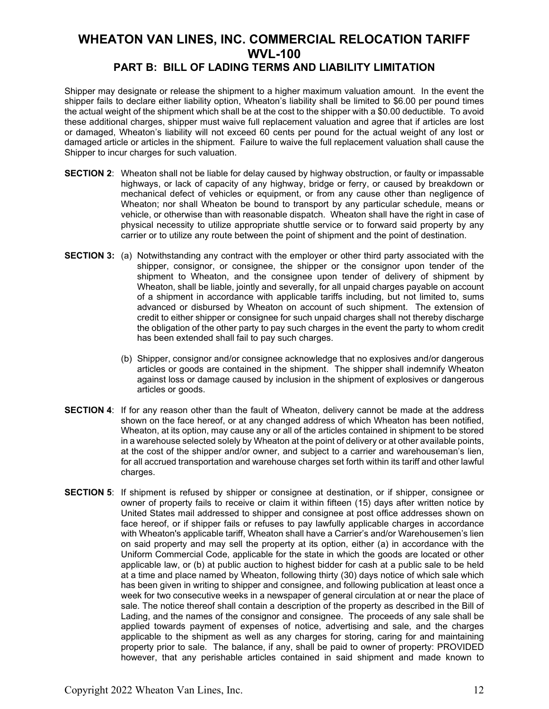### **PART B: BILL OF LADING TERMS AND LIABILITY LIMITATION**

Shipper may designate or release the shipment to a higher maximum valuation amount. In the event the shipper fails to declare either liability option, Wheaton's liability shall be limited to \$6.00 per pound times the actual weight of the shipment which shall be at the cost to the shipper with a \$0.00 deductible. To avoid these additional charges, shipper must waive full replacement valuation and agree that if articles are lost or damaged, Wheaton's liability will not exceed 60 cents per pound for the actual weight of any lost or damaged article or articles in the shipment. Failure to waive the full replacement valuation shall cause the Shipper to incur charges for such valuation.

- **SECTION 2**: Wheaton shall not be liable for delay caused by highway obstruction, or faulty or impassable highways, or lack of capacity of any highway, bridge or ferry, or caused by breakdown or mechanical defect of vehicles or equipment, or from any cause other than negligence of Wheaton; nor shall Wheaton be bound to transport by any particular schedule, means or vehicle, or otherwise than with reasonable dispatch. Wheaton shall have the right in case of physical necessity to utilize appropriate shuttle service or to forward said property by any carrier or to utilize any route between the point of shipment and the point of destination.
- **SECTION 3:** (a) Notwithstanding any contract with the employer or other third party associated with the shipper, consignor, or consignee, the shipper or the consignor upon tender of the shipment to Wheaton, and the consignee upon tender of delivery of shipment by Wheaton, shall be liable, jointly and severally, for all unpaid charges payable on account of a shipment in accordance with applicable tariffs including, but not limited to, sums advanced or disbursed by Wheaton on account of such shipment. The extension of credit to either shipper or consignee for such unpaid charges shall not thereby discharge the obligation of the other party to pay such charges in the event the party to whom credit has been extended shall fail to pay such charges.
	- (b) Shipper, consignor and/or consignee acknowledge that no explosives and/or dangerous articles or goods are contained in the shipment. The shipper shall indemnify Wheaton against loss or damage caused by inclusion in the shipment of explosives or dangerous articles or goods.
- **SECTION 4**: If for any reason other than the fault of Wheaton, delivery cannot be made at the address shown on the face hereof, or at any changed address of which Wheaton has been notified, Wheaton, at its option, may cause any or all of the articles contained in shipment to be stored in a warehouse selected solely by Wheaton at the point of delivery or at other available points, at the cost of the shipper and/or owner, and subject to a carrier and warehouseman's lien, for all accrued transportation and warehouse charges set forth within its tariff and other lawful charges.
- **SECTION 5**: If shipment is refused by shipper or consignee at destination, or if shipper, consignee or owner of property fails to receive or claim it within fifteen (15) days after written notice by United States mail addressed to shipper and consignee at post office addresses shown on face hereof, or if shipper fails or refuses to pay lawfully applicable charges in accordance with Wheaton's applicable tariff, Wheaton shall have a Carrier's and/or Warehousemen's lien on said property and may sell the property at its option, either (a) in accordance with the Uniform Commercial Code, applicable for the state in which the goods are located or other applicable law, or (b) at public auction to highest bidder for cash at a public sale to be held at a time and place named by Wheaton, following thirty (30) days notice of which sale which has been given in writing to shipper and consignee, and following publication at least once a week for two consecutive weeks in a newspaper of general circulation at or near the place of sale. The notice thereof shall contain a description of the property as described in the Bill of Lading, and the names of the consignor and consignee. The proceeds of any sale shall be applied towards payment of expenses of notice, advertising and sale, and the charges applicable to the shipment as well as any charges for storing, caring for and maintaining property prior to sale. The balance, if any, shall be paid to owner of property: PROVIDED however, that any perishable articles contained in said shipment and made known to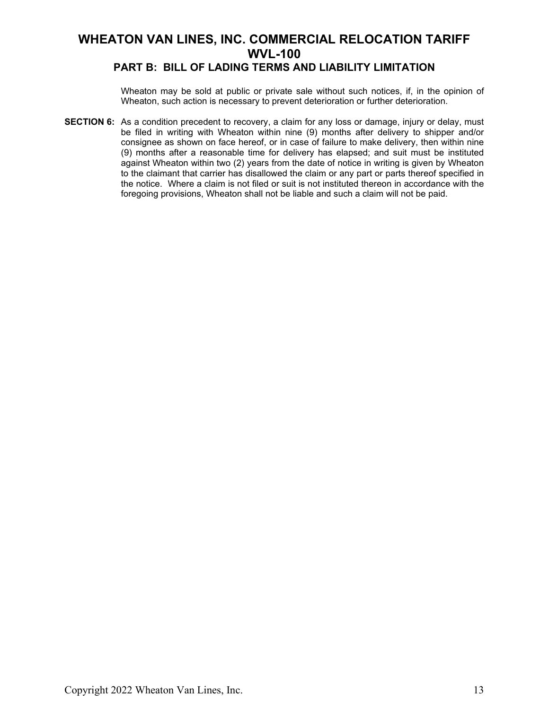### **PART B: BILL OF LADING TERMS AND LIABILITY LIMITATION**

Wheaton may be sold at public or private sale without such notices, if, in the opinion of Wheaton, such action is necessary to prevent deterioration or further deterioration.

**SECTION 6:** As a condition precedent to recovery, a claim for any loss or damage, injury or delay, must be filed in writing with Wheaton within nine (9) months after delivery to shipper and/or consignee as shown on face hereof, or in case of failure to make delivery, then within nine (9) months after a reasonable time for delivery has elapsed; and suit must be instituted against Wheaton within two (2) years from the date of notice in writing is given by Wheaton to the claimant that carrier has disallowed the claim or any part or parts thereof specified in the notice. Where a claim is not filed or suit is not instituted thereon in accordance with the foregoing provisions, Wheaton shall not be liable and such a claim will not be paid.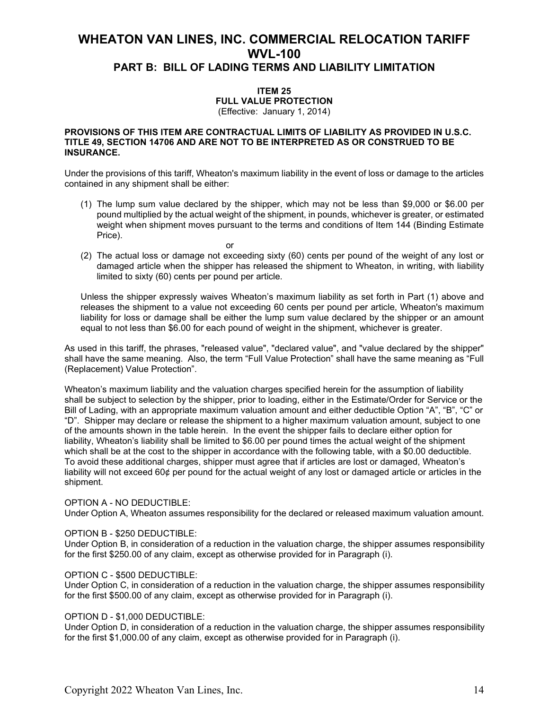### **WHEATON VAN LINES, INC. COMMERCIAL RELOCATION TARIFF WVL-100 PART B: BILL OF LADING TERMS AND LIABILITY LIMITATION**

## **ITEM 25**

**FULL VALUE PROTECTION** (Effective: January 1, 2014)

#### **PROVISIONS OF THIS ITEM ARE CONTRACTUAL LIMITS OF LIABILITY AS PROVIDED IN U.S.C. TITLE 49, SECTION 14706 AND ARE NOT TO BE INTERPRETED AS OR CONSTRUED TO BE INSURANCE.**

Under the provisions of this tariff, Wheaton's maximum liability in the event of loss or damage to the articles contained in any shipment shall be either:

- (1) The lump sum value declared by the shipper, which may not be less than \$9,000 or \$6.00 per pound multiplied by the actual weight of the shipment, in pounds, whichever is greater, or estimated weight when shipment moves pursuant to the terms and conditions of Item 144 (Binding Estimate Price).
- (2) The actual loss or damage not exceeding sixty (60) cents per pound of the weight of any lost or damaged article when the shipper has released the shipment to Wheaton, in writing, with liability limited to sixty (60) cents per pound per article.

or

Unless the shipper expressly waives Wheaton's maximum liability as set forth in Part (1) above and releases the shipment to a value not exceeding 60 cents per pound per article, Wheaton's maximum liability for loss or damage shall be either the lump sum value declared by the shipper or an amount equal to not less than \$6.00 for each pound of weight in the shipment, whichever is greater.

As used in this tariff, the phrases, "released value", "declared value", and "value declared by the shipper" shall have the same meaning. Also, the term "Full Value Protection" shall have the same meaning as "Full (Replacement) Value Protection".

Wheaton's maximum liability and the valuation charges specified herein for the assumption of liability shall be subject to selection by the shipper, prior to loading, either in the Estimate/Order for Service or the Bill of Lading, with an appropriate maximum valuation amount and either deductible Option "A", "B", "C" or "D". Shipper may declare or release the shipment to a higher maximum valuation amount, subject to one of the amounts shown in the table herein. In the event the shipper fails to declare either option for liability, Wheaton's liability shall be limited to \$6.00 per pound times the actual weight of the shipment which shall be at the cost to the shipper in accordance with the following table, with a \$0.00 deductible. To avoid these additional charges, shipper must agree that if articles are lost or damaged, Wheaton's liability will not exceed 60¢ per pound for the actual weight of any lost or damaged article or articles in the shipment.

#### OPTION A - NO DEDUCTIBLE:

Under Option A, Wheaton assumes responsibility for the declared or released maximum valuation amount.

#### OPTION B - \$250 DEDUCTIBLE:

Under Option B, in consideration of a reduction in the valuation charge, the shipper assumes responsibility for the first \$250.00 of any claim, except as otherwise provided for in Paragraph (i).

#### OPTION C - \$500 DEDUCTIBLE:

Under Option C, in consideration of a reduction in the valuation charge, the shipper assumes responsibility for the first \$500.00 of any claim, except as otherwise provided for in Paragraph (i).

#### OPTION D - \$1,000 DEDUCTIBLE:

Under Option D, in consideration of a reduction in the valuation charge, the shipper assumes responsibility for the first \$1,000.00 of any claim, except as otherwise provided for in Paragraph (i).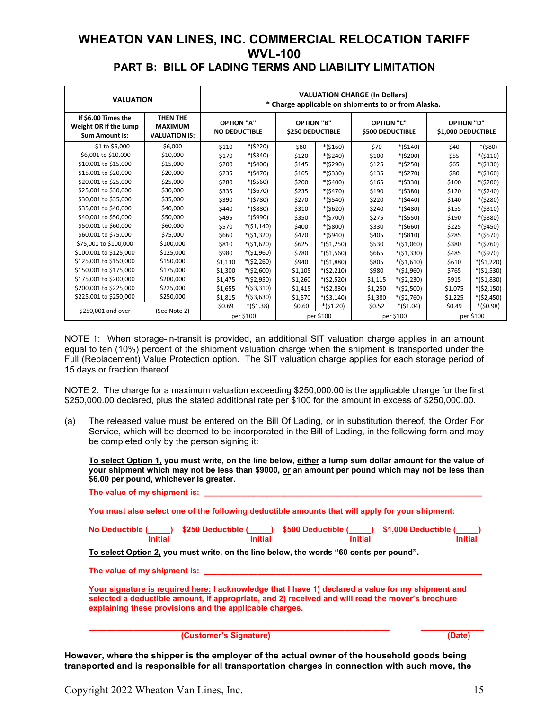### **WHEATON VAN LINES, INC. COMMERCIAL RELOCATION TARIFF WVL-100 PART B: BILL OF LADING TERMS AND LIABILITY LIMITATION**

| <b>VALUATION</b>                                                      | <b>VALUATION CHARGE (In Dollars)</b><br>* Charge applicable on shipments to or from Alaska. |                                           |             |                                              |             |                                              |             |                                         |             |
|-----------------------------------------------------------------------|---------------------------------------------------------------------------------------------|-------------------------------------------|-------------|----------------------------------------------|-------------|----------------------------------------------|-------------|-----------------------------------------|-------------|
| If \$6.00 Times the<br>Weight OR if the Lump<br><b>Sum Amount is:</b> | THEN THE<br><b>MAXIMUM</b><br><b>VALUATION IS:</b>                                          | <b>OPTION "A"</b><br><b>NO DEDUCTIBLE</b> |             | <b>OPTION "B"</b><br><b>\$250 DEDUCTIBLE</b> |             | <b>OPTION "C"</b><br><b>\$500 DEDUCTIBLE</b> |             | <b>OPTION "D"</b><br>\$1,000 DEDUCTIBLE |             |
| \$1 to \$6,000                                                        | \$6,000                                                                                     | \$110                                     | $*($220)$   | \$80                                         | $*($160)$   | \$70                                         | $*($140)$   | \$40                                    | $*($80)$    |
| \$6,001 to \$10,000                                                   | \$10,000                                                                                    | \$170                                     | $*($340)$   | \$120                                        | *(\$240)    | \$100                                        | $*($200)$   | \$55                                    | $*($110)$   |
| \$10,001 to \$15,000                                                  | \$15,000                                                                                    | \$200                                     | $*($400)$   | \$145                                        | *(\$290)    | \$125                                        | $*($250)$   | \$65                                    | $*($130)$   |
| \$15,001 to \$20,000                                                  | \$20,000                                                                                    | \$235                                     | $*(5470)$   | \$165                                        | $*($330)$   | \$135                                        | $*($270)$   | \$80                                    | $*($160)$   |
| \$20,001 to \$25,000                                                  | \$25,000                                                                                    | \$280                                     | $*($560)$   | \$200                                        | $*($400)$   | \$165                                        | *(\$330)    | \$100                                   | *(\$200)    |
| \$25,001 to \$30,000                                                  | \$30,000                                                                                    | \$335                                     | $*($670)$   | \$235                                        | $*($470)$   | \$190                                        | *(\$380)    | \$120                                   | $*($240)$   |
| \$30,001 to \$35,000                                                  | \$35,000                                                                                    | \$390                                     | *(\$780)    | \$270                                        | $*($540)$   | \$220                                        | $*(5440)$   | \$140                                   | $*($280)$   |
| \$35,001 to \$40,000                                                  | \$40,000                                                                                    | \$440                                     | *(\$880)    | \$310                                        | $*($620)$   | \$240                                        | $*($480)$   | \$155                                   | $*($310)$   |
| \$40,001 to \$50,000                                                  | \$50,000                                                                                    | \$495                                     | *(\$990)    | \$350                                        | $*($700)$   | \$275                                        | $*($550)$   | \$190                                   | $*($380)$   |
| \$50,001 to \$60,000                                                  | \$60,000                                                                                    | \$570                                     | $*($1,140)$ | \$400                                        | *(\$800)    | \$330                                        | $*($660)$   | \$225                                   | $*($450)$   |
| \$60,001 to \$75,000                                                  | \$75,000                                                                                    | \$660                                     | $*($1,320)$ | \$470                                        | *(\$940)    | \$405                                        | $*($810)$   | \$285                                   | $*($570)$   |
| \$75,001 to \$100,000                                                 | \$100,000                                                                                   | \$810                                     | $*($1,620)$ | \$625                                        | $*($1,250)$ | \$530                                        | $*($1,060)$ | \$380                                   | $*($760)$   |
| \$100,001 to \$125,000                                                | \$125,000                                                                                   | \$980                                     | $*($1,960)$ | \$780                                        | $*($1,560)$ | \$665                                        | $*($1,330)$ | \$485                                   | *(\$970)    |
| \$125,001 to \$150,000                                                | \$150,000                                                                                   | \$1,130                                   | $*($2,260)$ | \$940                                        | $*($1,880)$ | \$805                                        | $*($1,610)$ | \$610                                   | *(\$1,220)  |
| \$150,001 to \$175,000                                                | \$175,000                                                                                   | \$1,300                                   | $*($2,600)$ | \$1,105                                      | $*($2,210)$ | \$980                                        | $*($1,960)$ | \$765                                   | *(\$1,530)  |
| \$175,001 to \$200,000                                                | \$200,000                                                                                   | \$1,475                                   | $*($2,950)$ | \$1,260                                      | $*($2,520)$ | \$1,115                                      | $*($2,230)$ | \$915                                   | $*($1,830)$ |
| \$200,001 to \$225,000                                                | \$225,000                                                                                   | \$1,655                                   | $*($3,310)$ | \$1,415                                      | $*($2,830)$ | \$1,250                                      | $*($2,500)$ | \$1,075                                 | $*($2,150)$ |
| \$225,001 to \$250,000                                                | \$250,000                                                                                   | \$1,815                                   | $*($3,630)$ | \$1,570                                      | $*($3,140)$ | \$1,380                                      | $*($2,760)$ | \$1,225                                 | *(\$2,450)  |
| \$250,001 and over                                                    |                                                                                             | \$0.69                                    | $*($1.38)$  | \$0.60                                       | $*($1.20)$  | \$0.52                                       | $*($1.04)$  | \$0.49                                  | $*(50.98)$  |
|                                                                       | (See Note 2)                                                                                |                                           | per \$100   |                                              | per \$100   |                                              | per \$100   |                                         | per \$100   |

NOTE 1: When storage-in-transit is provided, an additional SIT valuation charge applies in an amount equal to ten (10%) percent of the shipment valuation charge when the shipment is transported under the Full (Replacement) Value Protection option. The SIT valuation charge applies for each storage period of 15 days or fraction thereof.

NOTE 2: The charge for a maximum valuation exceeding \$250,000.00 is the applicable charge for the first \$250,000.00 declared, plus the stated additional rate per \$100 for the amount in excess of \$250,000.00.

(a) The released value must be entered on the Bill Of Lading, or in substitution thereof, the Order For Service, which will be deemed to be incorporated in the Bill of Lading, in the following form and may be completed only by the person signing it:

**To select Option 1, you must write, on the line below, either a lump sum dollar amount for the value of your shipment which may not be less than \$9000, or an amount per pound which may not be less than \$6.00 per pound, whichever is greater.**

| The value of my shipment is: |  |
|------------------------------|--|
|                              |  |

**You must also select one of the following deductible amounts that will apply for your shipment:**

| No Deductible ( | ) \$250 Deductible ( | <b>1</b> \$500 Deductible ( | ) \$1,000 Deductible ( |
|-----------------|----------------------|-----------------------------|------------------------|
| Initial         | <b>Initial</b>       | Initial                     | Initial                |

**To select Option 2, you must write, on the line below, the words "60 cents per pound".**

**The value of my shipment is: \_\_\_\_\_\_\_\_\_\_\_\_\_\_\_\_\_\_\_\_\_\_\_\_\_\_\_\_\_\_\_\_\_\_\_\_\_\_\_\_\_\_\_\_\_\_\_\_\_\_\_\_\_\_\_\_\_\_\_\_\_\_**

**Your signature is required here: I acknowledge that I have 1) declared a value for my shipment and selected a deductible amount, if appropriate, and 2) received and will read the mover's brochure explaining these provisions and the applicable charges.**

**\_\_\_\_\_\_\_\_\_\_\_\_\_\_\_\_\_\_\_\_\_\_\_\_\_\_\_\_\_\_\_\_\_\_\_\_\_\_\_\_\_\_\_\_\_\_\_\_\_\_\_\_\_\_\_\_\_\_\_\_\_\_\_\_\_\_\_ \_\_\_\_\_\_\_\_\_\_\_\_\_\_ (Customer's Signature) (Date)**

**However, where the shipper is the employer of the actual owner of the household goods being transported and is responsible for all transportation charges in connection with such move, the**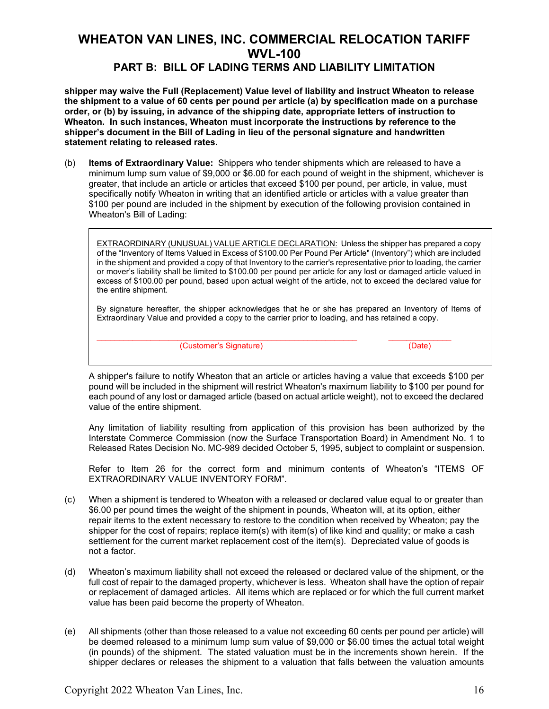### **PART B: BILL OF LADING TERMS AND LIABILITY LIMITATION**

**shipper may waive the Full (Replacement) Value level of liability and instruct Wheaton to release the shipment to a value of 60 cents per pound per article (a) by specification made on a purchase order, or (b) by issuing, in advance of the shipping date, appropriate letters of instruction to Wheaton. In such instances, Wheaton must incorporate the instructions by reference to the shipper's document in the Bill of Lading in lieu of the personal signature and handwritten statement relating to released rates.**

(b) **Items of Extraordinary Value:** Shippers who tender shipments which are released to have a minimum lump sum value of \$9,000 or \$6.00 for each pound of weight in the shipment, whichever is greater, that include an article or articles that exceed \$100 per pound, per article, in value, must specifically notify Wheaton in writing that an identified article or articles with a value greater than \$100 per pound are included in the shipment by execution of the following provision contained in Wheaton's Bill of Lading:

EXTRAORDINARY (UNUSUAL) VALUE ARTICLE DECLARATION: Unless the shipper has prepared a copy of the "Inventory of Items Valued in Excess of \$100.00 Per Pound Per Article" (Inventory") which are included in the shipment and provided a copy of that Inventory to the carrier's representative prior to loading, the carrier or mover's liability shall be limited to \$100.00 per pound per article for any lost or damaged article valued in excess of \$100.00 per pound, based upon actual weight of the article, not to exceed the declared value for the entire shipment.

By signature hereafter, the shipper acknowledges that he or she has prepared an Inventory of Items of Extraordinary Value and provided a copy to the carrier prior to loading, and has retained a copy.

 $\_$  , and the set of the set of the set of the set of the set of the set of the set of the set of the set of the set of the set of the set of the set of the set of the set of the set of the set of the set of the set of th (Customer's Signature) (Date)

A shipper's failure to notify Wheaton that an article or articles having a value that exceeds \$100 per pound will be included in the shipment will restrict Wheaton's maximum liability to \$100 per pound for each pound of any lost or damaged article (based on actual article weight), not to exceed the declared value of the entire shipment.

Any limitation of liability resulting from application of this provision has been authorized by the Interstate Commerce Commission (now the Surface Transportation Board) in Amendment No. 1 to Released Rates Decision No. MC-989 decided October 5, 1995, subject to complaint or suspension.

Refer to Item 26 for the correct form and minimum contents of Wheaton's "ITEMS OF EXTRAORDINARY VALUE INVENTORY FORM".

- (c) When a shipment is tendered to Wheaton with a released or declared value equal to or greater than \$6.00 per pound times the weight of the shipment in pounds, Wheaton will, at its option, either repair items to the extent necessary to restore to the condition when received by Wheaton; pay the shipper for the cost of repairs; replace item(s) with item(s) of like kind and quality; or make a cash settlement for the current market replacement cost of the item(s). Depreciated value of goods is not a factor.
- (d) Wheaton's maximum liability shall not exceed the released or declared value of the shipment, or the full cost of repair to the damaged property, whichever is less. Wheaton shall have the option of repair or replacement of damaged articles. All items which are replaced or for which the full current market value has been paid become the property of Wheaton.
- (e) All shipments (other than those released to a value not exceeding 60 cents per pound per article) will be deemed released to a minimum lump sum value of \$9,000 or \$6.00 times the actual total weight (in pounds) of the shipment. The stated valuation must be in the increments shown herein. If the shipper declares or releases the shipment to a valuation that falls between the valuation amounts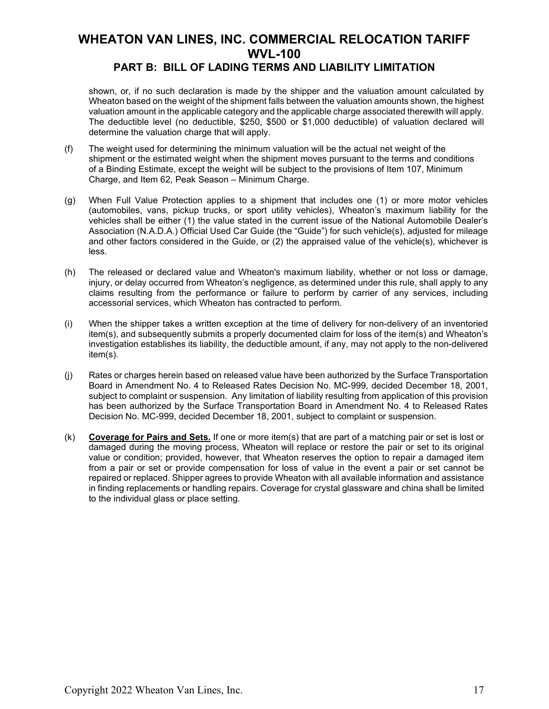### **PART B: BILL OF LADING TERMS AND LIABILITY LIMITATION**

shown, or, if no such declaration is made by the shipper and the valuation amount calculated by Wheaton based on the weight of the shipment falls between the valuation amounts shown, the highest valuation amount in the applicable category and the applicable charge associated therewith will apply. The deductible level (no deductible, \$250, \$500 or \$1,000 deductible) of valuation declared will determine the valuation charge that will apply.

- (f) The weight used for determining the minimum valuation will be the actual net weight of the shipment or the estimated weight when the shipment moves pursuant to the terms and conditions of a Binding Estimate, except the weight will be subject to the provisions of Item 107, Minimum Charge, and Item 62, Peak Season – Minimum Charge.
- (g) When Full Value Protection applies to a shipment that includes one (1) or more motor vehicles (automobiles, vans, pickup trucks, or sport utility vehicles), Wheaton's maximum liability for the vehicles shall be either (1) the value stated in the current issue of the National Automobile Dealer's Association (N.A.D.A.) Official Used Car Guide (the "Guide") for such vehicle(s), adjusted for mileage and other factors considered in the Guide, or (2) the appraised value of the vehicle(s), whichever is less.
- (h) The released or declared value and Wheaton's maximum liability, whether or not loss or damage, injury, or delay occurred from Wheaton's negligence, as determined under this rule, shall apply to any claims resulting from the performance or failure to perform by carrier of any services, including accessorial services, which Wheaton has contracted to perform.
- (i) When the shipper takes a written exception at the time of delivery for non-delivery of an inventoried item(s), and subsequently submits a properly documented claim for loss of the item(s) and Wheaton's investigation establishes its liability, the deductible amount, if any, may not apply to the non-delivered item(s).
- (j) Rates or charges herein based on released value have been authorized by the Surface Transportation Board in Amendment No. 4 to Released Rates Decision No. MC-999, decided December 18, 2001, subject to complaint or suspension. Any limitation of liability resulting from application of this provision has been authorized by the Surface Transportation Board in Amendment No. 4 to Released Rates Decision No. MC-999, decided December 18, 2001, subject to complaint or suspension.
- (k) **Coverage for Pairs and Sets.** If one or more item(s) that are part of a matching pair or set is lost or damaged during the moving process, Wheaton will replace or restore the pair or set to its original value or condition; provided, however, that Wheaton reserves the option to repair a damaged item from a pair or set or provide compensation for loss of value in the event a pair or set cannot be repaired or replaced. Shipper agrees to provide Wheaton with all available information and assistance in finding replacements or handling repairs. Coverage for crystal glassware and china shall be limited to the individual glass or place setting.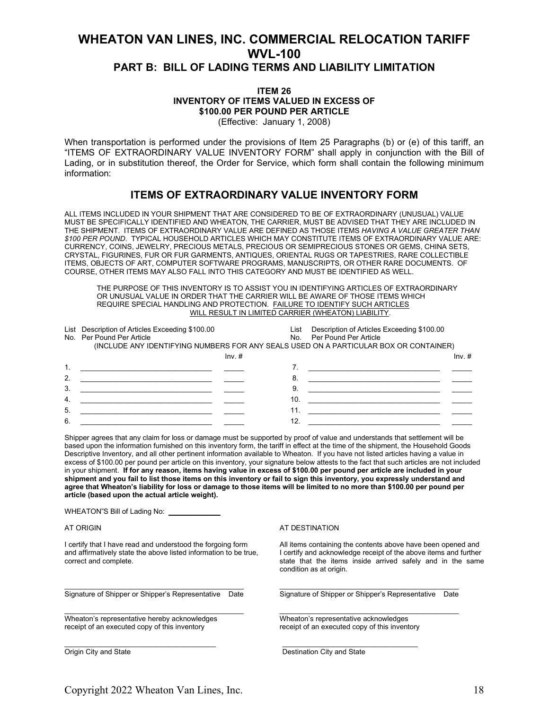### **WHEATON VAN LINES, INC. COMMERCIAL RELOCATION TARIFF WVL-100 PART B: BILL OF LADING TERMS AND LIABILITY LIMITATION**

#### **ITEM 26 INVENTORY OF ITEMS VALUED IN EXCESS OF \$100.00 PER POUND PER ARTICLE** (Effective: January 1, 2008)

When transportation is performed under the provisions of Item 25 Paragraphs (b) or (e) of this tariff, an "ITEMS OF EXTRAORDINARY VALUE INVENTORY FORM" shall apply in conjunction with the Bill of Lading, or in substitution thereof, the Order for Service, which form shall contain the following minimum information:

### **ITEMS OF EXTRAORDINARY VALUE INVENTORY FORM**

ALL ITEMS INCLUDED IN YOUR SHIPMENT THAT ARE CONSIDERED TO BE OF EXTRAORDINARY (UNUSUAL) VALUE MUST BE SPECIFICALLY IDENTIFIED AND WHEATON, THE CARRIER, MUST BE ADVISED THAT THEY ARE INCLUDED IN THE SHIPMENT. ITEMS OF EXTRAORDINARY VALUE ARE DEFINED AS THOSE ITEMS *HAVING A VALUE GREATER THAN \$100 PER POUND*. TYPICAL HOUSEHOLD ARTICLES WHICH MAY CONSTITUTE ITEMS OF EXTRAORDINARY VALUE ARE: CURRENCY, COINS, JEWELRY, PRECIOUS METALS, PRECIOUS OR SEMIPRECIOUS STONES OR GEMS, CHINA SETS, CRYSTAL, FIGURINES, FUR OR FUR GARMENTS, ANTIQUES, ORIENTAL RUGS OR TAPESTRIES, RARE COLLECTIBLE ITEMS, OBJECTS OF ART, COMPUTER SOFTWARE PROGRAMS, MANUSCRIPTS, OR OTHER RARE DOCUMENTS. OF COURSE, OTHER ITEMS MAY ALSO FALL INTO THIS CATEGORY AND MUST BE IDENTIFIED AS WELL.

THE PURPOSE OF THIS INVENTORY IS TO ASSIST YOU IN IDENTIFYING ARTICLES OF EXTRAORDINARY OR UNUSUAL VALUE IN ORDER THAT THE CARRIER WILL BE AWARE OF THOSE ITEMS WHICH REQUIRE SPECIAL HANDLING AND PROTECTION. FAILURE TO IDENTIFY SUCH ARTICLES WILL RESULT IN LIMITED CARRIER (WHEATON) LIABILITY.

|    | List Description of Articles Exceeding \$100.00                                       | List | Description of Articles Exceeding \$100.00 |
|----|---------------------------------------------------------------------------------------|------|--------------------------------------------|
|    | No. Per Pound Per Article                                                             |      | No. Per Pound Per Article                  |
|    | (INCLUDE ANY IDENTIFYING NUMBERS FOR ANY SEALS USED ON A PARTICULAR BOX OR CONTAINER) |      |                                            |
|    | $Inv.$ #                                                                              |      | $Inv.$ #                                   |
|    |                                                                                       |      |                                            |
| 2. |                                                                                       | 8    |                                            |
| 3. |                                                                                       | 9    |                                            |
| 4. |                                                                                       | 10.  |                                            |
| 5. |                                                                                       | 11.  |                                            |
| 6. |                                                                                       | 12.  |                                            |

Shipper agrees that any claim for loss or damage must be supported by proof of value and understands that settlement will be based upon the information furnished on this inventory form, the tariff in effect at the time of the shipment, the Household Goods Descriptive Inventory, and all other pertinent information available to Wheaton. If you have not listed articles having a value in excess of \$100.00 per pound per article on this inventory, your signature below attests to the fact that such articles are not included in your shipment. **If for any reason, items having value in excess of \$100.00 per pound per article are included in your shipment and you fail to list those items on this inventory or fail to sign this inventory, you expressly understand and agree that Wheaton's liability for loss or damage to those items will be limited to no more than \$100.00 per pound per article (based upon the actual article weight).**

 $\frac{1}{2}$  ,  $\frac{1}{2}$  ,  $\frac{1}{2}$  ,  $\frac{1}{2}$  ,  $\frac{1}{2}$  ,  $\frac{1}{2}$  ,  $\frac{1}{2}$  ,  $\frac{1}{2}$  ,  $\frac{1}{2}$  ,  $\frac{1}{2}$  ,  $\frac{1}{2}$  ,  $\frac{1}{2}$  ,  $\frac{1}{2}$  ,  $\frac{1}{2}$  ,  $\frac{1}{2}$  ,  $\frac{1}{2}$  ,  $\frac{1}{2}$  ,  $\frac{1}{2}$  ,  $\frac{1$ 

WHEATON"S Bill of Lading No: \_

Wheaton's representative hereby acknowledges<br>
receipt of an executed copy of this inventory<br>
receipt of an executed copy of this inventory receipt of an executed copy of this inventory

\_\_\_\_\_\_\_\_\_\_\_\_\_\_\_\_\_\_\_\_\_\_\_\_\_\_\_\_\_\_\_\_\_\_\_\_\_\_ \_\_\_\_\_\_\_\_\_\_\_\_\_\_\_\_\_\_\_\_\_\_\_\_\_\_\_\_\_\_\_\_\_\_

#### AT ORIGIN AT OUTSELL THE STREET WAS ALSO ANDESTINATION

I certify that I have read and understood the forgoing form All items containing the contents above have been opened and and affirmatively state the above listed information to be true, I certify and acknowledge receipt of and affirmatively state the above listed information to be true, I certify and acknowledge receipt of the above items and further correct and complete.<br>
state that the items inside arrived safely and in the same state that the items inside arrived safely and in the same condition as at origin.

\_\_\_\_\_\_\_\_\_\_\_\_\_\_\_\_\_\_\_\_\_\_\_\_\_\_\_\_\_\_\_\_\_\_\_\_\_\_\_\_\_\_\_\_\_ \_\_\_\_\_\_\_\_\_\_\_\_\_\_\_\_\_\_\_\_\_\_\_\_\_\_\_\_\_\_\_\_\_\_\_\_\_\_\_\_\_\_\_\_\_ Signature of Shipper or Shipper's Representative Date Signature of Shipper or Shipper's Representative Date

Origin City and State Destination City and State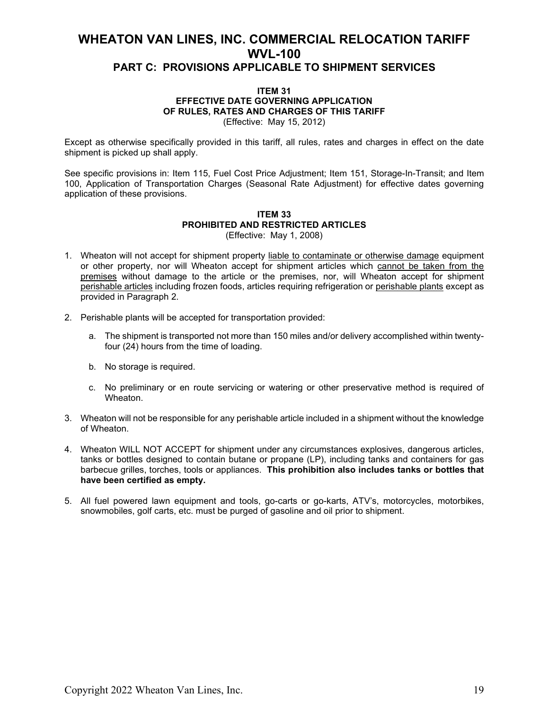#### **ITEM 31 EFFECTIVE DATE GOVERNING APPLICATION OF RULES, RATES AND CHARGES OF THIS TARIFF** (Effective: May 15, 2012)

Except as otherwise specifically provided in this tariff, all rules, rates and charges in effect on the date shipment is picked up shall apply.

See specific provisions in: Item 115, Fuel Cost Price Adjustment; Item 151, Storage-In-Transit; and Item 100, Application of Transportation Charges (Seasonal Rate Adjustment) for effective dates governing application of these provisions.

#### **ITEM 33 PROHIBITED AND RESTRICTED ARTICLES** (Effective: May 1, 2008)

- 1. Wheaton will not accept for shipment property liable to contaminate or otherwise damage equipment or other property, nor will Wheaton accept for shipment articles which cannot be taken from the premises without damage to the article or the premises, nor, will Wheaton accept for shipment perishable articles including frozen foods, articles requiring refrigeration or perishable plants except as provided in Paragraph 2.
- 2. Perishable plants will be accepted for transportation provided:
	- a. The shipment is transported not more than 150 miles and/or delivery accomplished within twentyfour (24) hours from the time of loading.
	- b. No storage is required.
	- c. No preliminary or en route servicing or watering or other preservative method is required of Wheaton.
- 3. Wheaton will not be responsible for any perishable article included in a shipment without the knowledge of Wheaton.
- 4. Wheaton WILL NOT ACCEPT for shipment under any circumstances explosives, dangerous articles, tanks or bottles designed to contain butane or propane (LP), including tanks and containers for gas barbecue grilles, torches, tools or appliances. **This prohibition also includes tanks or bottles that have been certified as empty.**
- 5. All fuel powered lawn equipment and tools, go-carts or go-karts, ATV's, motorcycles, motorbikes, snowmobiles, golf carts, etc. must be purged of gasoline and oil prior to shipment.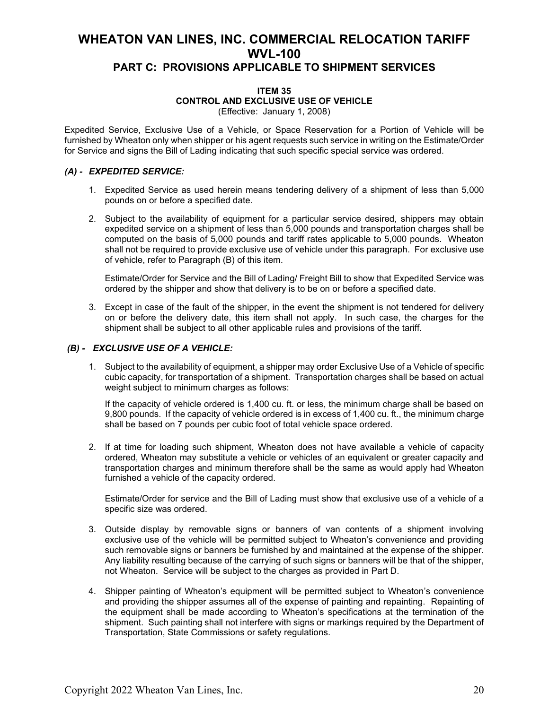#### **ITEM 35 CONTROL AND EXCLUSIVE USE OF VEHICLE** (Effective: January 1, 2008)

Expedited Service, Exclusive Use of a Vehicle, or Space Reservation for a Portion of Vehicle will be furnished by Wheaton only when shipper or his agent requests such service in writing on the Estimate/Order for Service and signs the Bill of Lading indicating that such specific special service was ordered.

#### *(A) - EXPEDITED SERVICE:*

- 1. Expedited Service as used herein means tendering delivery of a shipment of less than 5,000 pounds on or before a specified date.
- 2. Subject to the availability of equipment for a particular service desired, shippers may obtain expedited service on a shipment of less than 5,000 pounds and transportation charges shall be computed on the basis of 5,000 pounds and tariff rates applicable to 5,000 pounds. Wheaton shall not be required to provide exclusive use of vehicle under this paragraph. For exclusive use of vehicle, refer to Paragraph (B) of this item.

Estimate/Order for Service and the Bill of Lading/ Freight Bill to show that Expedited Service was ordered by the shipper and show that delivery is to be on or before a specified date.

3. Except in case of the fault of the shipper, in the event the shipment is not tendered for delivery on or before the delivery date, this item shall not apply. In such case, the charges for the shipment shall be subject to all other applicable rules and provisions of the tariff.

#### *(B) - EXCLUSIVE USE OF A VEHICLE:*

1. Subject to the availability of equipment, a shipper may order Exclusive Use of a Vehicle of specific cubic capacity, for transportation of a shipment. Transportation charges shall be based on actual weight subject to minimum charges as follows:

If the capacity of vehicle ordered is 1,400 cu. ft. or less, the minimum charge shall be based on 9,800 pounds. If the capacity of vehicle ordered is in excess of 1,400 cu. ft., the minimum charge shall be based on 7 pounds per cubic foot of total vehicle space ordered.

2. If at time for loading such shipment, Wheaton does not have available a vehicle of capacity ordered, Wheaton may substitute a vehicle or vehicles of an equivalent or greater capacity and transportation charges and minimum therefore shall be the same as would apply had Wheaton furnished a vehicle of the capacity ordered.

Estimate/Order for service and the Bill of Lading must show that exclusive use of a vehicle of a specific size was ordered.

- 3. Outside display by removable signs or banners of van contents of a shipment involving exclusive use of the vehicle will be permitted subject to Wheaton's convenience and providing such removable signs or banners be furnished by and maintained at the expense of the shipper. Any liability resulting because of the carrying of such signs or banners will be that of the shipper, not Wheaton. Service will be subject to the charges as provided in Part D.
- 4. Shipper painting of Wheaton's equipment will be permitted subject to Wheaton's convenience and providing the shipper assumes all of the expense of painting and repainting. Repainting of the equipment shall be made according to Wheaton's specifications at the termination of the shipment. Such painting shall not interfere with signs or markings required by the Department of Transportation, State Commissions or safety regulations.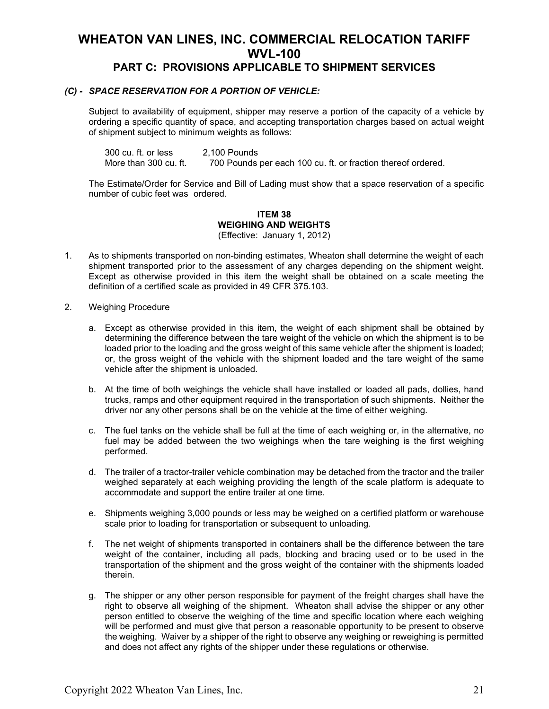#### *(C) - SPACE RESERVATION FOR A PORTION OF VEHICLE:*

Subject to availability of equipment, shipper may reserve a portion of the capacity of a vehicle by ordering a specific quantity of space, and accepting transportation charges based on actual weight of shipment subject to minimum weights as follows:

300 cu. ft. or less 2,100 Pounds More than 300 cu. ft. 700 Pounds per each 100 cu. ft. or fraction thereof ordered.

The Estimate/Order for Service and Bill of Lading must show that a space reservation of a specific number of cubic feet was ordered.

#### **ITEM 38 WEIGHING AND WEIGHTS** (Effective: January 1, 2012)

- 1. As to shipments transported on non-binding estimates, Wheaton shall determine the weight of each shipment transported prior to the assessment of any charges depending on the shipment weight. Except as otherwise provided in this item the weight shall be obtained on a scale meeting the definition of a certified scale as provided in 49 CFR 375.103.
- 2. Weighing Procedure
	- a. Except as otherwise provided in this item, the weight of each shipment shall be obtained by determining the difference between the tare weight of the vehicle on which the shipment is to be loaded prior to the loading and the gross weight of this same vehicle after the shipment is loaded; or, the gross weight of the vehicle with the shipment loaded and the tare weight of the same vehicle after the shipment is unloaded.
	- b. At the time of both weighings the vehicle shall have installed or loaded all pads, dollies, hand trucks, ramps and other equipment required in the transportation of such shipments. Neither the driver nor any other persons shall be on the vehicle at the time of either weighing.
	- c. The fuel tanks on the vehicle shall be full at the time of each weighing or, in the alternative, no fuel may be added between the two weighings when the tare weighing is the first weighing performed.
	- d. The trailer of a tractor-trailer vehicle combination may be detached from the tractor and the trailer weighed separately at each weighing providing the length of the scale platform is adequate to accommodate and support the entire trailer at one time.
	- e. Shipments weighing 3,000 pounds or less may be weighed on a certified platform or warehouse scale prior to loading for transportation or subsequent to unloading.
	- f. The net weight of shipments transported in containers shall be the difference between the tare weight of the container, including all pads, blocking and bracing used or to be used in the transportation of the shipment and the gross weight of the container with the shipments loaded therein.
	- g. The shipper or any other person responsible for payment of the freight charges shall have the right to observe all weighing of the shipment. Wheaton shall advise the shipper or any other person entitled to observe the weighing of the time and specific location where each weighing will be performed and must give that person a reasonable opportunity to be present to observe the weighing. Waiver by a shipper of the right to observe any weighing or reweighing is permitted and does not affect any rights of the shipper under these regulations or otherwise.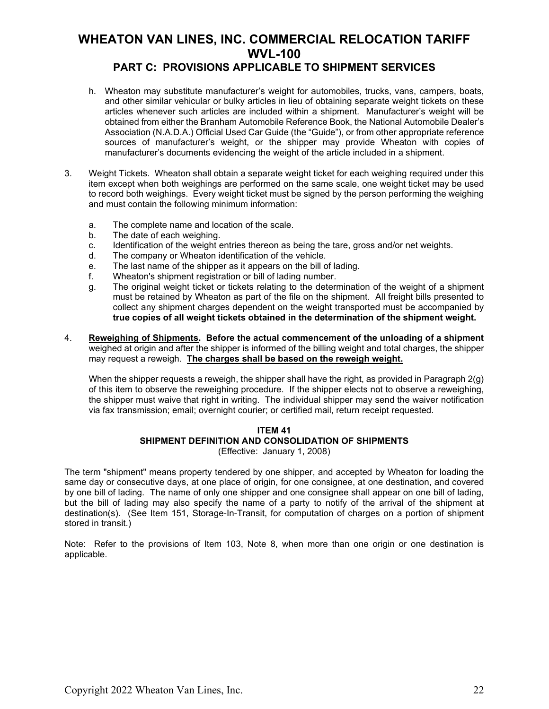### **PART C: PROVISIONS APPLICABLE TO SHIPMENT SERVICES**

- h. Wheaton may substitute manufacturer's weight for automobiles, trucks, vans, campers, boats, and other similar vehicular or bulky articles in lieu of obtaining separate weight tickets on these articles whenever such articles are included within a shipment. Manufacturer's weight will be obtained from either the Branham Automobile Reference Book, the National Automobile Dealer's Association (N.A.D.A.) Official Used Car Guide (the "Guide"), or from other appropriate reference sources of manufacturer's weight, or the shipper may provide Wheaton with copies of manufacturer's documents evidencing the weight of the article included in a shipment.
- 3. Weight Tickets. Wheaton shall obtain a separate weight ticket for each weighing required under this item except when both weighings are performed on the same scale, one weight ticket may be used to record both weighings. Every weight ticket must be signed by the person performing the weighing and must contain the following minimum information:
	- a. The complete name and location of the scale.
	- b. The date of each weighing.
	- c. Identification of the weight entries thereon as being the tare, gross and/or net weights.
	- d. The company or Wheaton identification of the vehicle.
	- e. The last name of the shipper as it appears on the bill of lading.
	- f. Wheaton's shipment registration or bill of lading number.
	- g. The original weight ticket or tickets relating to the determination of the weight of a shipment must be retained by Wheaton as part of the file on the shipment. All freight bills presented to collect any shipment charges dependent on the weight transported must be accompanied by **true copies of all weight tickets obtained in the determination of the shipment weight.**
- 4. **Reweighing of Shipments. Before the actual commencement of the unloading of a shipment** weighed at origin and after the shipper is informed of the billing weight and total charges, the shipper may request a reweigh. **The charges shall be based on the reweigh weight.**

When the shipper requests a reweigh, the shipper shall have the right, as provided in Paragraph 2(g) of this item to observe the reweighing procedure. If the shipper elects not to observe a reweighing, the shipper must waive that right in writing. The individual shipper may send the waiver notification via fax transmission; email; overnight courier; or certified mail, return receipt requested.

#### **ITEM 41 SHIPMENT DEFINITION AND CONSOLIDATION OF SHIPMENTS** (Effective: January 1, 2008)

The term "shipment" means property tendered by one shipper, and accepted by Wheaton for loading the same day or consecutive days, at one place of origin, for one consignee, at one destination, and covered by one bill of lading. The name of only one shipper and one consignee shall appear on one bill of lading, but the bill of lading may also specify the name of a party to notify of the arrival of the shipment at destination(s). (See Item 151, Storage-In-Transit, for computation of charges on a portion of shipment stored in transit.)

Note: Refer to the provisions of Item 103, Note 8, when more than one origin or one destination is applicable.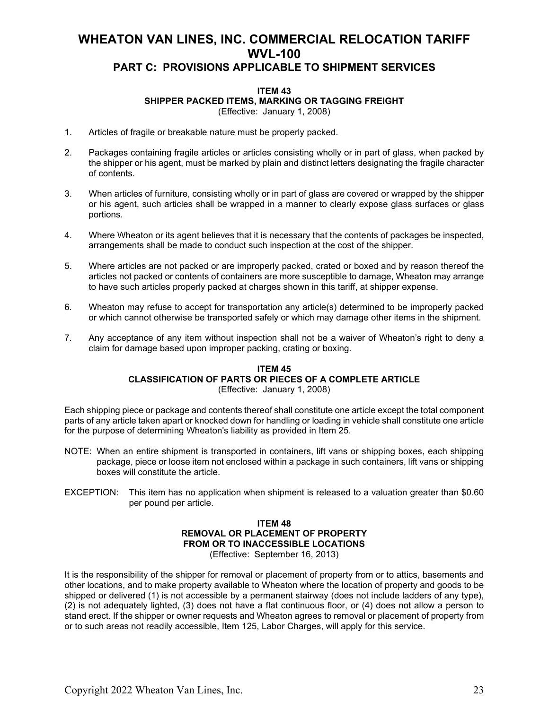### **ITEM 43 SHIPPER PACKED ITEMS, MARKING OR TAGGING FREIGHT**

(Effective: January 1, 2008)

- 1. Articles of fragile or breakable nature must be properly packed.
- 2. Packages containing fragile articles or articles consisting wholly or in part of glass, when packed by the shipper or his agent, must be marked by plain and distinct letters designating the fragile character of contents.
- 3. When articles of furniture, consisting wholly or in part of glass are covered or wrapped by the shipper or his agent, such articles shall be wrapped in a manner to clearly expose glass surfaces or glass portions.
- 4. Where Wheaton or its agent believes that it is necessary that the contents of packages be inspected, arrangements shall be made to conduct such inspection at the cost of the shipper.
- 5. Where articles are not packed or are improperly packed, crated or boxed and by reason thereof the articles not packed or contents of containers are more susceptible to damage, Wheaton may arrange to have such articles properly packed at charges shown in this tariff, at shipper expense.
- 6. Wheaton may refuse to accept for transportation any article(s) determined to be improperly packed or which cannot otherwise be transported safely or which may damage other items in the shipment.
- 7. Any acceptance of any item without inspection shall not be a waiver of Wheaton's right to deny a claim for damage based upon improper packing, crating or boxing.

#### **ITEM 45 CLASSIFICATION OF PARTS OR PIECES OF A COMPLETE ARTICLE** (Effective: January 1, 2008)

Each shipping piece or package and contents thereof shall constitute one article except the total component parts of any article taken apart or knocked down for handling or loading in vehicle shall constitute one article for the purpose of determining Wheaton's liability as provided in Item 25.

- NOTE: When an entire shipment is transported in containers, lift vans or shipping boxes, each shipping package, piece or loose item not enclosed within a package in such containers, lift vans or shipping boxes will constitute the article.
- EXCEPTION: This item has no application when shipment is released to a valuation greater than \$0.60 per pound per article.

#### **ITEM 48 REMOVAL OR PLACEMENT OF PROPERTY FROM OR TO INACCESSIBLE LOCATIONS** (Effective: September 16, 2013)

It is the responsibility of the shipper for removal or placement of property from or to attics, basements and other locations, and to make property available to Wheaton where the location of property and goods to be shipped or delivered (1) is not accessible by a permanent stairway (does not include ladders of any type), (2) is not adequately lighted, (3) does not have a flat continuous floor, or (4) does not allow a person to stand erect. If the shipper or owner requests and Wheaton agrees to removal or placement of property from or to such areas not readily accessible, Item 125, Labor Charges, will apply for this service.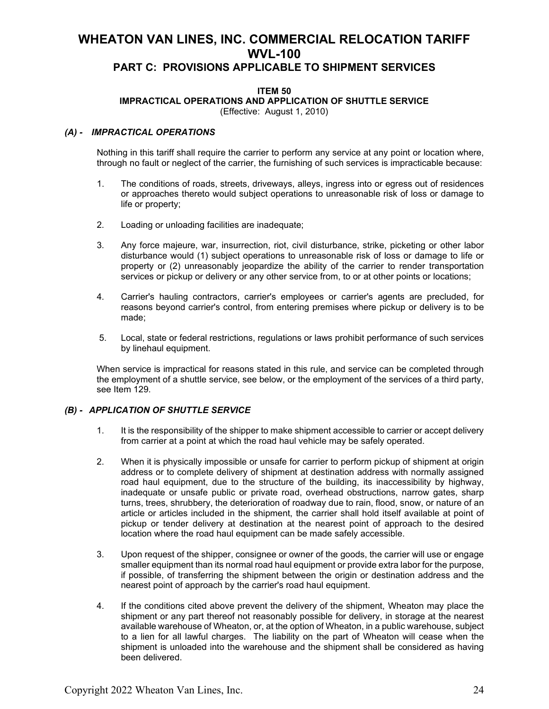### **PART C: PROVISIONS APPLICABLE TO SHIPMENT SERVICES**

#### **ITEM 50 IMPRACTICAL OPERATIONS AND APPLICATION OF SHUTTLE SERVICE**

(Effective: August 1, 2010)

#### *(A) - IMPRACTICAL OPERATIONS*

Nothing in this tariff shall require the carrier to perform any service at any point or location where, through no fault or neglect of the carrier, the furnishing of such services is impracticable because:

- 1. The conditions of roads, streets, driveways, alleys, ingress into or egress out of residences or approaches thereto would subject operations to unreasonable risk of loss or damage to life or property;
- 2. Loading or unloading facilities are inadequate;
- 3. Any force majeure, war, insurrection, riot, civil disturbance, strike, picketing or other labor disturbance would (1) subject operations to unreasonable risk of loss or damage to life or property or (2) unreasonably jeopardize the ability of the carrier to render transportation services or pickup or delivery or any other service from, to or at other points or locations;
- 4. Carrier's hauling contractors, carrier's employees or carrier's agents are precluded, for reasons beyond carrier's control, from entering premises where pickup or delivery is to be made;
- 5. Local, state or federal restrictions, regulations or laws prohibit performance of such services by linehaul equipment.

When service is impractical for reasons stated in this rule, and service can be completed through the employment of a shuttle service, see below, or the employment of the services of a third party, see Item 129.

#### *(B) - APPLICATION OF SHUTTLE SERVICE*

- 1. It is the responsibility of the shipper to make shipment accessible to carrier or accept delivery from carrier at a point at which the road haul vehicle may be safely operated.
- 2. When it is physically impossible or unsafe for carrier to perform pickup of shipment at origin address or to complete delivery of shipment at destination address with normally assigned road haul equipment, due to the structure of the building, its inaccessibility by highway, inadequate or unsafe public or private road, overhead obstructions, narrow gates, sharp turns, trees, shrubbery, the deterioration of roadway due to rain, flood, snow, or nature of an article or articles included in the shipment, the carrier shall hold itself available at point of pickup or tender delivery at destination at the nearest point of approach to the desired location where the road haul equipment can be made safely accessible.
- 3. Upon request of the shipper, consignee or owner of the goods, the carrier will use or engage smaller equipment than its normal road haul equipment or provide extra labor for the purpose, if possible, of transferring the shipment between the origin or destination address and the nearest point of approach by the carrier's road haul equipment.
- 4. If the conditions cited above prevent the delivery of the shipment, Wheaton may place the shipment or any part thereof not reasonably possible for delivery, in storage at the nearest available warehouse of Wheaton, or, at the option of Wheaton, in a public warehouse, subject to a lien for all lawful charges. The liability on the part of Wheaton will cease when the shipment is unloaded into the warehouse and the shipment shall be considered as having been delivered.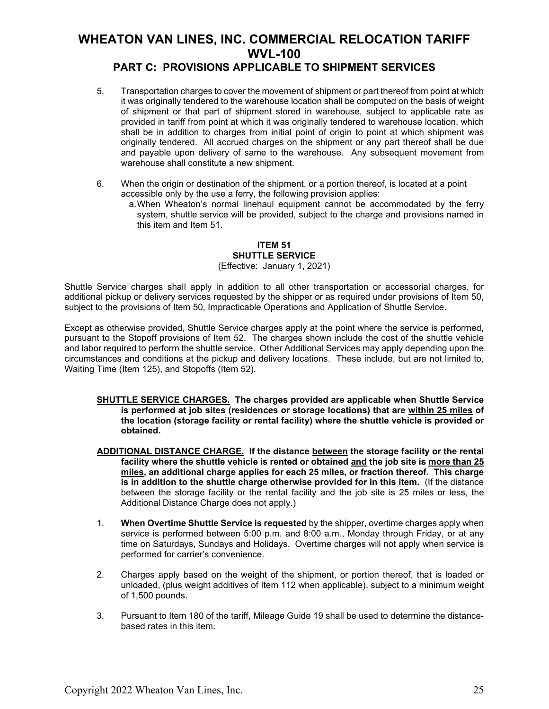### **PART C: PROVISIONS APPLICABLE TO SHIPMENT SERVICES**

- 5. Transportation charges to cover the movement of shipment or part thereof from point at which it was originally tendered to the warehouse location shall be computed on the basis of weight of shipment or that part of shipment stored in warehouse, subject to applicable rate as provided in tariff from point at which it was originally tendered to warehouse location, which shall be in addition to charges from initial point of origin to point at which shipment was originally tendered. All accrued charges on the shipment or any part thereof shall be due and payable upon delivery of same to the warehouse. Any subsequent movement from warehouse shall constitute a new shipment.
- 6. When the origin or destination of the shipment, or a portion thereof, is located at a point accessible only by the use a ferry, the following provision applies:
	- a.When Wheaton's normal linehaul equipment cannot be accommodated by the ferry system, shuttle service will be provided, subject to the charge and provisions named in this item and Item 51.

#### **ITEM 51 SHUTTLE SERVICE** (Effective: January 1, 2021)

Shuttle Service charges shall apply in addition to all other transportation or accessorial charges, for additional pickup or delivery services requested by the shipper or as required under provisions of Item 50, subject to the provisions of Item 50, Impracticable Operations and Application of Shuttle Service.

Except as otherwise provided, Shuttle Service charges apply at the point where the service is performed, pursuant to the Stopoff provisions of Item 52. The charges shown include the cost of the shuttle vehicle and labor required to perform the shuttle service. Other Additional Services may apply depending upon the circumstances and conditions at the pickup and delivery locations. These include, but are not limited to, Waiting Time (Item 125), and Stopoffs (Item 52).

- **SHUTTLE SERVICE CHARGES. The charges provided are applicable when Shuttle Service is performed at job sites (residences or storage locations) that are within 25 miles of the location (storage facility or rental facility) where the shuttle vehicle is provided or obtained.**
- **ADDITIONAL DISTANCE CHARGE. If the distance between the storage facility or the rental facility where the shuttle vehicle is rented or obtained and the job site is more than 25 miles, an additional charge applies for each 25 miles, or fraction thereof. This charge is in addition to the shuttle charge otherwise provided for in this item.** (If the distance between the storage facility or the rental facility and the job site is 25 miles or less, the Additional Distance Charge does not apply.)
- 1. **When Overtime Shuttle Service is requested** by the shipper, overtime charges apply when service is performed between 5:00 p.m. and 8:00 a.m., Monday through Friday, or at any time on Saturdays, Sundays and Holidays. Overtime charges will not apply when service is performed for carrier's convenience.
- 2. Charges apply based on the weight of the shipment, or portion thereof, that is loaded or unloaded, (plus weight additives of Item 112 when applicable), subject to a minimum weight of 1,500 pounds.
- 3. Pursuant to Item 180 of the tariff, Mileage Guide 19 shall be used to determine the distancebased rates in this item.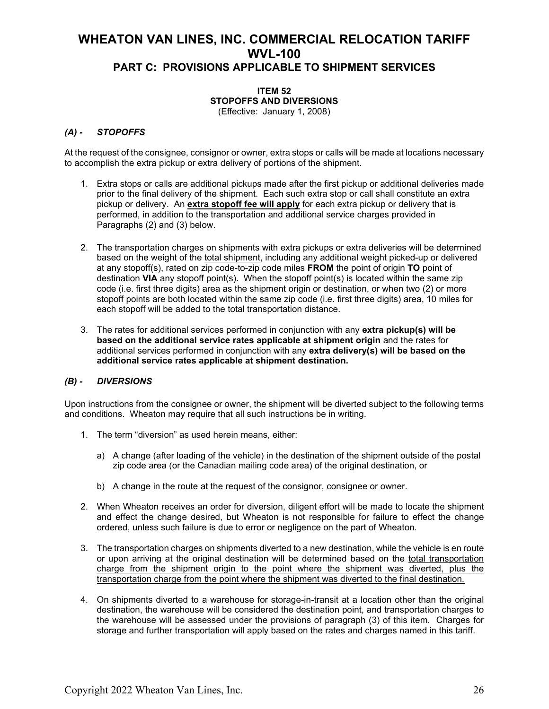#### **ITEM 52 STOPOFFS AND DIVERSIONS** (Effective: January 1, 2008)

# *(A) - STOPOFFS*

At the request of the consignee, consignor or owner, extra stops or calls will be made at locations necessary to accomplish the extra pickup or extra delivery of portions of the shipment.

- 1. Extra stops or calls are additional pickups made after the first pickup or additional deliveries made prior to the final delivery of the shipment. Each such extra stop or call shall constitute an extra pickup or delivery. An **extra stopoff fee will apply** for each extra pickup or delivery that is performed, in addition to the transportation and additional service charges provided in Paragraphs (2) and (3) below.
- 2. The transportation charges on shipments with extra pickups or extra deliveries will be determined based on the weight of the total shipment, including any additional weight picked-up or delivered at any stopoff(s), rated on zip code-to-zip code miles **FROM** the point of origin **TO** point of destination **VIA** any stopoff point(s). When the stopoff point(s) is located within the same zip code (i.e. first three digits) area as the shipment origin or destination, or when two (2) or more stopoff points are both located within the same zip code (i.e. first three digits) area, 10 miles for each stopoff will be added to the total transportation distance.
- 3. The rates for additional services performed in conjunction with any **extra pickup(s) will be based on the additional service rates applicable at shipment origin** and the rates for additional services performed in conjunction with any **extra delivery(s) will be based on the additional service rates applicable at shipment destination.**

#### *(B) - DIVERSIONS*

Upon instructions from the consignee or owner, the shipment will be diverted subject to the following terms and conditions. Wheaton may require that all such instructions be in writing.

- 1. The term "diversion" as used herein means, either:
	- a) A change (after loading of the vehicle) in the destination of the shipment outside of the postal zip code area (or the Canadian mailing code area) of the original destination, or
	- b) A change in the route at the request of the consignor, consignee or owner.
- 2. When Wheaton receives an order for diversion, diligent effort will be made to locate the shipment and effect the change desired, but Wheaton is not responsible for failure to effect the change ordered, unless such failure is due to error or negligence on the part of Wheaton.
- 3. The transportation charges on shipments diverted to a new destination, while the vehicle is en route or upon arriving at the original destination will be determined based on the total transportation charge from the shipment origin to the point where the shipment was diverted, plus the transportation charge from the point where the shipment was diverted to the final destination.
- 4. On shipments diverted to a warehouse for storage-in-transit at a location other than the original destination, the warehouse will be considered the destination point, and transportation charges to the warehouse will be assessed under the provisions of paragraph (3) of this item. Charges for storage and further transportation will apply based on the rates and charges named in this tariff.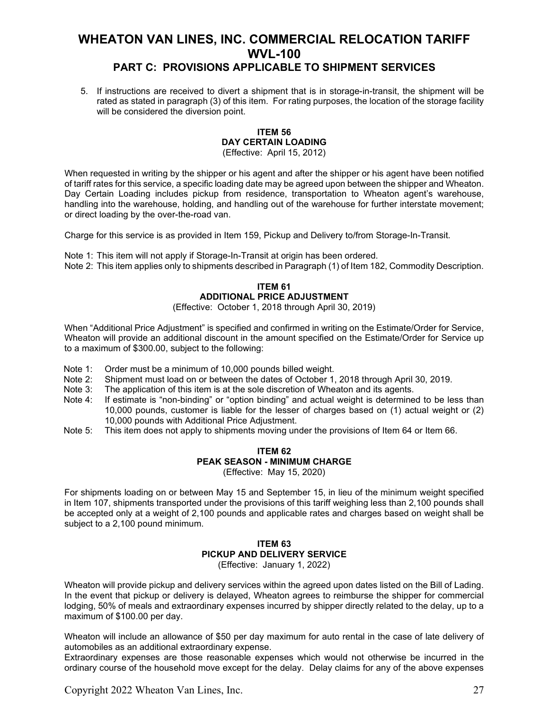### **PART C: PROVISIONS APPLICABLE TO SHIPMENT SERVICES**

5. If instructions are received to divert a shipment that is in storage-in-transit, the shipment will be rated as stated in paragraph (3) of this item. For rating purposes, the location of the storage facility will be considered the diversion point.

#### **ITEM 56 DAY CERTAIN LOADING** (Effective: April 15, 2012)

When requested in writing by the shipper or his agent and after the shipper or his agent have been notified of tariff rates for this service, a specific loading date may be agreed upon between the shipper and Wheaton. Day Certain Loading includes pickup from residence, transportation to Wheaton agent's warehouse, handling into the warehouse, holding, and handling out of the warehouse for further interstate movement; or direct loading by the over-the-road van.

Charge for this service is as provided in Item 159, Pickup and Delivery to/from Storage-In-Transit.

Note 1: This item will not apply if Storage-In-Transit at origin has been ordered. Note 2: This item applies only to shipments described in Paragraph (1) of Item 182, Commodity Description.

#### **ITEM 61 ADDITIONAL PRICE ADJUSTMENT**

(Effective: October 1, 2018 through April 30, 2019)

When "Additional Price Adjustment" is specified and confirmed in writing on the Estimate/Order for Service, Wheaton will provide an additional discount in the amount specified on the Estimate/Order for Service up to a maximum of \$300.00, subject to the following:

- Note 1: Order must be a minimum of 10,000 pounds billed weight.<br>Note 2: Shipment must load on or between the dates of October 1,
- Shipment must load on or between the dates of October 1, 2018 through April 30, 2019.
- Note 3: The application of this item is at the sole discretion of Wheaton and its agents.<br>Note 4: If estimate is "non-binding" or "option binding" and actual weight is determine
- If estimate is "non-binding" or "option binding" and actual weight is determined to be less than 10,000 pounds, customer is liable for the lesser of charges based on (1) actual weight or (2) 10,000 pounds with Additional Price Adjustment.
- Note 5: This item does not apply to shipments moving under the provisions of Item 64 or Item 66.

### **ITEM 62 PEAK SEASON - MINIMUM CHARGE**

(Effective: May 15, 2020)

For shipments loading on or between May 15 and September 15, in lieu of the minimum weight specified in Item 107, shipments transported under the provisions of this tariff weighing less than 2,100 pounds shall be accepted only at a weight of 2,100 pounds and applicable rates and charges based on weight shall be subject to a 2,100 pound minimum.

### **ITEM 63 PICKUP AND DELIVERY SERVICE**

(Effective: January 1, 2022)

Wheaton will provide pickup and delivery services within the agreed upon dates listed on the Bill of Lading. In the event that pickup or delivery is delayed, Wheaton agrees to reimburse the shipper for commercial lodging, 50% of meals and extraordinary expenses incurred by shipper directly related to the delay, up to a maximum of \$100.00 per day.

Wheaton will include an allowance of \$50 per day maximum for auto rental in the case of late delivery of automobiles as an additional extraordinary expense.

Extraordinary expenses are those reasonable expenses which would not otherwise be incurred in the ordinary course of the household move except for the delay. Delay claims for any of the above expenses

Copyright 2022 Wheaton Van Lines, Inc. 27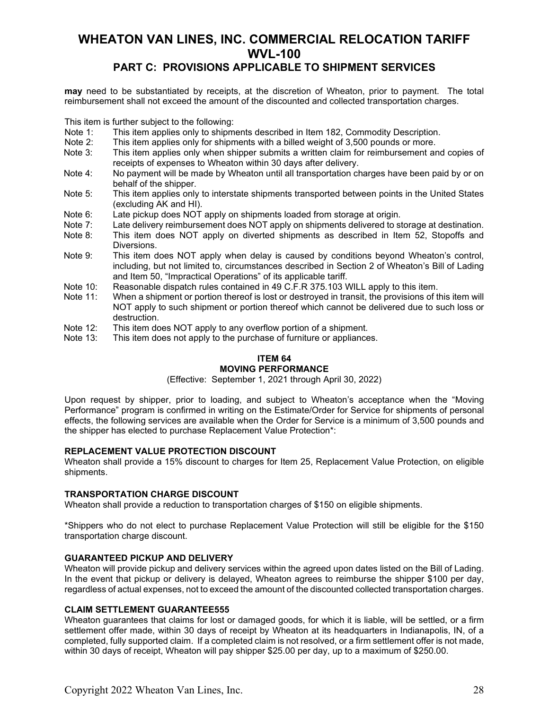### **PART C: PROVISIONS APPLICABLE TO SHIPMENT SERVICES**

**may** need to be substantiated by receipts, at the discretion of Wheaton, prior to payment. The total reimbursement shall not exceed the amount of the discounted and collected transportation charges.

This item is further subject to the following:<br>Note 1: This item applies only to shipment

- Note 1: This item applies only to shipments described in Item 182, Commodity Description.<br>Note 2: This item applies only for shipments with a billed weight of 3.500 pounds or more.
- Note 2: This item applies only for shipments with a billed weight of 3,500 pounds or more.<br>Note 3: This item applies only when shipper submits a written claim for reimbursement an
- This item applies only when shipper submits a written claim for reimbursement and copies of receipts of expenses to Wheaton within 30 days after delivery.
- Note 4: No payment will be made by Wheaton until all transportation charges have been paid by or on behalf of the shipper.
- Note 5: This item applies only to interstate shipments transported between points in the United States (excluding AK and HI).
- Note 6: Late pickup does NOT apply on shipments loaded from storage at origin.
- Note 7: Late delivery reimbursement does NOT apply on shipments delivered to storage at destination.
- Note 8: This item does NOT apply on diverted shipments as described in Item 52, Stopoffs and Diversions.
- Note 9: This item does NOT apply when delay is caused by conditions beyond Wheaton's control, including, but not limited to, circumstances described in Section 2 of Wheaton's Bill of Lading and Item 50, "Impractical Operations" of its applicable tariff.
- Note 10: Reasonable dispatch rules contained in 49 C.F.R 375.103 WILL apply to this item.
- Note 11: When a shipment or portion thereof is lost or destroyed in transit, the provisions of this item will NOT apply to such shipment or portion thereof which cannot be delivered due to such loss or destruction.
- Note 12: This item does NOT apply to any overflow portion of a shipment.
- Note 13: This item does not apply to the purchase of furniture or appliances.

#### **ITEM 64 MOVING PERFORMANCE**

(Effective: September 1, 2021 through April 30, 2022)

Upon request by shipper, prior to loading, and subject to Wheaton's acceptance when the "Moving Performance" program is confirmed in writing on the Estimate/Order for Service for shipments of personal effects, the following services are available when the Order for Service is a minimum of 3,500 pounds and the shipper has elected to purchase Replacement Value Protection\*:

#### **REPLACEMENT VALUE PROTECTION DISCOUNT**

Wheaton shall provide a 15% discount to charges for Item 25, Replacement Value Protection, on eligible shipments.

#### **TRANSPORTATION CHARGE DISCOUNT**

Wheaton shall provide a reduction to transportation charges of \$150 on eligible shipments.

\*Shippers who do not elect to purchase Replacement Value Protection will still be eligible for the \$150 transportation charge discount.

#### **GUARANTEED PICKUP AND DELIVERY**

Wheaton will provide pickup and delivery services within the agreed upon dates listed on the Bill of Lading. In the event that pickup or delivery is delayed, Wheaton agrees to reimburse the shipper \$100 per day, regardless of actual expenses, not to exceed the amount of the discounted collected transportation charges.

#### **CLAIM SETTLEMENT GUARANTEE555**

Wheaton guarantees that claims for lost or damaged goods, for which it is liable, will be settled, or a firm settlement offer made, within 30 days of receipt by Wheaton at its headquarters in Indianapolis, IN, of a completed, fully supported claim. If a completed claim is not resolved, or a firm settlement offer is not made, within 30 days of receipt, Wheaton will pay shipper \$25.00 per day, up to a maximum of \$250.00.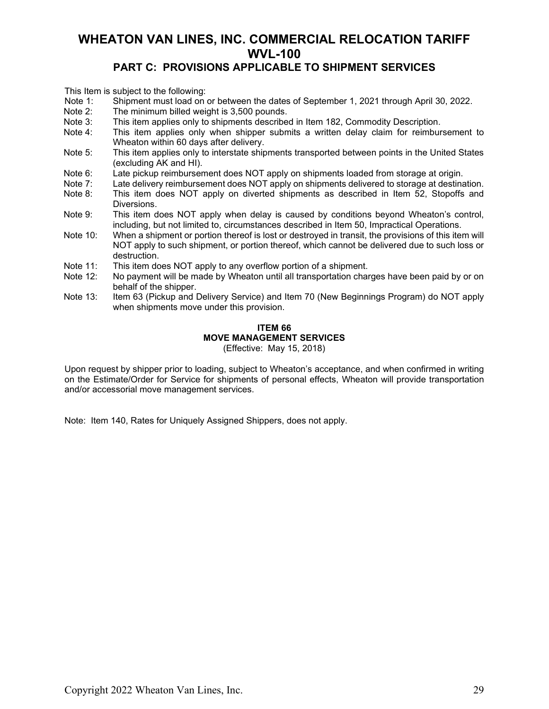### **PART C: PROVISIONS APPLICABLE TO SHIPMENT SERVICES**

This Item is subject to the following:

- Note 1: Shipment must load on or between the dates of September 1, 2021 through April 30, 2022.
- Note 2: The minimum billed weight is 3,500 pounds.<br>Note 3: This item applies only to shipments describe
- Note 3: This item applies only to shipments described in Item 182, Commodity Description.<br>Note 4: This item applies only when shipper submits a written delay claim for reimbur
- This item applies only when shipper submits a written delay claim for reimbursement to Wheaton within 60 days after delivery.
- Note 5: This item applies only to interstate shipments transported between points in the United States (excluding AK and HI).
- Note 6: Late pickup reimbursement does NOT apply on shipments loaded from storage at origin.<br>Note 7: Late delivery reimbursement does NOT apply on shipments delivered to storage at destina
- Note 7: Late delivery reimbursement does NOT apply on shipments delivered to storage at destination.<br>Note 8: This item does NOT apply on diverted shipments as described in Item 52. Stopoffs and
- This item does NOT apply on diverted shipments as described in Item 52, Stopoffs and Diversions.
- Note 9: This item does NOT apply when delay is caused by conditions beyond Wheaton's control, including, but not limited to, circumstances described in Item 50, Impractical Operations.
- Note 10: When a shipment or portion thereof is lost or destroyed in transit, the provisions of this item will NOT apply to such shipment, or portion thereof, which cannot be delivered due to such loss or destruction.
- Note 11: This item does NOT apply to any overflow portion of a shipment.<br>Note 12: No payment will be made by Wheaton until all transportation chain
- No payment will be made by Wheaton until all transportation charges have been paid by or on behalf of the shipper.
- Note 13: Item 63 (Pickup and Delivery Service) and Item 70 (New Beginnings Program) do NOT apply when shipments move under this provision.

#### **ITEM 66 MOVE MANAGEMENT SERVICES** (Effective: May 15, 2018)

Upon request by shipper prior to loading, subject to Wheaton's acceptance, and when confirmed in writing on the Estimate/Order for Service for shipments of personal effects, Wheaton will provide transportation and/or accessorial move management services.

Note: Item 140, Rates for Uniquely Assigned Shippers, does not apply.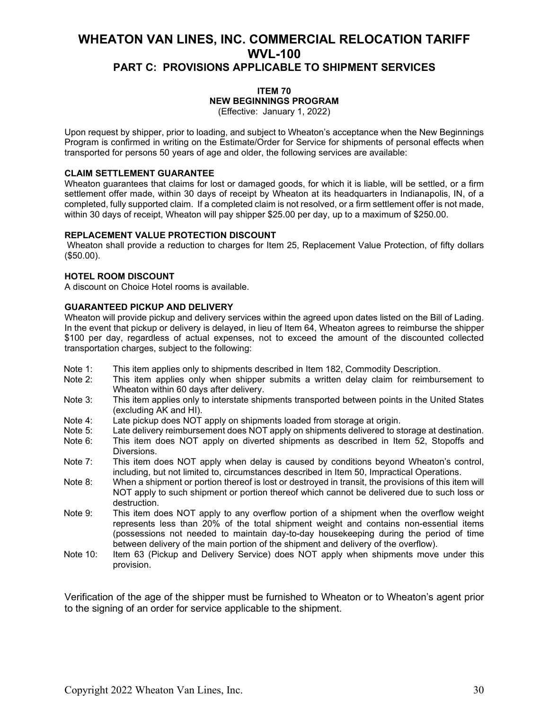### **ITEM 70 NEW BEGINNINGS PROGRAM**

(Effective: January 1, 2022)

Upon request by shipper, prior to loading, and subject to Wheaton's acceptance when the New Beginnings Program is confirmed in writing on the Estimate/Order for Service for shipments of personal effects when transported for persons 50 years of age and older, the following services are available:

#### **CLAIM SETTLEMENT GUARANTEE**

Wheaton guarantees that claims for lost or damaged goods, for which it is liable, will be settled, or a firm settlement offer made, within 30 days of receipt by Wheaton at its headquarters in Indianapolis, IN, of a completed, fully supported claim. If a completed claim is not resolved, or a firm settlement offer is not made, within 30 days of receipt, Wheaton will pay shipper \$25.00 per day, up to a maximum of \$250.00.

#### **REPLACEMENT VALUE PROTECTION DISCOUNT**

Wheaton shall provide a reduction to charges for Item 25, Replacement Value Protection, of fifty dollars (\$50.00).

#### **HOTEL ROOM DISCOUNT**

A discount on Choice Hotel rooms is available.

#### **GUARANTEED PICKUP AND DELIVERY**

Wheaton will provide pickup and delivery services within the agreed upon dates listed on the Bill of Lading. In the event that pickup or delivery is delayed, in lieu of Item 64, Wheaton agrees to reimburse the shipper \$100 per day, regardless of actual expenses, not to exceed the amount of the discounted collected transportation charges, subject to the following:

- Note 1: This item applies only to shipments described in Item 182, Commodity Description.<br>Note 2: This item applies only when shipper submits a written delay claim for reimbur
- This item applies only when shipper submits a written delay claim for reimbursement to Wheaton within 60 days after delivery.
- Note 3: This item applies only to interstate shipments transported between points in the United States (excluding AK and HI).
- Note 4: Late pickup does NOT apply on shipments loaded from storage at origin.<br>Note 5: Late delivery reimbursement does NOT apply on shipments delivered to st
- Note 5: Late delivery reimbursement does NOT apply on shipments delivered to storage at destination.<br>Note 6: This item does NOT apply on diverted shipments as described in Item 52. Stopoffs and
- This item does NOT apply on diverted shipments as described in Item 52, Stopoffs and Diversions.
- Note 7: This item does NOT apply when delay is caused by conditions beyond Wheaton's control, including, but not limited to, circumstances described in Item 50, Impractical Operations.
- Note 8: When a shipment or portion thereof is lost or destroyed in transit, the provisions of this item will NOT apply to such shipment or portion thereof which cannot be delivered due to such loss or destruction.
- Note 9: This item does NOT apply to any overflow portion of a shipment when the overflow weight represents less than 20% of the total shipment weight and contains non-essential items (possessions not needed to maintain day-to-day housekeeping during the period of time between delivery of the main portion of the shipment and delivery of the overflow).
- Note 10: Item 63 (Pickup and Delivery Service) does NOT apply when shipments move under this provision.

Verification of the age of the shipper must be furnished to Wheaton or to Wheaton's agent prior to the signing of an order for service applicable to the shipment.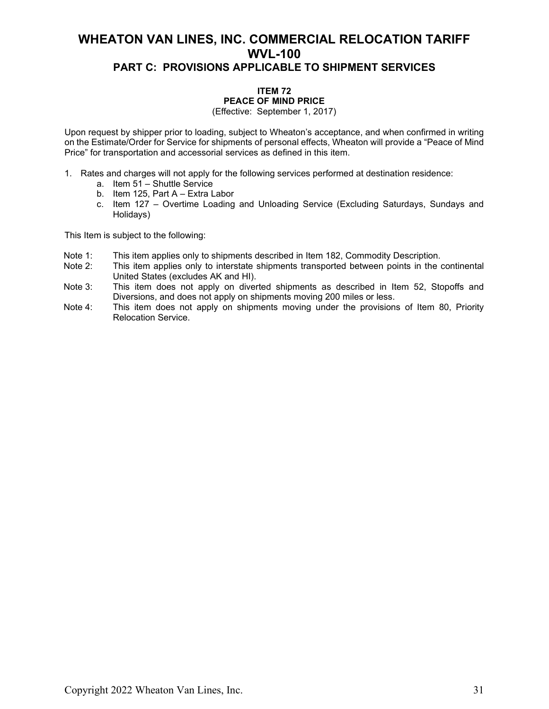### **ITEM 72 PEACE OF MIND PRICE**

(Effective: September 1, 2017)

Upon request by shipper prior to loading, subject to Wheaton's acceptance, and when confirmed in writing on the Estimate/Order for Service for shipments of personal effects, Wheaton will provide a "Peace of Mind Price" for transportation and accessorial services as defined in this item.

- 1. Rates and charges will not apply for the following services performed at destination residence:
	- a. Item 51 Shuttle Service
	- b. Item 125, Part A Extra Labor
	- c. Item 127 Overtime Loading and Unloading Service (Excluding Saturdays, Sundays and Holidays)

This Item is subject to the following:

- Note 1: This item applies only to shipments described in Item 182, Commodity Description.<br>Note 2: This item applies only to interstate shipments transported between points in the o
- This item applies only to interstate shipments transported between points in the continental United States (excludes AK and HI).
- Note 3: This item does not apply on diverted shipments as described in Item 52, Stopoffs and Diversions, and does not apply on shipments moving 200 miles or less.
- Note 4: This item does not apply on shipments moving under the provisions of Item 80, Priority Relocation Service.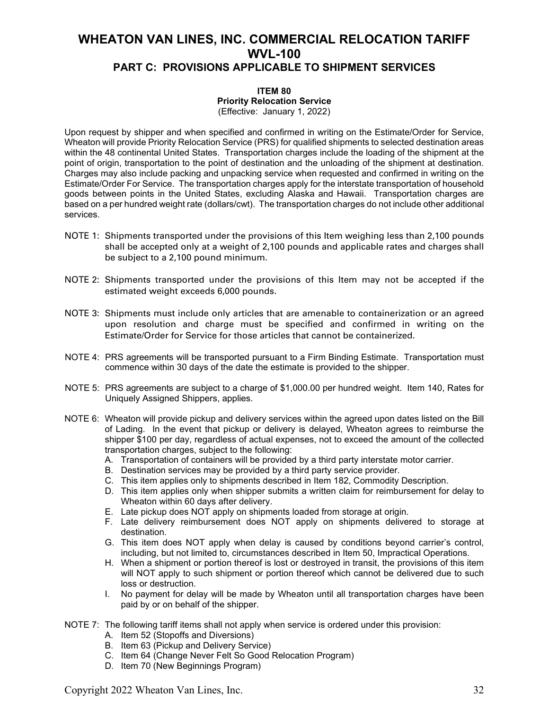#### **ITEM 80 Priority Relocation Service** (Effective: January 1, 2022)

Upon request by shipper and when specified and confirmed in writing on the Estimate/Order for Service, Wheaton will provide Priority Relocation Service (PRS) for qualified shipments to selected destination areas

within the 48 continental United States. Transportation charges include the loading of the shipment at the point of origin, transportation to the point of destination and the unloading of the shipment at destination. Charges may also include packing and unpacking service when requested and confirmed in writing on the Estimate/Order For Service. The transportation charges apply for the interstate transportation of household goods between points in the United States, excluding Alaska and Hawaii. Transportation charges are based on a per hundred weight rate (dollars/cwt). The transportation charges do not include other additional services.

- NOTE 1: Shipments transported under the provisions of this Item weighing less than 2,100 pounds shall be accepted only at a weight of 2,100 pounds and applicable rates and charges shall be subject to a 2,100 pound minimum.
- NOTE 2: Shipments transported under the provisions of this Item may not be accepted if the estimated weight exceeds 6,000 pounds.
- NOTE 3: Shipments must include only articles that are amenable to containerization or an agreed upon resolution and charge must be specified and confirmed in writing on the Estimate/Order for Service for those articles that cannot be containerized.
- NOTE 4: PRS agreements will be transported pursuant to a Firm Binding Estimate. Transportation must commence within 30 days of the date the estimate is provided to the shipper.
- NOTE 5: PRS agreements are subject to a charge of \$1,000.00 per hundred weight. Item 140, Rates for Uniquely Assigned Shippers, applies.
- NOTE 6: Wheaton will provide pickup and delivery services within the agreed upon dates listed on the Bill of Lading. In the event that pickup or delivery is delayed, Wheaton agrees to reimburse the shipper \$100 per day, regardless of actual expenses, not to exceed the amount of the collected transportation charges, subject to the following:
	- A. Transportation of containers will be provided by a third party interstate motor carrier.
	- B. Destination services may be provided by a third party service provider.
	- C. This item applies only to shipments described in Item 182, Commodity Description.
	- D. This item applies only when shipper submits a written claim for reimbursement for delay to Wheaton within 60 days after delivery.
	- E. Late pickup does NOT apply on shipments loaded from storage at origin.
	- F. Late delivery reimbursement does NOT apply on shipments delivered to storage at destination.
	- G. This item does NOT apply when delay is caused by conditions beyond carrier's control, including, but not limited to, circumstances described in Item 50, Impractical Operations.
	- H. When a shipment or portion thereof is lost or destroyed in transit, the provisions of this item will NOT apply to such shipment or portion thereof which cannot be delivered due to such loss or destruction.
	- I. No payment for delay will be made by Wheaton until all transportation charges have been paid by or on behalf of the shipper.
- NOTE 7: The following tariff items shall not apply when service is ordered under this provision:
	- A. Item 52 (Stopoffs and Diversions)
	- B. Item 63 (Pickup and Delivery Service)
	- C. Item 64 (Change Never Felt So Good Relocation Program)
	- D. Item 70 (New Beginnings Program)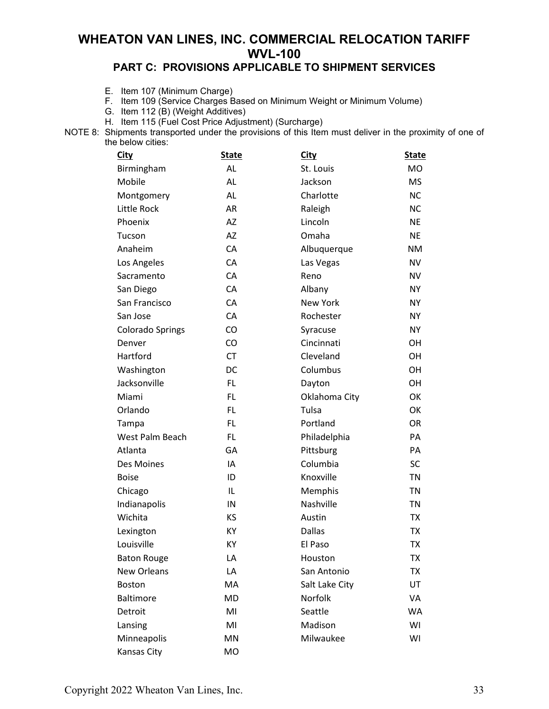### **PART C: PROVISIONS APPLICABLE TO SHIPMENT SERVICES**

- E. Item 107 (Minimum Charge)
- F. Item 109 (Service Charges Based on Minimum Weight or Minimum Volume)
- G. Item 112 (B) (Weight Additives)
- H. Item 115 (Fuel Cost Price Adjustment) (Surcharge)
- NOTE 8: Shipments transported under the provisions of this Item must deliver in the proximity of one of the below cities:

| City                    | <b>State</b> | City            | <b>State</b> |
|-------------------------|--------------|-----------------|--------------|
| Birmingham              | <b>AL</b>    | St. Louis       | <b>MO</b>    |
| Mobile                  | <b>AL</b>    | Jackson         | <b>MS</b>    |
| Montgomery              | AL           | Charlotte       | <b>NC</b>    |
| Little Rock             | <b>AR</b>    | Raleigh         | <b>NC</b>    |
| Phoenix                 | AZ           | Lincoln         | <b>NE</b>    |
| Tucson                  | <b>AZ</b>    | Omaha           | <b>NE</b>    |
| Anaheim                 | CA           | Albuquerque     | <b>NM</b>    |
| Los Angeles             | CA           | Las Vegas       | <b>NV</b>    |
| Sacramento              | CA           | Reno            | <b>NV</b>    |
| San Diego               | CA           | Albany          | <b>NY</b>    |
| San Francisco           | CA           | <b>New York</b> | <b>NY</b>    |
| San Jose                | CA           | Rochester       | <b>NY</b>    |
| <b>Colorado Springs</b> | CO           | Syracuse        | <b>NY</b>    |
| Denver                  | CO           | Cincinnati      | OH           |
| Hartford                | <b>CT</b>    | Cleveland       | OH           |
| Washington              | DC           | Columbus        | OH           |
| Jacksonville            | <b>FL</b>    | Dayton          | <b>OH</b>    |
| Miami                   | FL.          | Oklahoma City   | OK           |
| Orlando                 | <b>FL</b>    | Tulsa           | OK           |
| Tampa                   | <b>FL</b>    | Portland        | <b>OR</b>    |
| West Palm Beach         | <b>FL</b>    | Philadelphia    | PA           |
| Atlanta                 | GA           | Pittsburg       | PA           |
| Des Moines              | IA           | Columbia        | <b>SC</b>    |
| <b>Boise</b>            | ID           | Knoxville       | <b>TN</b>    |
| Chicago                 | IL           | Memphis         | <b>TN</b>    |
| Indianapolis            | IN           | Nashville       | <b>TN</b>    |
| Wichita                 | KS           | Austin          | <b>TX</b>    |
| Lexington               | KY           | <b>Dallas</b>   | <b>TX</b>    |
| Louisville              | KY           | El Paso         | <b>TX</b>    |
| <b>Baton Rouge</b>      | LA           | Houston         | ТX           |
| <b>New Orleans</b>      | LA           | San Antonio     | <b>TX</b>    |
| <b>Boston</b>           | MA           | Salt Lake City  | UT           |
| <b>Baltimore</b>        | <b>MD</b>    | Norfolk         | VA           |
| Detroit                 | MI           | Seattle         | WA           |
| Lansing                 | MI           | Madison         | WI           |
| Minneapolis             | MN           | Milwaukee       | WI           |
| Kansas City             | <b>MO</b>    |                 |              |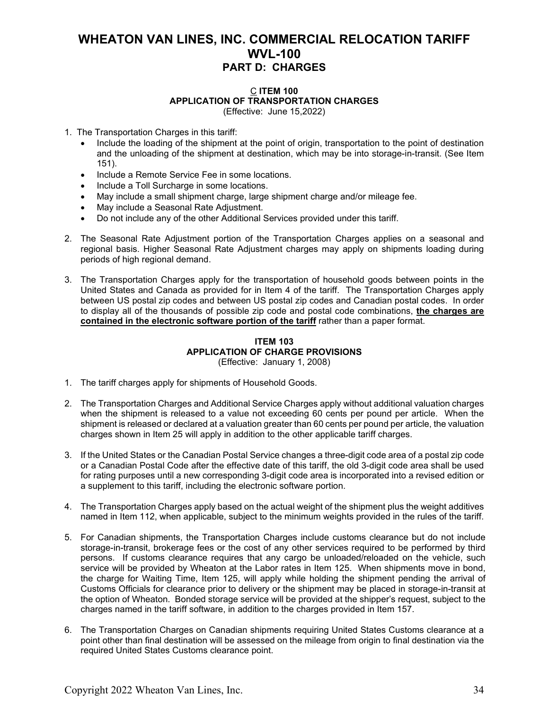### C **ITEM 100 APPLICATION OF TRANSPORTATION CHARGES**

(Effective: June 15,2022)

- 1. The Transportation Charges in this tariff:
	- Include the loading of the shipment at the point of origin, transportation to the point of destination and the unloading of the shipment at destination, which may be into storage-in-transit. (See Item 151).
	- Include a Remote Service Fee in some locations.
	- Include a Toll Surcharge in some locations.
	- May include a small shipment charge, large shipment charge and/or mileage fee.
	- May include a Seasonal Rate Adjustment.
	- Do not include any of the other Additional Services provided under this tariff.
- 2. The Seasonal Rate Adjustment portion of the Transportation Charges applies on a seasonal and regional basis. Higher Seasonal Rate Adjustment charges may apply on shipments loading during periods of high regional demand.
- 3. The Transportation Charges apply for the transportation of household goods between points in the United States and Canada as provided for in Item 4 of the tariff. The Transportation Charges apply between US postal zip codes and between US postal zip codes and Canadian postal codes. In order to display all of the thousands of possible zip code and postal code combinations, **the charges are contained in the electronic software portion of the tariff** rather than a paper format.

#### **ITEM 103 APPLICATION OF CHARGE PROVISIONS** (Effective: January 1, 2008)

- 1. The tariff charges apply for shipments of Household Goods.
- 2. The Transportation Charges and Additional Service Charges apply without additional valuation charges when the shipment is released to a value not exceeding 60 cents per pound per article. When the shipment is released or declared at a valuation greater than 60 cents per pound per article, the valuation charges shown in Item 25 will apply in addition to the other applicable tariff charges.
- 3. If the United States or the Canadian Postal Service changes a three-digit code area of a postal zip code or a Canadian Postal Code after the effective date of this tariff, the old 3-digit code area shall be used for rating purposes until a new corresponding 3-digit code area is incorporated into a revised edition or a supplement to this tariff, including the electronic software portion.
- 4. The Transportation Charges apply based on the actual weight of the shipment plus the weight additives named in Item 112, when applicable, subject to the minimum weights provided in the rules of the tariff.
- 5. For Canadian shipments, the Transportation Charges include customs clearance but do not include storage-in-transit, brokerage fees or the cost of any other services required to be performed by third persons. If customs clearance requires that any cargo be unloaded/reloaded on the vehicle, such service will be provided by Wheaton at the Labor rates in Item 125. When shipments move in bond, the charge for Waiting Time, Item 125, will apply while holding the shipment pending the arrival of Customs Officials for clearance prior to delivery or the shipment may be placed in storage-in-transit at the option of Wheaton. Bonded storage service will be provided at the shipper's request, subject to the charges named in the tariff software, in addition to the charges provided in Item 157.
- 6. The Transportation Charges on Canadian shipments requiring United States Customs clearance at a point other than final destination will be assessed on the mileage from origin to final destination via the required United States Customs clearance point.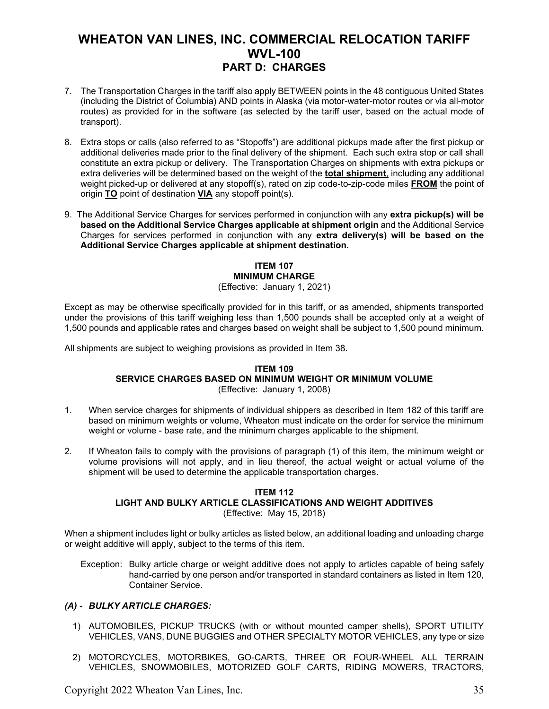- 7. The Transportation Charges in the tariff also apply BETWEEN points in the 48 contiguous United States (including the District of Columbia) AND points in Alaska (via motor-water-motor routes or via all-motor routes) as provided for in the software (as selected by the tariff user, based on the actual mode of transport).
- 8. Extra stops or calls (also referred to as "Stopoffs") are additional pickups made after the first pickup or additional deliveries made prior to the final delivery of the shipment. Each such extra stop or call shall constitute an extra pickup or delivery. The Transportation Charges on shipments with extra pickups or extra deliveries will be determined based on the weight of the **total shipment**, including any additional weight picked-up or delivered at any stopoff(s), rated on zip code-to-zip-code miles **FROM** the point of origin **TO** point of destination **VIA** any stopoff point(s).
- 9. The Additional Service Charges for services performed in conjunction with any **extra pickup(s) will be based on the Additional Service Charges applicable at shipment origin** and the Additional Service Charges for services performed in conjunction with any **extra delivery(s) will be based on the Additional Service Charges applicable at shipment destination.**

#### **ITEM 107 MINIMUM CHARGE** (Effective: January 1, 2021)

Except as may be otherwise specifically provided for in this tariff, or as amended, shipments transported under the provisions of this tariff weighing less than 1,500 pounds shall be accepted only at a weight of 1,500 pounds and applicable rates and charges based on weight shall be subject to 1,500 pound minimum.

All shipments are subject to weighing provisions as provided in Item 38.

#### **ITEM 109 SERVICE CHARGES BASED ON MINIMUM WEIGHT OR MINIMUM VOLUME** (Effective: January 1, 2008)

- 1. When service charges for shipments of individual shippers as described in Item 182 of this tariff are based on minimum weights or volume, Wheaton must indicate on the order for service the minimum weight or volume - base rate, and the minimum charges applicable to the shipment.
- 2. If Wheaton fails to comply with the provisions of paragraph (1) of this item, the minimum weight or volume provisions will not apply, and in lieu thereof, the actual weight or actual volume of the shipment will be used to determine the applicable transportation charges.

#### **ITEM 112**

#### **LIGHT AND BULKY ARTICLE CLASSIFICATIONS AND WEIGHT ADDITIVES**

(Effective: May 15, 2018)

When a shipment includes light or bulky articles as listed below, an additional loading and unloading charge or weight additive will apply, subject to the terms of this item.

Exception: Bulky article charge or weight additive does not apply to articles capable of being safely hand-carried by one person and/or transported in standard containers as listed in Item 120, Container Service.

#### *(A) - BULKY ARTICLE CHARGES:*

- 1) AUTOMOBILES, PICKUP TRUCKS (with or without mounted camper shells), SPORT UTILITY VEHICLES, VANS, DUNE BUGGIES and OTHER SPECIALTY MOTOR VEHICLES, any type or size
- 2) MOTORCYCLES, MOTORBIKES, GO-CARTS, THREE OR FOUR-WHEEL ALL TERRAIN VEHICLES, SNOWMOBILES, MOTORIZED GOLF CARTS, RIDING MOWERS, TRACTORS,

Copyright 2022 Wheaton Van Lines, Inc. 35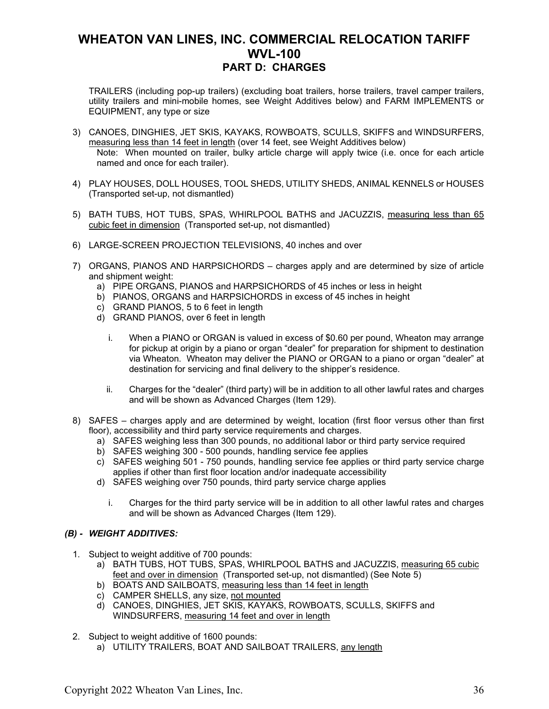TRAILERS (including pop-up trailers) (excluding boat trailers, horse trailers, travel camper trailers, utility trailers and mini-mobile homes, see Weight Additives below) and FARM IMPLEMENTS or EQUIPMENT, any type or size

- 3) CANOES, DINGHIES, JET SKIS, KAYAKS, ROWBOATS, SCULLS, SKIFFS and WINDSURFERS, measuring less than 14 feet in length (over 14 feet, see Weight Additives below) Note: When mounted on trailer, bulky article charge will apply twice (i.e. once for each article named and once for each trailer).
- 4) PLAY HOUSES, DOLL HOUSES, TOOL SHEDS, UTILITY SHEDS, ANIMAL KENNELS or HOUSES (Transported set-up, not dismantled)
- 5) BATH TUBS, HOT TUBS, SPAS, WHIRLPOOL BATHS and JACUZZIS, measuring less than 65 cubic feet in dimension (Transported set-up, not dismantled)
- 6) LARGE-SCREEN PROJECTION TELEVISIONS, 40 inches and over
- 7) ORGANS, PIANOS AND HARPSICHORDS charges apply and are determined by size of article and shipment weight:
	- a) PIPE ORGANS, PIANOS and HARPSICHORDS of 45 inches or less in height
	- b) PIANOS, ORGANS and HARPSICHORDS in excess of 45 inches in height
	- c) GRAND PIANOS, 5 to 6 feet in length
	- d) GRAND PIANOS, over 6 feet in length
		- i. When a PIANO or ORGAN is valued in excess of \$0.60 per pound, Wheaton may arrange for pickup at origin by a piano or organ "dealer" for preparation for shipment to destination via Wheaton. Wheaton may deliver the PIANO or ORGAN to a piano or organ "dealer" at destination for servicing and final delivery to the shipper's residence.
		- ii. Charges for the "dealer" (third party) will be in addition to all other lawful rates and charges and will be shown as Advanced Charges (Item 129).
- 8) SAFES charges apply and are determined by weight, location (first floor versus other than first floor), accessibility and third party service requirements and charges.
	- a) SAFES weighing less than 300 pounds, no additional labor or third party service required
	- b) SAFES weighing 300 500 pounds, handling service fee applies
	- c) SAFES weighing 501 750 pounds, handling service fee applies or third party service charge applies if other than first floor location and/or inadequate accessibility
	- d) SAFES weighing over 750 pounds, third party service charge applies
		- i. Charges for the third party service will be in addition to all other lawful rates and charges and will be shown as Advanced Charges (Item 129).

#### *(B) - WEIGHT ADDITIVES:*

- 1. Subject to weight additive of 700 pounds:
	- a) BATH TUBS, HOT TUBS, SPAS, WHIRLPOOL BATHS and JACUZZIS, measuring 65 cubic feet and over in dimension (Transported set-up, not dismantled) (See Note 5)
	- b) BOATS AND SAILBOATS, measuring less than 14 feet in length
	- c) CAMPER SHELLS, any size, not mounted
	- d) CANOES, DINGHIES, JET SKIS, KAYAKS, ROWBOATS, SCULLS, SKIFFS and WINDSURFERS, measuring 14 feet and over in length
- 2. Subject to weight additive of 1600 pounds:
	- a) UTILITY TRAILERS, BOAT AND SAILBOAT TRAILERS, any length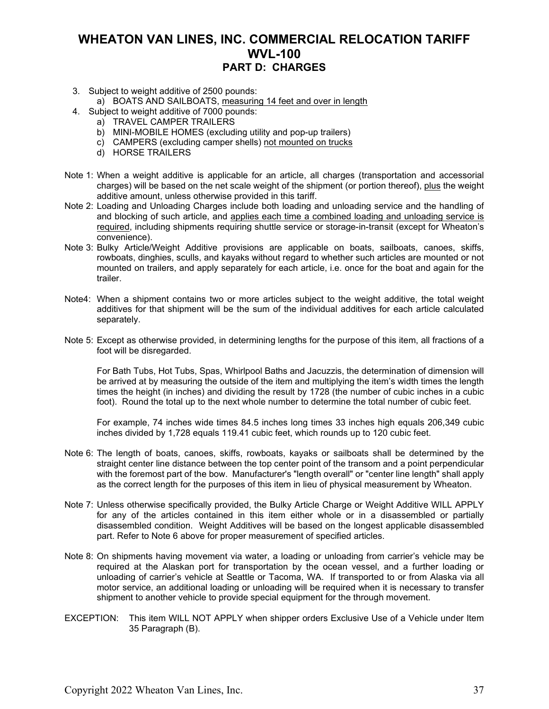- 3. Subject to weight additive of 2500 pounds:
	- a) BOATS AND SAILBOATS, measuring 14 feet and over in length
- 4. Subject to weight additive of 7000 pounds:
	- a) TRAVEL CAMPER TRAILERS
	- b) MINI-MOBILE HOMES (excluding utility and pop-up trailers)
	- c) CAMPERS (excluding camper shells) not mounted on trucks
	- d) HORSE TRAILERS
- Note 1: When a weight additive is applicable for an article, all charges (transportation and accessorial charges) will be based on the net scale weight of the shipment (or portion thereof), plus the weight additive amount, unless otherwise provided in this tariff.
- Note 2: Loading and Unloading Charges include both loading and unloading service and the handling of and blocking of such article, and applies each time a combined loading and unloading service is required, including shipments requiring shuttle service or storage-in-transit (except for Wheaton's convenience).
- Note 3: Bulky Article/Weight Additive provisions are applicable on boats, sailboats, canoes, skiffs, rowboats, dinghies, sculls, and kayaks without regard to whether such articles are mounted or not mounted on trailers, and apply separately for each article, i.e. once for the boat and again for the trailer.
- Note4: When a shipment contains two or more articles subject to the weight additive, the total weight additives for that shipment will be the sum of the individual additives for each article calculated separately.
- Note 5: Except as otherwise provided, in determining lengths for the purpose of this item, all fractions of a foot will be disregarded.

For Bath Tubs, Hot Tubs, Spas, Whirlpool Baths and Jacuzzis, the determination of dimension will be arrived at by measuring the outside of the item and multiplying the item's width times the length times the height (in inches) and dividing the result by 1728 (the number of cubic inches in a cubic foot). Round the total up to the next whole number to determine the total number of cubic feet.

For example, 74 inches wide times 84.5 inches long times 33 inches high equals 206,349 cubic inches divided by 1,728 equals 119.41 cubic feet, which rounds up to 120 cubic feet.

- Note 6: The length of boats, canoes, skiffs, rowboats, kayaks or sailboats shall be determined by the straight center line distance between the top center point of the transom and a point perpendicular with the foremost part of the bow. Manufacturer's "length overall" or "center line length" shall apply as the correct length for the purposes of this item in lieu of physical measurement by Wheaton.
- Note 7: Unless otherwise specifically provided, the Bulky Article Charge or Weight Additive WILL APPLY for any of the articles contained in this item either whole or in a disassembled or partially disassembled condition. Weight Additives will be based on the longest applicable disassembled part. Refer to Note 6 above for proper measurement of specified articles.
- Note 8: On shipments having movement via water, a loading or unloading from carrier's vehicle may be required at the Alaskan port for transportation by the ocean vessel, and a further loading or unloading of carrier's vehicle at Seattle or Tacoma, WA. If transported to or from Alaska via all motor service, an additional loading or unloading will be required when it is necessary to transfer shipment to another vehicle to provide special equipment for the through movement.
- EXCEPTION: This item WILL NOT APPLY when shipper orders Exclusive Use of a Vehicle under Item 35 Paragraph (B).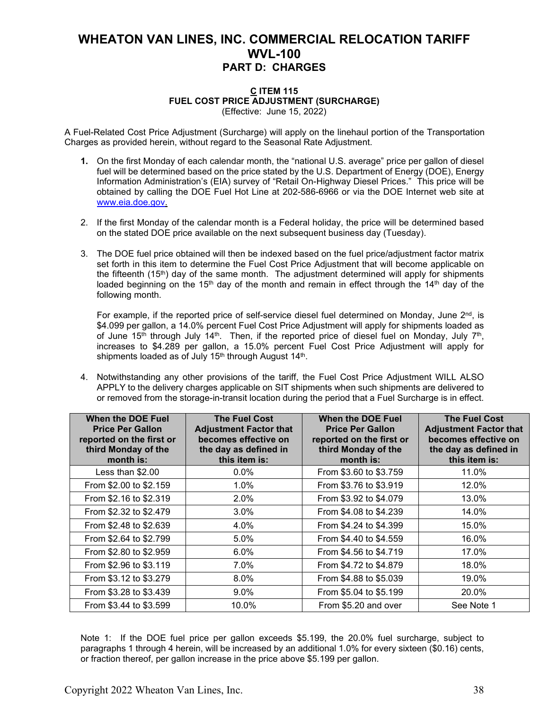#### **C ITEM 115 FUEL COST PRICE ADJUSTMENT (SURCHARGE)** (Effective: June 15, 2022)

A Fuel-Related Cost Price Adjustment (Surcharge) will apply on the linehaul portion of the Transportation Charges as provided herein, without regard to the Seasonal Rate Adjustment.

- **1.** On the first Monday of each calendar month, the "national U.S. average" price per gallon of diesel fuel will be determined based on the price stated by the U.S. Department of Energy (DOE), Energy Information Administration's (EIA) survey of "Retail On-Highway Diesel Prices." This price will be obtained by calling the DOE Fuel Hot Line at 202-586-6966 or via the DOE Internet web site at [www.eia.doe.gov.](http://www.eia.doe.gov/)
- 2. If the first Monday of the calendar month is a Federal holiday, the price will be determined based on the stated DOE price available on the next subsequent business day (Tuesday).
- 3. The DOE fuel price obtained will then be indexed based on the fuel price/adjustment factor matrix set forth in this item to determine the Fuel Cost Price Adjustment that will become applicable on the fifteenth (15<sup>th</sup>) day of the same month. The adjustment determined will apply for shipments loaded beginning on the 15<sup>th</sup> day of the month and remain in effect through the 14<sup>th</sup> day of the following month.

For example, if the reported price of self-service diesel fuel determined on Monday, June 2<sup>nd</sup>, is \$4.099 per gallon, a 14.0% percent Fuel Cost Price Adjustment will apply for shipments loaded as of June 15<sup>th</sup> through July 14<sup>th</sup>. Then, if the reported price of diesel fuel on Monday, July 7<sup>th</sup>, increases to \$4.289 per gallon, a 15.0% percent Fuel Cost Price Adjustment will apply for shipments loaded as of July 15<sup>th</sup> through August  $14<sup>th</sup>$ .

4. Notwithstanding any other provisions of the tariff, the Fuel Cost Price Adjustment WILL ALSO APPLY to the delivery charges applicable on SIT shipments when such shipments are delivered to or removed from the storage-in-transit location during the period that a Fuel Surcharge is in effect.

| When the DOE Fuel<br><b>Price Per Gallon</b><br>reported on the first or<br>third Monday of the<br>month is: | <b>The Fuel Cost</b><br><b>Adjustment Factor that</b><br>becomes effective on<br>the day as defined in<br>this item is: | When the DOE Fuel<br><b>Price Per Gallon</b><br>reported on the first or<br>third Monday of the<br>month is: | <b>The Fuel Cost</b><br><b>Adjustment Factor that</b><br>becomes effective on<br>the day as defined in<br>this item is: |
|--------------------------------------------------------------------------------------------------------------|-------------------------------------------------------------------------------------------------------------------------|--------------------------------------------------------------------------------------------------------------|-------------------------------------------------------------------------------------------------------------------------|
| Less than \$2.00                                                                                             | $0.0\%$                                                                                                                 | From \$3.60 to \$3.759                                                                                       | 11.0%                                                                                                                   |
| From \$2.00 to \$2.159                                                                                       | 1.0%                                                                                                                    | From \$3.76 to \$3.919                                                                                       | 12.0%                                                                                                                   |
| From \$2.16 to \$2.319                                                                                       | $2.0\%$                                                                                                                 | From \$3.92 to \$4.079                                                                                       | 13.0%                                                                                                                   |
| From \$2.32 to \$2.479                                                                                       | 3.0%                                                                                                                    | From \$4.08 to \$4.239                                                                                       | 14.0%                                                                                                                   |
| From \$2.48 to \$2.639                                                                                       | 4.0%                                                                                                                    | From \$4.24 to \$4.399                                                                                       | 15.0%                                                                                                                   |
| From \$2.64 to \$2.799                                                                                       | 5.0%                                                                                                                    | From \$4.40 to \$4.559                                                                                       | 16.0%                                                                                                                   |
| From \$2.80 to \$2.959                                                                                       | 6.0%                                                                                                                    | From \$4.56 to \$4.719                                                                                       | 17.0%                                                                                                                   |
| From \$2.96 to \$3.119                                                                                       | 7.0%                                                                                                                    | From \$4.72 to \$4.879                                                                                       | 18.0%                                                                                                                   |
| From \$3.12 to \$3.279                                                                                       | 8.0%                                                                                                                    | From \$4.88 to \$5.039                                                                                       | 19.0%                                                                                                                   |
| From \$3.28 to \$3.439                                                                                       | 9.0%                                                                                                                    | From \$5.04 to \$5.199                                                                                       | 20.0%                                                                                                                   |
| From \$3.44 to \$3.599                                                                                       | 10.0%                                                                                                                   | From \$5.20 and over                                                                                         | See Note 1                                                                                                              |

Note 1: If the DOE fuel price per gallon exceeds \$5.199, the 20.0% fuel surcharge, subject to paragraphs 1 through 4 herein, will be increased by an additional 1.0% for every sixteen (\$0.16) cents, or fraction thereof, per gallon increase in the price above \$5.199 per gallon.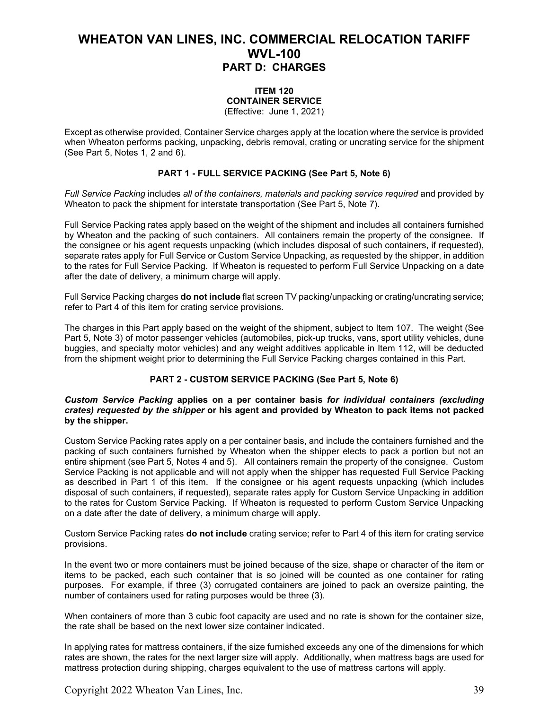### **ITEM 120 CONTAINER SERVICE**

(Effective: June 1, 2021)

Except as otherwise provided, Container Service charges apply at the location where the service is provided when Wheaton performs packing, unpacking, debris removal, crating or uncrating service for the shipment (See Part 5, Notes 1, 2 and 6).

#### **PART 1 - FULL SERVICE PACKING (See Part 5, Note 6)**

*Full Service Packing* includes *all of the containers, materials and packing service required* and provided by Wheaton to pack the shipment for interstate transportation (See Part 5, Note 7).

Full Service Packing rates apply based on the weight of the shipment and includes all containers furnished by Wheaton and the packing of such containers. All containers remain the property of the consignee. If the consignee or his agent requests unpacking (which includes disposal of such containers, if requested), separate rates apply for Full Service or Custom Service Unpacking, as requested by the shipper, in addition to the rates for Full Service Packing. If Wheaton is requested to perform Full Service Unpacking on a date after the date of delivery, a minimum charge will apply.

Full Service Packing charges **do not include** flat screen TV packing/unpacking or crating/uncrating service; refer to Part 4 of this item for crating service provisions.

The charges in this Part apply based on the weight of the shipment, subject to Item 107. The weight (See Part 5, Note 3) of motor passenger vehicles (automobiles, pick-up trucks, vans, sport utility vehicles, dune buggies, and specialty motor vehicles) and any weight additives applicable in Item 112, will be deducted from the shipment weight prior to determining the Full Service Packing charges contained in this Part.

#### **PART 2 - CUSTOM SERVICE PACKING (See Part 5, Note 6)**

#### *Custom Service Packing* **applies on a per container basis** *for individual containers (excluding crates) requested by the shipper* **or his agent and provided by Wheaton to pack items not packed by the shipper.**

Custom Service Packing rates apply on a per container basis, and include the containers furnished and the packing of such containers furnished by Wheaton when the shipper elects to pack a portion but not an entire shipment (see Part 5, Notes 4 and 5). All containers remain the property of the consignee. Custom Service Packing is not applicable and will not apply when the shipper has requested Full Service Packing as described in Part 1 of this item. If the consignee or his agent requests unpacking (which includes disposal of such containers, if requested), separate rates apply for Custom Service Unpacking in addition to the rates for Custom Service Packing. If Wheaton is requested to perform Custom Service Unpacking on a date after the date of delivery, a minimum charge will apply.

Custom Service Packing rates **do not include** crating service; refer to Part 4 of this item for crating service provisions.

In the event two or more containers must be joined because of the size, shape or character of the item or items to be packed, each such container that is so joined will be counted as one container for rating purposes. For example, if three (3) corrugated containers are joined to pack an oversize painting, the number of containers used for rating purposes would be three (3).

When containers of more than 3 cubic foot capacity are used and no rate is shown for the container size, the rate shall be based on the next lower size container indicated.

In applying rates for mattress containers, if the size furnished exceeds any one of the dimensions for which rates are shown, the rates for the next larger size will apply. Additionally, when mattress bags are used for mattress protection during shipping, charges equivalent to the use of mattress cartons will apply.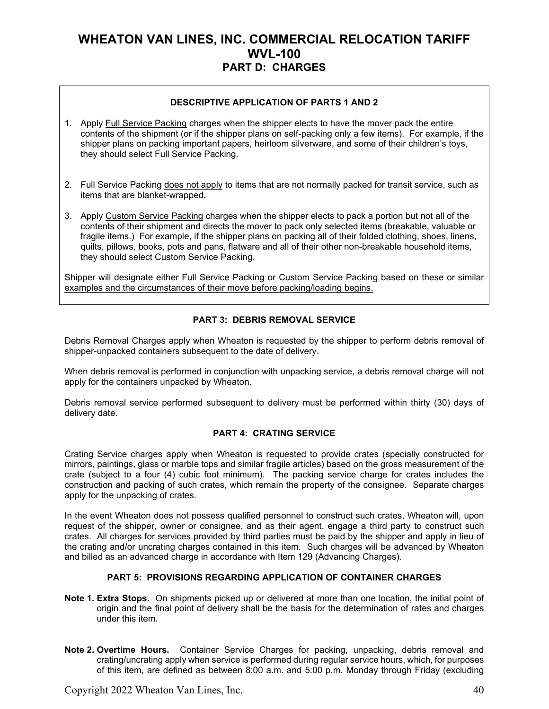#### **DESCRIPTIVE APPLICATION OF PARTS 1 AND 2**

- 1. Apply Full Service Packing charges when the shipper elects to have the mover pack the entire contents of the shipment (or if the shipper plans on self-packing only a few items). For example, if the shipper plans on packing important papers, heirloom silverware, and some of their children's toys, they should select Full Service Packing.
- 2. Full Service Packing does not apply to items that are not normally packed for transit service, such as items that are blanket-wrapped.
- 3. Apply Custom Service Packing charges when the shipper elects to pack a portion but not all of the contents of their shipment and directs the mover to pack only selected items (breakable, valuable or fragile items.) For example, if the shipper plans on packing all of their folded clothing, shoes, linens, quilts, pillows, books, pots and pans, flatware and all of their other non-breakable household items, they should select Custom Service Packing.

Shipper will designate either Full Service Packing or Custom Service Packing based on these or similar examples and the circumstances of their move before packing/loading begins.

#### **PART 3: DEBRIS REMOVAL SERVICE**

Debris Removal Charges apply when Wheaton is requested by the shipper to perform debris removal of shipper-unpacked containers subsequent to the date of delivery.

When debris removal is performed in conjunction with unpacking service, a debris removal charge will not apply for the containers unpacked by Wheaton.

Debris removal service performed subsequent to delivery must be performed within thirty (30) days of delivery date.

#### **PART 4: CRATING SERVICE**

Crating Service charges apply when Wheaton is requested to provide crates (specially constructed for mirrors, paintings, glass or marble tops and similar fragile articles) based on the gross measurement of the crate (subject to a four (4) cubic foot minimum). The packing service charge for crates includes the construction and packing of such crates, which remain the property of the consignee. Separate charges apply for the unpacking of crates.

In the event Wheaton does not possess qualified personnel to construct such crates, Wheaton will, upon request of the shipper, owner or consignee, and as their agent, engage a third party to construct such crates. All charges for services provided by third parties must be paid by the shipper and apply in lieu of the crating and/or uncrating charges contained in this item. Such charges will be advanced by Wheaton and billed as an advanced charge in accordance with Item 129 (Advancing Charges).

#### **PART 5: PROVISIONS REGARDING APPLICATION OF CONTAINER CHARGES**

- **Note 1. Extra Stops.** On shipments picked up or delivered at more than one location, the initial point of origin and the final point of delivery shall be the basis for the determination of rates and charges under this item.
- **Note 2. Overtime Hours.** Container Service Charges for packing, unpacking, debris removal and crating/uncrating apply when service is performed during regular service hours, which, for purposes of this item, are defined as between 8:00 a.m. and 5:00 p.m. Monday through Friday (excluding

Copyright 2022 Wheaton Van Lines, Inc. 40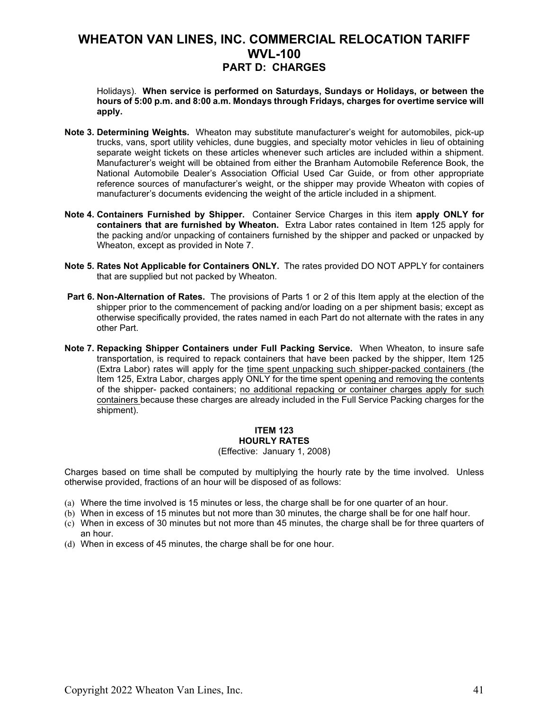Holidays). **When service is performed on Saturdays, Sundays or Holidays, or between the hours of 5:00 p.m. and 8:00 a.m. Mondays through Fridays, charges for overtime service will apply.** 

- **Note 3. Determining Weights.** Wheaton may substitute manufacturer's weight for automobiles, pick-up trucks, vans, sport utility vehicles, dune buggies, and specialty motor vehicles in lieu of obtaining separate weight tickets on these articles whenever such articles are included within a shipment. Manufacturer's weight will be obtained from either the Branham Automobile Reference Book, the National Automobile Dealer's Association Official Used Car Guide, or from other appropriate reference sources of manufacturer's weight, or the shipper may provide Wheaton with copies of manufacturer's documents evidencing the weight of the article included in a shipment.
- **Note 4. Containers Furnished by Shipper.** Container Service Charges in this item **apply ONLY for containers that are furnished by Wheaton.** Extra Labor rates contained in Item 125 apply for the packing and/or unpacking of containers furnished by the shipper and packed or unpacked by Wheaton, except as provided in Note 7.
- **Note 5. Rates Not Applicable for Containers ONLY.** The rates provided DO NOT APPLY for containers that are supplied but not packed by Wheaton.
- **Part 6. Non-Alternation of Rates.** The provisions of Parts 1 or 2 of this Item apply at the election of the shipper prior to the commencement of packing and/or loading on a per shipment basis; except as otherwise specifically provided, the rates named in each Part do not alternate with the rates in any other Part.
- **Note 7. Repacking Shipper Containers under Full Packing Service.** When Wheaton, to insure safe transportation, is required to repack containers that have been packed by the shipper, Item 125 (Extra Labor) rates will apply for the time spent unpacking such shipper-packed containers (the Item 125, Extra Labor, charges apply ONLY for the time spent opening and removing the contents of the shipper- packed containers; no additional repacking or container charges apply for such containers because these charges are already included in the Full Service Packing charges for the shipment).

#### **ITEM 123 HOURLY RATES**

#### (Effective: January 1, 2008)

Charges based on time shall be computed by multiplying the hourly rate by the time involved. Unless otherwise provided, fractions of an hour will be disposed of as follows:

- (a) Where the time involved is 15 minutes or less, the charge shall be for one quarter of an hour.
- (b) When in excess of 15 minutes but not more than 30 minutes, the charge shall be for one half hour.
- (c) When in excess of 30 minutes but not more than 45 minutes, the charge shall be for three quarters of an hour.
- (d) When in excess of 45 minutes, the charge shall be for one hour.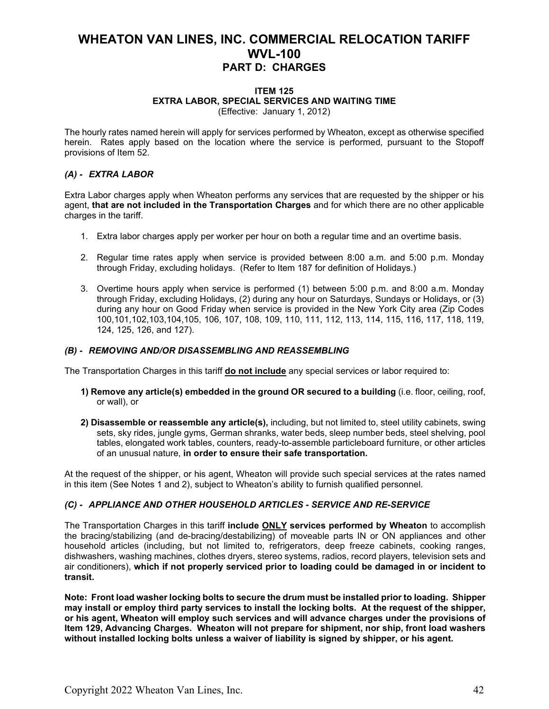#### **ITEM 125 EXTRA LABOR, SPECIAL SERVICES AND WAITING TIME** (Effective: January 1, 2012)

The hourly rates named herein will apply for services performed by Wheaton, except as otherwise specified herein. Rates apply based on the location where the service is performed, pursuant to the Stopoff provisions of Item 52.

### *(A) - EXTRA LABOR*

Extra Labor charges apply when Wheaton performs any services that are requested by the shipper or his agent, **that are not included in the Transportation Charges** and for which there are no other applicable charges in the tariff.

- 1. Extra labor charges apply per worker per hour on both a regular time and an overtime basis.
- 2. Regular time rates apply when service is provided between 8:00 a.m. and 5:00 p.m. Monday through Friday, excluding holidays. (Refer to Item 187 for definition of Holidays.)
- 3. Overtime hours apply when service is performed (1) between 5:00 p.m. and 8:00 a.m. Monday through Friday, excluding Holidays, (2) during any hour on Saturdays, Sundays or Holidays, or (3) during any hour on Good Friday when service is provided in the New York City area (Zip Codes 100,101,102,103,104,105, 106, 107, 108, 109, 110, 111, 112, 113, 114, 115, 116, 117, 118, 119, 124, 125, 126, and 127).

#### *(B) - REMOVING AND/OR DISASSEMBLING AND REASSEMBLING*

The Transportation Charges in this tariff **do not include** any special services or labor required to:

- **1) Remove any article(s) embedded in the ground OR secured to a building** (i.e. floor, ceiling, roof, or wall), or
- **2) Disassemble or reassemble any article(s),** including, but not limited to, steel utility cabinets, swing sets, sky rides, jungle gyms, German shranks, water beds, sleep number beds, steel shelving, pool tables, elongated work tables, counters, ready-to-assemble particleboard furniture, or other articles of an unusual nature, **in order to ensure their safe transportation.**

At the request of the shipper, or his agent, Wheaton will provide such special services at the rates named in this item (See Notes 1 and 2), subject to Wheaton's ability to furnish qualified personnel.

#### *(C) - APPLIANCE AND OTHER HOUSEHOLD ARTICLES - SERVICE AND RE-SERVICE*

The Transportation Charges in this tariff **include ONLY services performed by Wheaton** to accomplish the bracing/stabilizing (and de-bracing/destabilizing) of moveable parts IN or ON appliances and other household articles (including, but not limited to, refrigerators, deep freeze cabinets, cooking ranges, dishwashers, washing machines, clothes dryers, stereo systems, radios, record players, television sets and air conditioners), **which if not properly serviced prior to loading could be damaged in or incident to transit.**

**Note: Front load washer locking bolts to secure the drum must be installed prior to loading. Shipper may install or employ third party services to install the locking bolts. At the request of the shipper, or his agent, Wheaton will employ such services and will advance charges under the provisions of Item 129, Advancing Charges. Wheaton will not prepare for shipment, nor ship, front load washers without installed locking bolts unless a waiver of liability is signed by shipper, or his agent.**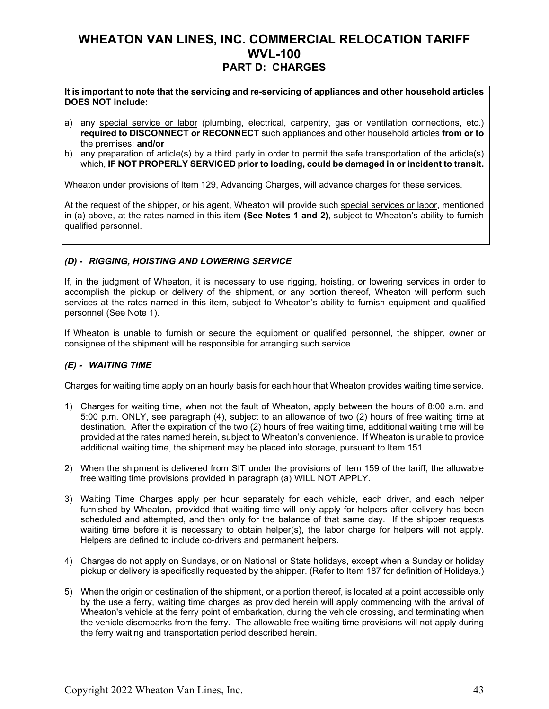**It is important to note that the servicing and re-servicing of appliances and other household articles DOES NOT include:**

- a) any special service or labor (plumbing, electrical, carpentry, gas or ventilation connections, etc.) **required to DISCONNECT or RECONNECT** such appliances and other household articles **from or to** the premises; **and/or**
- b) any preparation of article(s) by a third party in order to permit the safe transportation of the article(s) which, **IF NOT PROPERLY SERVICED prior to loading, could be damaged in or incident to transit.**

Wheaton under provisions of Item 129, Advancing Charges, will advance charges for these services.

At the request of the shipper, or his agent, Wheaton will provide such special services or labor, mentioned in (a) above, at the rates named in this item **(See Notes 1 and 2)**, subject to Wheaton's ability to furnish qualified personnel.

#### *(D) - RIGGING, HOISTING AND LOWERING SERVICE*

If, in the judgment of Wheaton, it is necessary to use rigging, hoisting, or lowering services in order to accomplish the pickup or delivery of the shipment, or any portion thereof, Wheaton will perform such services at the rates named in this item, subject to Wheaton's ability to furnish equipment and qualified personnel (See Note 1).

If Wheaton is unable to furnish or secure the equipment or qualified personnel, the shipper, owner or consignee of the shipment will be responsible for arranging such service.

#### *(E) - WAITING TIME*

Charges for waiting time apply on an hourly basis for each hour that Wheaton provides waiting time service.

- 1) Charges for waiting time, when not the fault of Wheaton, apply between the hours of 8:00 a.m. and 5:00 p.m. ONLY, see paragraph (4), subject to an allowance of two (2) hours of free waiting time at destination. After the expiration of the two (2) hours of free waiting time, additional waiting time will be provided at the rates named herein, subject to Wheaton's convenience. If Wheaton is unable to provide additional waiting time, the shipment may be placed into storage, pursuant to Item 151.
- 2) When the shipment is delivered from SIT under the provisions of Item 159 of the tariff, the allowable free waiting time provisions provided in paragraph (a) WILL NOT APPLY.
- 3) Waiting Time Charges apply per hour separately for each vehicle, each driver, and each helper furnished by Wheaton, provided that waiting time will only apply for helpers after delivery has been scheduled and attempted, and then only for the balance of that same day. If the shipper requests waiting time before it is necessary to obtain helper(s), the labor charge for helpers will not apply. Helpers are defined to include co-drivers and permanent helpers.
- 4) Charges do not apply on Sundays, or on National or State holidays, except when a Sunday or holiday pickup or delivery is specifically requested by the shipper. (Refer to Item 187 for definition of Holidays.)
- 5) When the origin or destination of the shipment, or a portion thereof, is located at a point accessible only by the use a ferry, waiting time charges as provided herein will apply commencing with the arrival of Wheaton's vehicle at the ferry point of embarkation, during the vehicle crossing, and terminating when the vehicle disembarks from the ferry. The allowable free waiting time provisions will not apply during the ferry waiting and transportation period described herein.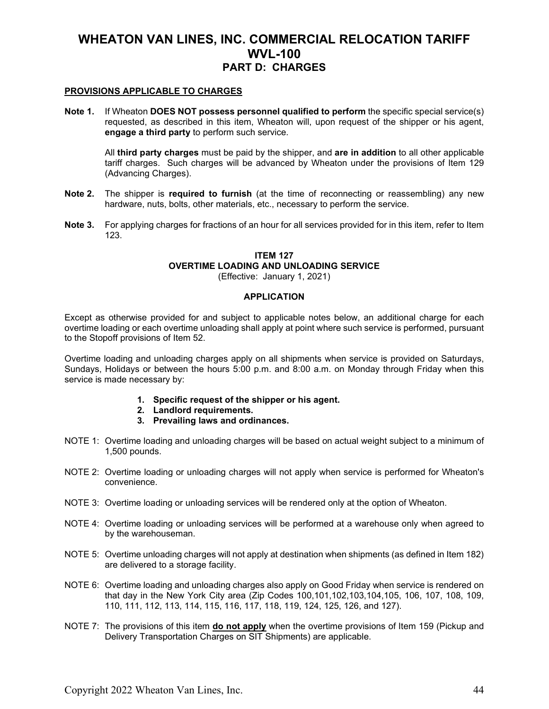#### **PROVISIONS APPLICABLE TO CHARGES**

**Note 1.** If Wheaton **DOES NOT possess personnel qualified to perform** the specific special service(s) requested, as described in this item, Wheaton will, upon request of the shipper or his agent, **engage a third party** to perform such service.

All **third party charges** must be paid by the shipper, and **are in addition** to all other applicable tariff charges. Such charges will be advanced by Wheaton under the provisions of Item 129 (Advancing Charges).

- **Note 2.** The shipper is **required to furnish** (at the time of reconnecting or reassembling) any new hardware, nuts, bolts, other materials, etc., necessary to perform the service.
- **Note 3.** For applying charges for fractions of an hour for all services provided for in this item, refer to Item 123.

### **ITEM 127 OVERTIME LOADING AND UNLOADING SERVICE**

(Effective: January 1, 2021)

#### **APPLICATION**

Except as otherwise provided for and subject to applicable notes below, an additional charge for each overtime loading or each overtime unloading shall apply at point where such service is performed, pursuant to the Stopoff provisions of Item 52.

Overtime loading and unloading charges apply on all shipments when service is provided on Saturdays, Sundays, Holidays or between the hours 5:00 p.m. and 8:00 a.m. on Monday through Friday when this service is made necessary by:

- **1. Specific request of the shipper or his agent.**
- **2. Landlord requirements.**
- **3. Prevailing laws and ordinances.**
- NOTE 1: Overtime loading and unloading charges will be based on actual weight subject to a minimum of 1,500 pounds.
- NOTE 2: Overtime loading or unloading charges will not apply when service is performed for Wheaton's convenience.
- NOTE 3: Overtime loading or unloading services will be rendered only at the option of Wheaton.
- NOTE 4: Overtime loading or unloading services will be performed at a warehouse only when agreed to by the warehouseman.
- NOTE 5: Overtime unloading charges will not apply at destination when shipments (as defined in Item 182) are delivered to a storage facility.
- NOTE 6: Overtime loading and unloading charges also apply on Good Friday when service is rendered on that day in the New York City area (Zip Codes 100,101,102,103,104,105, 106, 107, 108, 109, 110, 111, 112, 113, 114, 115, 116, 117, 118, 119, 124, 125, 126, and 127).
- NOTE 7: The provisions of this item **do not apply** when the overtime provisions of Item 159 (Pickup and Delivery Transportation Charges on SIT Shipments) are applicable.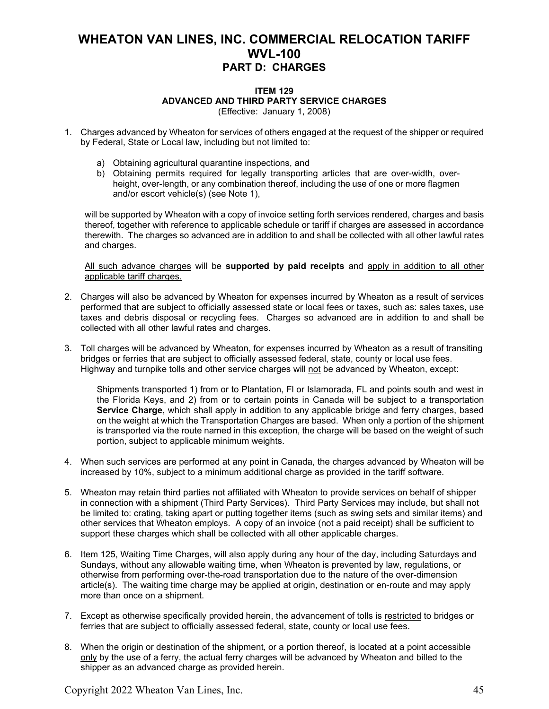#### **ITEM 129 ADVANCED AND THIRD PARTY SERVICE CHARGES** (Effective: January 1, 2008)

- 1. Charges advanced by Wheaton for services of others engaged at the request of the shipper or required by Federal, State or Local law, including but not limited to:
	- a) Obtaining agricultural quarantine inspections, and
	- b) Obtaining permits required for legally transporting articles that are over-width, overheight, over-length, or any combination thereof, including the use of one or more flagmen and/or escort vehicle(s) (see Note 1),

will be supported by Wheaton with a copy of invoice setting forth services rendered, charges and basis thereof, together with reference to applicable schedule or tariff if charges are assessed in accordance therewith. The charges so advanced are in addition to and shall be collected with all other lawful rates and charges.

All such advance charges will be **supported by paid receipts** and apply in addition to all other applicable tariff charges.

- 2. Charges will also be advanced by Wheaton for expenses incurred by Wheaton as a result of services performed that are subject to officially assessed state or local fees or taxes, such as: sales taxes, use taxes and debris disposal or recycling fees. Charges so advanced are in addition to and shall be collected with all other lawful rates and charges.
- 3. Toll charges will be advanced by Wheaton, for expenses incurred by Wheaton as a result of transiting bridges or ferries that are subject to officially assessed federal, state, county or local use fees. Highway and turnpike tolls and other service charges will not be advanced by Wheaton, except:

Shipments transported 1) from or to Plantation, Fl or Islamorada, FL and points south and west in the Florida Keys, and 2) from or to certain points in Canada will be subject to a transportation **Service Charge**, which shall apply in addition to any applicable bridge and ferry charges, based on the weight at which the Transportation Charges are based. When only a portion of the shipment is transported via the route named in this exception, the charge will be based on the weight of such portion, subject to applicable minimum weights.

- 4. When such services are performed at any point in Canada, the charges advanced by Wheaton will be increased by 10%, subject to a minimum additional charge as provided in the tariff software.
- 5. Wheaton may retain third parties not affiliated with Wheaton to provide services on behalf of shipper in connection with a shipment (Third Party Services). Third Party Services may include, but shall not be limited to: crating, taking apart or putting together items (such as swing sets and similar items) and other services that Wheaton employs. A copy of an invoice (not a paid receipt) shall be sufficient to support these charges which shall be collected with all other applicable charges.
- 6. Item 125, Waiting Time Charges, will also apply during any hour of the day, including Saturdays and Sundays, without any allowable waiting time, when Wheaton is prevented by law, regulations, or otherwise from performing over-the-road transportation due to the nature of the over-dimension article(s). The waiting time charge may be applied at origin, destination or en-route and may apply more than once on a shipment.
- 7. Except as otherwise specifically provided herein, the advancement of tolls is restricted to bridges or ferries that are subject to officially assessed federal, state, county or local use fees.
- 8. When the origin or destination of the shipment, or a portion thereof, is located at a point accessible only by the use of a ferry, the actual ferry charges will be advanced by Wheaton and billed to the shipper as an advanced charge as provided herein.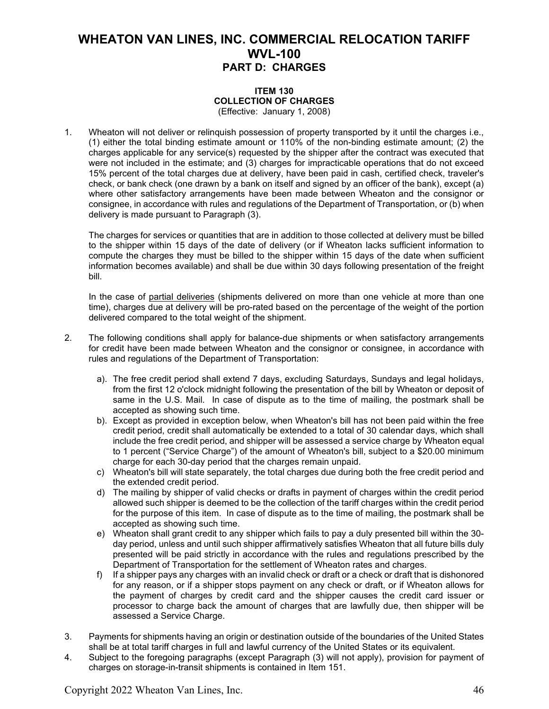#### **ITEM 130 COLLECTION OF CHARGES** (Effective: January 1, 2008)

1. Wheaton will not deliver or relinquish possession of property transported by it until the charges i.e., (1) either the total binding estimate amount or 110% of the non-binding estimate amount; (2) the charges applicable for any service(s) requested by the shipper after the contract was executed that were not included in the estimate; and (3) charges for impracticable operations that do not exceed 15% percent of the total charges due at delivery, have been paid in cash, certified check, traveler's check, or bank check (one drawn by a bank on itself and signed by an officer of the bank), except (a) where other satisfactory arrangements have been made between Wheaton and the consignor or consignee, in accordance with rules and regulations of the Department of Transportation, or (b) when delivery is made pursuant to Paragraph (3).

 The charges for services or quantities that are in addition to those collected at delivery must be billed to the shipper within 15 days of the date of delivery (or if Wheaton lacks sufficient information to compute the charges they must be billed to the shipper within 15 days of the date when sufficient information becomes available) and shall be due within 30 days following presentation of the freight bill.

In the case of partial deliveries (shipments delivered on more than one vehicle at more than one time), charges due at delivery will be pro-rated based on the percentage of the weight of the portion delivered compared to the total weight of the shipment.

- 2. The following conditions shall apply for balance-due shipments or when satisfactory arrangements for credit have been made between Wheaton and the consignor or consignee, in accordance with rules and regulations of the Department of Transportation:
	- a). The free credit period shall extend 7 days, excluding Saturdays, Sundays and legal holidays, from the first 12 o'clock midnight following the presentation of the bill by Wheaton or deposit of same in the U.S. Mail. In case of dispute as to the time of mailing, the postmark shall be accepted as showing such time.
	- b). Except as provided in exception below, when Wheaton's bill has not been paid within the free credit period, credit shall automatically be extended to a total of 30 calendar days, which shall include the free credit period, and shipper will be assessed a service charge by Wheaton equal to 1 percent ("Service Charge") of the amount of Wheaton's bill, subject to a \$20.00 minimum charge for each 30-day period that the charges remain unpaid.
	- c) Wheaton's bill will state separately, the total charges due during both the free credit period and the extended credit period.
	- d) The mailing by shipper of valid checks or drafts in payment of charges within the credit period allowed such shipper is deemed to be the collection of the tariff charges within the credit period for the purpose of this item. In case of dispute as to the time of mailing, the postmark shall be accepted as showing such time.
	- e) Wheaton shall grant credit to any shipper which fails to pay a duly presented bill within the 30 day period, unless and until such shipper affirmatively satisfies Wheaton that all future bills duly presented will be paid strictly in accordance with the rules and regulations prescribed by the Department of Transportation for the settlement of Wheaton rates and charges.
	- f) If a shipper pays any charges with an invalid check or draft or a check or draft that is dishonored for any reason, or if a shipper stops payment on any check or draft, or if Wheaton allows for the payment of charges by credit card and the shipper causes the credit card issuer or processor to charge back the amount of charges that are lawfully due, then shipper will be assessed a Service Charge.
- 3. Payments for shipments having an origin or destination outside of the boundaries of the United States shall be at total tariff charges in full and lawful currency of the United States or its equivalent.
- 4. Subject to the foregoing paragraphs (except Paragraph (3) will not apply), provision for payment of charges on storage-in-transit shipments is contained in Item 151.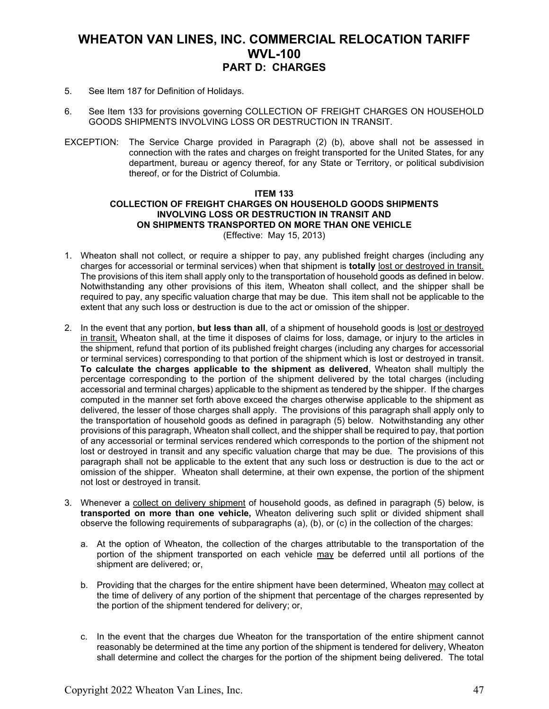- 5. See Item 187 for Definition of Holidays.
- 6. See Item 133 for provisions governing COLLECTION OF FREIGHT CHARGES ON HOUSEHOLD GOODS SHIPMENTS INVOLVING LOSS OR DESTRUCTION IN TRANSIT.
- EXCEPTION: The Service Charge provided in Paragraph (2) (b), above shall not be assessed in connection with the rates and charges on freight transported for the United States, for any department, bureau or agency thereof, for any State or Territory, or political subdivision thereof, or for the District of Columbia.

#### **ITEM 133 COLLECTION OF FREIGHT CHARGES ON HOUSEHOLD GOODS SHIPMENTS INVOLVING LOSS OR DESTRUCTION IN TRANSIT AND ON SHIPMENTS TRANSPORTED ON MORE THAN ONE VEHICLE** (Effective: May 15, 2013)

- 1. Wheaton shall not collect, or require a shipper to pay, any published freight charges (including any charges for accessorial or terminal services) when that shipment is **totally** lost or destroyed in transit. The provisions of this item shall apply only to the transportation of household goods as defined in below. Notwithstanding any other provisions of this item, Wheaton shall collect, and the shipper shall be required to pay, any specific valuation charge that may be due. This item shall not be applicable to the extent that any such loss or destruction is due to the act or omission of the shipper.
- 2. In the event that any portion, **but less than all**, of a shipment of household goods is lost or destroyed in transit, Wheaton shall, at the time it disposes of claims for loss, damage, or injury to the articles in the shipment, refund that portion of its published freight charges (including any charges for accessorial or terminal services) corresponding to that portion of the shipment which is lost or destroyed in transit. **To calculate the charges applicable to the shipment as delivered**, Wheaton shall multiply the percentage corresponding to the portion of the shipment delivered by the total charges (including accessorial and terminal charges) applicable to the shipment as tendered by the shipper. If the charges computed in the manner set forth above exceed the charges otherwise applicable to the shipment as delivered, the lesser of those charges shall apply. The provisions of this paragraph shall apply only to the transportation of household goods as defined in paragraph (5) below. Notwithstanding any other provisions of this paragraph, Wheaton shall collect, and the shipper shall be required to pay, that portion of any accessorial or terminal services rendered which corresponds to the portion of the shipment not lost or destroyed in transit and any specific valuation charge that may be due. The provisions of this paragraph shall not be applicable to the extent that any such loss or destruction is due to the act or omission of the shipper. Wheaton shall determine, at their own expense, the portion of the shipment not lost or destroyed in transit.
- 3. Whenever a collect on delivery shipment of household goods, as defined in paragraph (5) below, is **transported on more than one vehicle,** Wheaton delivering such split or divided shipment shall observe the following requirements of subparagraphs (a), (b), or (c) in the collection of the charges:
	- a. At the option of Wheaton, the collection of the charges attributable to the transportation of the portion of the shipment transported on each vehicle may be deferred until all portions of the shipment are delivered; or,
	- b. Providing that the charges for the entire shipment have been determined, Wheaton may collect at the time of delivery of any portion of the shipment that percentage of the charges represented by the portion of the shipment tendered for delivery; or,
	- c. In the event that the charges due Wheaton for the transportation of the entire shipment cannot reasonably be determined at the time any portion of the shipment is tendered for delivery, Wheaton shall determine and collect the charges for the portion of the shipment being delivered. The total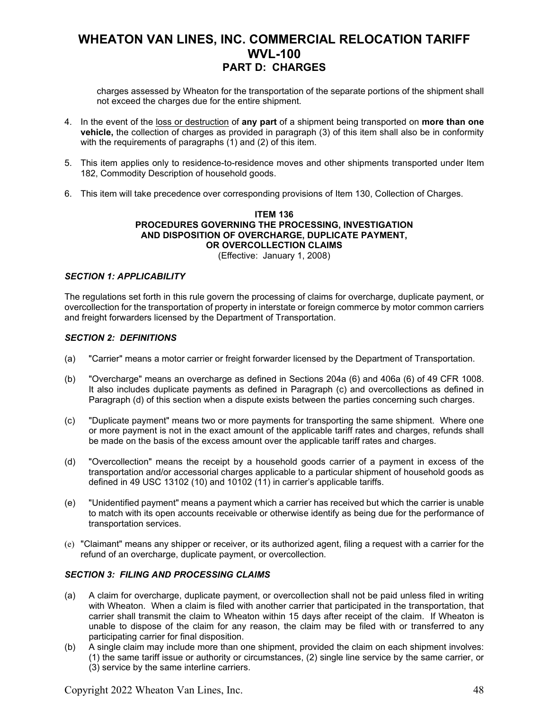charges assessed by Wheaton for the transportation of the separate portions of the shipment shall not exceed the charges due for the entire shipment.

- 4. In the event of the loss or destruction of **any part** of a shipment being transported on **more than one vehicle,** the collection of charges as provided in paragraph (3) of this item shall also be in conformity with the requirements of paragraphs (1) and (2) of this item.
- 5. This item applies only to residence-to-residence moves and other shipments transported under Item 182, Commodity Description of household goods.
- 6. This item will take precedence over corresponding provisions of Item 130, Collection of Charges.

### **ITEM 136 PROCEDURES GOVERNING THE PROCESSING, INVESTIGATION AND DISPOSITION OF OVERCHARGE, DUPLICATE PAYMENT, OR OVERCOLLECTION CLAIMS**

#### (Effective: January 1, 2008)

#### *SECTION 1: APPLICABILITY*

The regulations set forth in this rule govern the processing of claims for overcharge, duplicate payment, or overcollection for the transportation of property in interstate or foreign commerce by motor common carriers and freight forwarders licensed by the Department of Transportation.

#### *SECTION 2: DEFINITIONS*

- (a) "Carrier" means a motor carrier or freight forwarder licensed by the Department of Transportation.
- (b) "Overcharge" means an overcharge as defined in Sections 204a (6) and 406a (6) of 49 CFR 1008. It also includes duplicate payments as defined in Paragraph (c) and overcollections as defined in Paragraph (d) of this section when a dispute exists between the parties concerning such charges.
- (c) "Duplicate payment" means two or more payments for transporting the same shipment. Where one or more payment is not in the exact amount of the applicable tariff rates and charges, refunds shall be made on the basis of the excess amount over the applicable tariff rates and charges.
- (d) "Overcollection" means the receipt by a household goods carrier of a payment in excess of the transportation and/or accessorial charges applicable to a particular shipment of household goods as defined in 49 USC 13102 (10) and 10102 (11) in carrier's applicable tariffs.
- (e) "Unidentified payment" means a payment which a carrier has received but which the carrier is unable to match with its open accounts receivable or otherwise identify as being due for the performance of transportation services.
- (e) "Claimant" means any shipper or receiver, or its authorized agent, filing a request with a carrier for the refund of an overcharge, duplicate payment, or overcollection.

#### *SECTION 3: FILING AND PROCESSING CLAIMS*

- (a) A claim for overcharge, duplicate payment, or overcollection shall not be paid unless filed in writing with Wheaton. When a claim is filed with another carrier that participated in the transportation, that carrier shall transmit the claim to Wheaton within 15 days after receipt of the claim. If Wheaton is unable to dispose of the claim for any reason, the claim may be filed with or transferred to any participating carrier for final disposition.
- (b) A single claim may include more than one shipment, provided the claim on each shipment involves: (1) the same tariff issue or authority or circumstances, (2) single line service by the same carrier, or (3) service by the same interline carriers.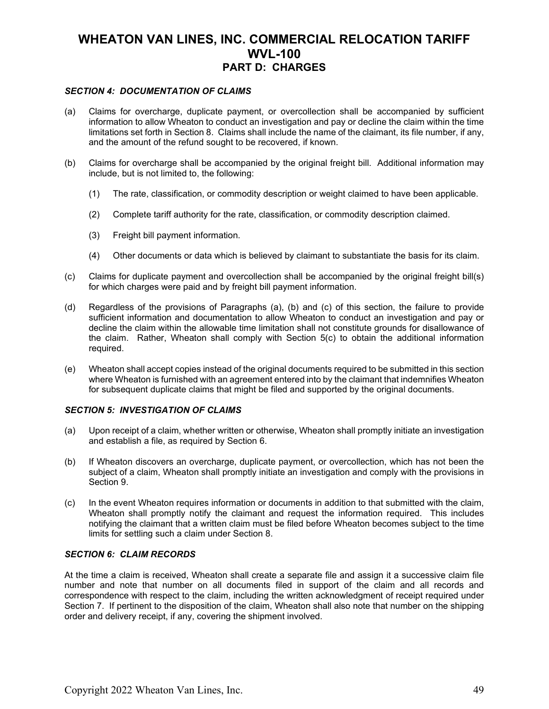#### *SECTION 4: DOCUMENTATION OF CLAIMS*

- (a) Claims for overcharge, duplicate payment, or overcollection shall be accompanied by sufficient information to allow Wheaton to conduct an investigation and pay or decline the claim within the time limitations set forth in Section 8. Claims shall include the name of the claimant, its file number, if any, and the amount of the refund sought to be recovered, if known.
- (b) Claims for overcharge shall be accompanied by the original freight bill. Additional information may include, but is not limited to, the following:
	- (1) The rate, classification, or commodity description or weight claimed to have been applicable.
	- (2) Complete tariff authority for the rate, classification, or commodity description claimed.
	- (3) Freight bill payment information.
	- (4) Other documents or data which is believed by claimant to substantiate the basis for its claim.
- (c) Claims for duplicate payment and overcollection shall be accompanied by the original freight bill(s) for which charges were paid and by freight bill payment information.
- (d) Regardless of the provisions of Paragraphs (a), (b) and (c) of this section, the failure to provide sufficient information and documentation to allow Wheaton to conduct an investigation and pay or decline the claim within the allowable time limitation shall not constitute grounds for disallowance of the claim. Rather, Wheaton shall comply with Section 5(c) to obtain the additional information required.
- (e) Wheaton shall accept copies instead of the original documents required to be submitted in this section where Wheaton is furnished with an agreement entered into by the claimant that indemnifies Wheaton for subsequent duplicate claims that might be filed and supported by the original documents.

#### *SECTION 5: INVESTIGATION OF CLAIMS*

- (a) Upon receipt of a claim, whether written or otherwise, Wheaton shall promptly initiate an investigation and establish a file, as required by Section 6.
- (b) If Wheaton discovers an overcharge, duplicate payment, or overcollection, which has not been the subject of a claim, Wheaton shall promptly initiate an investigation and comply with the provisions in Section 9.
- (c) In the event Wheaton requires information or documents in addition to that submitted with the claim, Wheaton shall promptly notify the claimant and request the information required. This includes notifying the claimant that a written claim must be filed before Wheaton becomes subject to the time limits for settling such a claim under Section 8.

#### *SECTION 6: CLAIM RECORDS*

At the time a claim is received, Wheaton shall create a separate file and assign it a successive claim file number and note that number on all documents filed in support of the claim and all records and correspondence with respect to the claim, including the written acknowledgment of receipt required under Section 7. If pertinent to the disposition of the claim, Wheaton shall also note that number on the shipping order and delivery receipt, if any, covering the shipment involved.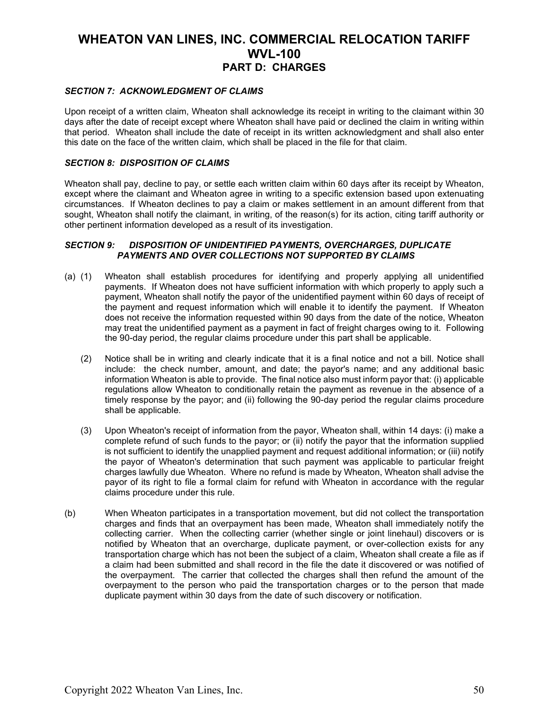#### *SECTION 7: ACKNOWLEDGMENT OF CLAIMS*

Upon receipt of a written claim, Wheaton shall acknowledge its receipt in writing to the claimant within 30 days after the date of receipt except where Wheaton shall have paid or declined the claim in writing within that period. Wheaton shall include the date of receipt in its written acknowledgment and shall also enter this date on the face of the written claim, which shall be placed in the file for that claim.

#### *SECTION 8: DISPOSITION OF CLAIMS*

Wheaton shall pay, decline to pay, or settle each written claim within 60 days after its receipt by Wheaton, except where the claimant and Wheaton agree in writing to a specific extension based upon extenuating circumstances. If Wheaton declines to pay a claim or makes settlement in an amount different from that sought, Wheaton shall notify the claimant, in writing, of the reason(s) for its action, citing tariff authority or other pertinent information developed as a result of its investigation.

#### *SECTION 9: DISPOSITION OF UNIDENTIFIED PAYMENTS, OVERCHARGES, DUPLICATE PAYMENTS AND OVER COLLECTIONS NOT SUPPORTED BY CLAIMS*

- (a) (1) Wheaton shall establish procedures for identifying and properly applying all unidentified payments. If Wheaton does not have sufficient information with which properly to apply such a payment, Wheaton shall notify the payor of the unidentified payment within 60 days of receipt of the payment and request information which will enable it to identify the payment. If Wheaton does not receive the information requested within 90 days from the date of the notice, Wheaton may treat the unidentified payment as a payment in fact of freight charges owing to it. Following the 90-day period, the regular claims procedure under this part shall be applicable.
	- (2) Notice shall be in writing and clearly indicate that it is a final notice and not a bill. Notice shall include: the check number, amount, and date; the payor's name; and any additional basic information Wheaton is able to provide. The final notice also must inform payor that: (i) applicable regulations allow Wheaton to conditionally retain the payment as revenue in the absence of a timely response by the payor; and (ii) following the 90-day period the regular claims procedure shall be applicable.
	- (3) Upon Wheaton's receipt of information from the payor, Wheaton shall, within 14 days: (i) make a complete refund of such funds to the payor; or (ii) notify the payor that the information supplied is not sufficient to identify the unapplied payment and request additional information; or (iii) notify the payor of Wheaton's determination that such payment was applicable to particular freight charges lawfully due Wheaton. Where no refund is made by Wheaton, Wheaton shall advise the payor of its right to file a formal claim for refund with Wheaton in accordance with the regular claims procedure under this rule.
- (b) When Wheaton participates in a transportation movement, but did not collect the transportation charges and finds that an overpayment has been made, Wheaton shall immediately notify the collecting carrier. When the collecting carrier (whether single or joint linehaul) discovers or is notified by Wheaton that an overcharge, duplicate payment, or over-collection exists for any transportation charge which has not been the subject of a claim, Wheaton shall create a file as if a claim had been submitted and shall record in the file the date it discovered or was notified of the overpayment. The carrier that collected the charges shall then refund the amount of the overpayment to the person who paid the transportation charges or to the person that made duplicate payment within 30 days from the date of such discovery or notification.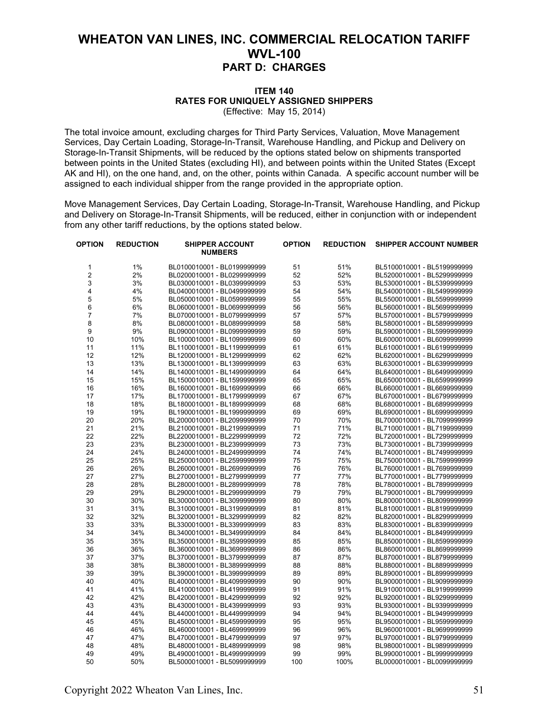#### **ITEM 140 RATES FOR UNIQUELY ASSIGNED SHIPPERS** (Effective: May 15, 2014)

The total invoice amount, excluding charges for Third Party Services, Valuation, Move Management Services, Day Certain Loading, Storage-In-Transit, Warehouse Handling, and Pickup and Delivery on Storage-In-Transit Shipments, will be reduced by the options stated below on shipments transported between points in the United States (excluding HI), and between points within the United States (Except AK and HI), on the one hand, and, on the other, points within Canada. A specific account number will be assigned to each individual shipper from the range provided in the appropriate option.

Move Management Services, Day Certain Loading, Storage-In-Transit, Warehouse Handling, and Pickup and Delivery on Storage-In-Transit Shipments, will be reduced, either in conjunction with or independent from any other tariff reductions, by the options stated below.

| OPTION         | <b>REDUCTION</b> | <b>SHIPPER ACCOUNT</b><br><b>NUMBERS</b> | <b>OPTION</b> | <b>REDUCTION</b> | <b>SHIPPER ACCOUNT NUMBER</b> |
|----------------|------------------|------------------------------------------|---------------|------------------|-------------------------------|
| 1              | 1%               | BL0100010001 - BL0199999999              | 51            | 51%              | BL5100010001 - BL5199999999   |
| $\overline{c}$ | 2%               | BL0200010001 - BL0299999999              | 52            | 52%              | BL5200010001 - BL5299999999   |
| 3              | 3%               | BL0300010001 - BL0399999999              | 53            | 53%              | BL5300010001 - BL5399999999   |
| 4              | 4%               | BL0400010001 - BL0499999999              | 54            | 54%              | BL5400010001 - BL5499999999   |
| 5              | 5%               | BL0500010001 - BL0599999999              | 55            | 55%              | BL5500010001 - BL5599999999   |
| 6              | 6%               | BL0600010001 - BL0699999999              | 56            | 56%              | BL5600010001 - BL5699999999   |
| $\overline{7}$ | 7%               | BL0700010001 - BL0799999999              | 57            | 57%              | BL5700010001 - BL5799999999   |
| 8              | 8%               | BL0800010001 - BL0899999999              | 58            | 58%              | BL5800010001 - BL5899999999   |
| 9              | 9%               | BL0900010001 - BL0999999999              | 59            | 59%              | BL5900010001 - BL5999999999   |
| 10             | 10%              | BL1000010001 - BL1099999999              | 60            | 60%              | BL6000010001 - BL6099999999   |
| 11             | 11%              | BL1100010001 - BL1199999999              | 61            | 61%              | BL6100010001 - BL6199999999   |
| 12             | 12%              | BL1200010001 - BL1299999999              | 62            | 62%              | BL6200010001 - BL6299999999   |
| 13             | 13%              | BL1300010001 - BL1399999999              | 63            | 63%              | BL6300010001 - BL6399999999   |
| 14             | 14%              | BL1400010001 - BL1499999999              | 64            | 64%              | BL6400010001 - BL6499999999   |
| 15             | 15%              | BL1500010001 - BL1599999999              | 65            | 65%              | BL6500010001 - BL6599999999   |
| 16             | 16%              | BL1600010001 - BL1699999999              | 66            | 66%              | BL6600010001 - BL6699999999   |
| 17             | 17%              | BL1700010001 - BL1799999999              | 67            | 67%              | BL6700010001 - BL6799999999   |
| 18             | 18%              | BL1800010001 - BL1899999999              | 68            | 68%              | BL6800010001 - BL6899999999   |
| 19             | 19%              | BL1900010001 - BL1999999999              | 69            | 69%              | BL6900010001 - BL6999999999   |
| 20             | 20%              | BL2000010001 - BL2099999999              | 70            | 70%              | BL7000010001 - BL7099999999   |
| 21             | 21%              | BL2100010001 - BL2199999999              | 71            | 71%              | BL7100010001 - BL7199999999   |
| 22             | 22%              | BL2200010001 - BL2299999999              | 72            | 72%              | BL7200010001 - BL7299999999   |
| 23             | 23%              | BL2300010001 - BL2399999999              | 73            | 73%              | BL7300010001 - BL7399999999   |
| 24             | 24%              | BL2400010001 - BL2499999999              | 74            | 74%              | BL7400010001 - BL7499999999   |
| 25             | 25%              | BL2500010001 - BL2599999999              | 75            | 75%              | BL7500010001 - BL7599999999   |
| 26             | 26%              | BL2600010001 - BL2699999999              | 76            | 76%              | BL7600010001 - BL7699999999   |
| 27             | 27%              | BL2700010001 - BL2799999999              | 77            | 77%              | BL7700010001 - BL7799999999   |
| 28             | 28%              | BL2800010001 - BL2899999999              | 78            | 78%              | BL7800010001 - BL7899999999   |
| 29             | 29%              | BL2900010001 - BL2999999999              | 79            | 79%              | BL7900010001 - BL7999999999   |
| 30             | 30%              | BL3000010001 - BL3099999999              | 80            | 80%              | BL8000010001 - BL8099999999   |
| 31             | 31%              | BL3100010001 - BL3199999999              | 81            | 81%              | BL8100010001 - BL8199999999   |
| 32             | 32%              | BL3200010001 - BL3299999999              | 82            | 82%              | BL8200010001 - BL8299999999   |
| 33             | 33%              | BL3300010001 - BL3399999999              | 83            | 83%              | BL8300010001 - BL8399999999   |
| 34             | 34%              | BL3400010001 - BL3499999999              | 84            | 84%              | BL8400010001 - BL8499999999   |
| 35             | 35%              | BL3500010001 - BL3599999999              | 85            | 85%              | BL8500010001 - BL8599999999   |
| 36             | 36%              | BL3600010001 - BL3699999999              | 86            | 86%              | BL8600010001 - BL8699999999   |
| 37             | 37%              | BL3700010001 - BL3799999999              | 87            | 87%              | BL8700010001 - BL8799999999   |
| 38             | 38%              | BL3800010001 - BL3899999999              | 88            | 88%              | BL8800010001 - BL8899999999   |
| 39             | 39%              | BL3900010001 - BL3999999999              | 89            | 89%              | BL8900010001 - BL8999999999   |
| 40             | 40%              | BL4000010001 - BL4099999999              | 90            | 90%              | BL9000010001 - BL9099999999   |
| 41             | 41%              | BL4100010001 - BL4199999999              | 91            | 91%              | BL9100010001 - BL9199999999   |
| 42             | 42%              | BL4200010001 - BL4299999999              | 92            | 92%              | BL9200010001 - BL9299999999   |
| 43             | 43%              | BL4300010001 - BL4399999999              | 93            | 93%              | BL9300010001 - BL9399999999   |
| 44             | 44%              | BL4400010001 - BL4499999999              | 94            | 94%              | BL9400010001 - BL9499999999   |
| 45             | 45%              | BL4500010001 - BL4599999999              | 95            | 95%              | BL9500010001 - BL9599999999   |
| 46             | 46%              | BL4600010001 - BL4699999999              | 96            | 96%              | BL9600010001 - BL9699999999   |
| 47             | 47%              | BL4700010001 - BL4799999999              | 97            | 97%              | BL9700010001 - BL9799999999   |
| 48             | 48%              | BL4800010001 - BL4899999999              | 98            | 98%              | BL9800010001 - BL9899999999   |
| 49             | 49%              | BL4900010001 - BL4999999999              | 99            | 99%              | BL9900010001 - BL9999999999   |
| 50             | 50%              | BL5000010001 - BL5099999999              | 100           | 100%             | BL0000010001 - BL0099999999   |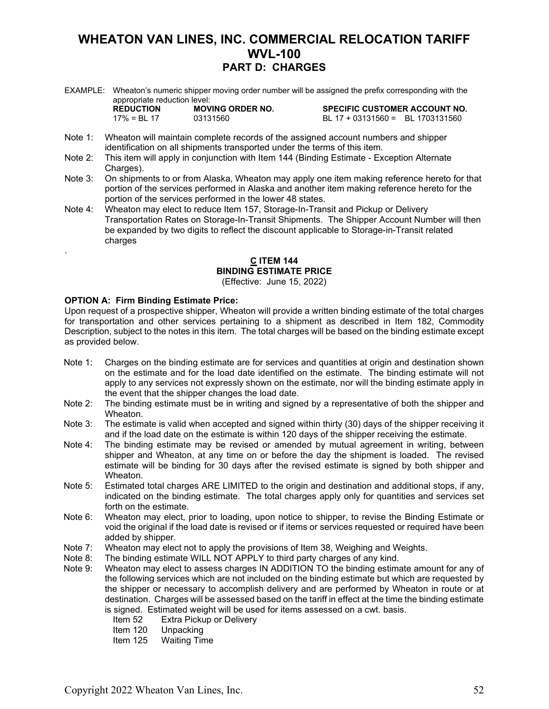EXAMPLE: Wheaton's numeric shipper moving order number will be assigned the prefix corresponding with the appropriate reduction level:

| <b>REDUCTION</b> | <b>MOVING</b> |
|------------------|---------------|
| 17% = BI 17      | 03131560      |

ORDER NO. SPECIFIC CUSTOMER ACCOUNT NO.  $BL 17 + 03131560 = BL 1703131560$ 

- Note 1: Wheaton will maintain complete records of the assigned account numbers and shipper identification on all shipments transported under the terms of this item.
- Note 2: This item will apply in conjunction with Item 144 (Binding Estimate Exception Alternate Charges).
- Note 3: On shipments to or from Alaska, Wheaton may apply one item making reference hereto for that portion of the services performed in Alaska and another item making reference hereto for the portion of the services performed in the lower 48 states.
- Note 4: Wheaton may elect to reduce Item 157, Storage-In-Transit and Pickup or Delivery Transportation Rates on Storage-In-Transit Shipments. The Shipper Account Number will then be expanded by two digits to reflect the discount applicable to Storage-in-Transit related charges

#### **C ITEM 144 BINDING ESTIMATE PRICE**

(Effective: June 15, 2022)

#### **OPTION A: Firm Binding Estimate Price:**

.

Upon request of a prospective shipper, Wheaton will provide a written binding estimate of the total charges for transportation and other services pertaining to a shipment as described in Item 182, Commodity Description, subject to the notes in this item. The total charges will be based on the binding estimate except as provided below.

- Note 1: Charges on the binding estimate are for services and quantities at origin and destination shown on the estimate and for the load date identified on the estimate. The binding estimate will not apply to any services not expressly shown on the estimate, nor will the binding estimate apply in the event that the shipper changes the load date.
- Note 2: The binding estimate must be in writing and signed by a representative of both the shipper and Wheaton.
- Note 3: The estimate is valid when accepted and signed within thirty (30) days of the shipper receiving it and if the load date on the estimate is within 120 days of the shipper receiving the estimate.
- Note 4: The binding estimate may be revised or amended by mutual agreement in writing, between shipper and Wheaton, at any time on or before the day the shipment is loaded. The revised estimate will be binding for 30 days after the revised estimate is signed by both shipper and Wheaton.
- Note 5: Estimated total charges ARE LIMITED to the origin and destination and additional stops, if any, indicated on the binding estimate. The total charges apply only for quantities and services set forth on the estimate.
- Note 6: Wheaton may elect, prior to loading, upon notice to shipper, to revise the Binding Estimate or void the original if the load date is revised or if items or services requested or required have been added by shipper.
- Note 7: Wheaton may elect not to apply the provisions of Item 38, Weighing and Weights.
- Note 8: The binding estimate WILL NOT APPLY to third party charges of any kind.
- Note 9: Wheaton may elect to assess charges IN ADDITION TO the binding estimate amount for any of the following services which are not included on the binding estimate but which are requested by the shipper or necessary to accomplish delivery and are performed by Wheaton in route or at destination. Charges will be assessed based on the tariff in effect at the time the binding estimate is signed. Estimated weight will be used for items assessed on a cwt. basis.
	- Item 52 Extra Pickup or Delivery<br>Item 120 Unpacking
	- Unpacking
	- Item 125 Waiting Time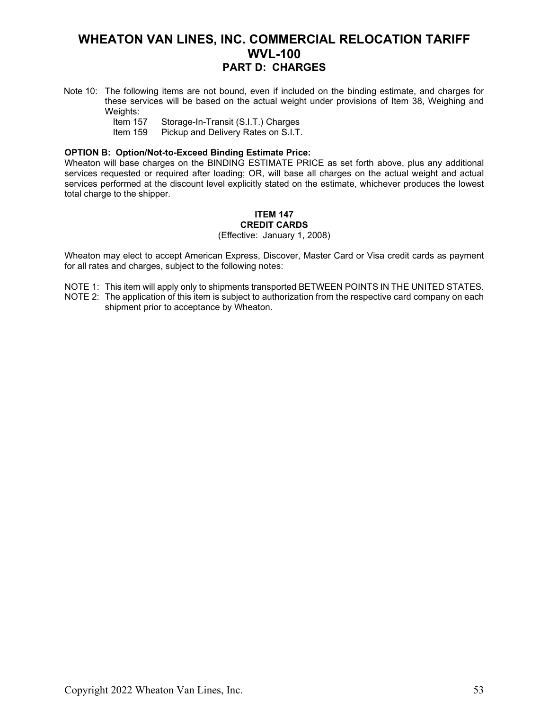- Note 10: The following items are not bound, even if included on the binding estimate, and charges for these services will be based on the actual weight under provisions of Item 38, Weighing and Weights:<br>Item 157
	- Item 157 Storage-In-Transit (S.I.T.) Charges<br>Item 159 Pickup and Delivery Rates on S.I.T.
	- Pickup and Delivery Rates on S.I.T.

#### **OPTION B: Option/Not-to-Exceed Binding Estimate Price:**

Wheaton will base charges on the BINDING ESTIMATE PRICE as set forth above, plus any additional services requested or required after loading; OR, will base all charges on the actual weight and actual services performed at the discount level explicitly stated on the estimate, whichever produces the lowest total charge to the shipper.

### **ITEM 147 CREDIT CARDS**

(Effective: January 1, 2008)

Wheaton may elect to accept American Express, Discover, Master Card or Visa credit cards as payment for all rates and charges, subject to the following notes:

NOTE 1: This item will apply only to shipments transported BETWEEN POINTS IN THE UNITED STATES.

NOTE 2: The application of this item is subject to authorization from the respective card company on each shipment prior to acceptance by Wheaton.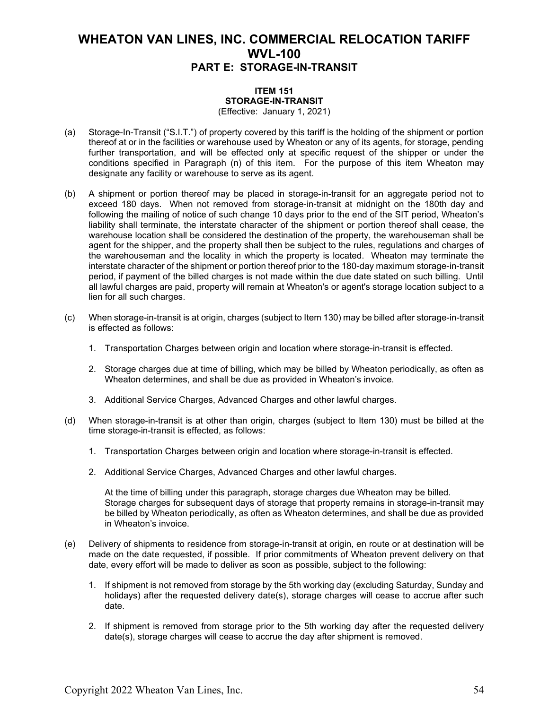#### **ITEM 151 STORAGE-IN-TRANSIT** (Effective: January 1, 2021)

- (a) Storage-In-Transit ("S.I.T.") of property covered by this tariff is the holding of the shipment or portion thereof at or in the facilities or warehouse used by Wheaton or any of its agents, for storage, pending further transportation, and will be effected only at specific request of the shipper or under the conditions specified in Paragraph (n) of this item. For the purpose of this item Wheaton may designate any facility or warehouse to serve as its agent.
- (b) A shipment or portion thereof may be placed in storage-in-transit for an aggregate period not to exceed 180 days. When not removed from storage-in-transit at midnight on the 180th day and following the mailing of notice of such change 10 days prior to the end of the SIT period, Wheaton's liability shall terminate, the interstate character of the shipment or portion thereof shall cease, the warehouse location shall be considered the destination of the property, the warehouseman shall be agent for the shipper, and the property shall then be subject to the rules, regulations and charges of the warehouseman and the locality in which the property is located. Wheaton may terminate the interstate character of the shipment or portion thereof prior to the 180-day maximum storage-in-transit period, if payment of the billed charges is not made within the due date stated on such billing. Until all lawful charges are paid, property will remain at Wheaton's or agent's storage location subject to a lien for all such charges.
- (c) When storage-in-transit is at origin, charges (subject to Item 130) may be billed after storage-in-transit is effected as follows:
	- 1. Transportation Charges between origin and location where storage-in-transit is effected.
	- 2. Storage charges due at time of billing, which may be billed by Wheaton periodically, as often as Wheaton determines, and shall be due as provided in Wheaton's invoice.
	- 3. Additional Service Charges, Advanced Charges and other lawful charges.
- (d) When storage-in-transit is at other than origin, charges (subject to Item 130) must be billed at the time storage-in-transit is effected, as follows:
	- 1. Transportation Charges between origin and location where storage-in-transit is effected.
	- 2. Additional Service Charges, Advanced Charges and other lawful charges.

At the time of billing under this paragraph, storage charges due Wheaton may be billed. Storage charges for subsequent days of storage that property remains in storage-in-transit may be billed by Wheaton periodically, as often as Wheaton determines, and shall be due as provided in Wheaton's invoice.

- (e) Delivery of shipments to residence from storage-in-transit at origin, en route or at destination will be made on the date requested, if possible. If prior commitments of Wheaton prevent delivery on that date, every effort will be made to deliver as soon as possible, subject to the following:
	- 1. If shipment is not removed from storage by the 5th working day (excluding Saturday, Sunday and holidays) after the requested delivery date(s), storage charges will cease to accrue after such date.
	- 2. If shipment is removed from storage prior to the 5th working day after the requested delivery date(s), storage charges will cease to accrue the day after shipment is removed.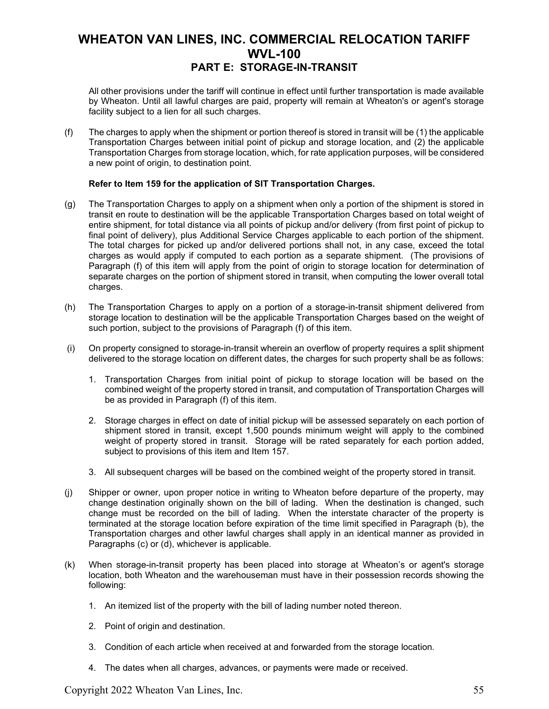All other provisions under the tariff will continue in effect until further transportation is made available by Wheaton. Until all lawful charges are paid, property will remain at Wheaton's or agent's storage facility subject to a lien for all such charges.

(f) The charges to apply when the shipment or portion thereof is stored in transit will be (1) the applicable Transportation Charges between initial point of pickup and storage location, and (2) the applicable Transportation Charges from storage location, which, for rate application purposes, will be considered a new point of origin, to destination point.

#### **Refer to Item 159 for the application of SIT Transportation Charges.**

- (g) The Transportation Charges to apply on a shipment when only a portion of the shipment is stored in transit en route to destination will be the applicable Transportation Charges based on total weight of entire shipment, for total distance via all points of pickup and/or delivery (from first point of pickup to final point of delivery), plus Additional Service Charges applicable to each portion of the shipment. The total charges for picked up and/or delivered portions shall not, in any case, exceed the total charges as would apply if computed to each portion as a separate shipment. (The provisions of Paragraph (f) of this item will apply from the point of origin to storage location for determination of separate charges on the portion of shipment stored in transit, when computing the lower overall total charges.
- (h) The Transportation Charges to apply on a portion of a storage-in-transit shipment delivered from storage location to destination will be the applicable Transportation Charges based on the weight of such portion, subject to the provisions of Paragraph (f) of this item.
- (i) On property consigned to storage-in-transit wherein an overflow of property requires a split shipment delivered to the storage location on different dates, the charges for such property shall be as follows:
	- 1. Transportation Charges from initial point of pickup to storage location will be based on the combined weight of the property stored in transit, and computation of Transportation Charges will be as provided in Paragraph (f) of this item.
	- 2. Storage charges in effect on date of initial pickup will be assessed separately on each portion of shipment stored in transit, except 1,500 pounds minimum weight will apply to the combined weight of property stored in transit. Storage will be rated separately for each portion added, subject to provisions of this item and Item 157.
	- 3. All subsequent charges will be based on the combined weight of the property stored in transit.
- (j) Shipper or owner, upon proper notice in writing to Wheaton before departure of the property, may change destination originally shown on the bill of lading. When the destination is changed, such change must be recorded on the bill of lading. When the interstate character of the property is terminated at the storage location before expiration of the time limit specified in Paragraph (b), the Transportation charges and other lawful charges shall apply in an identical manner as provided in Paragraphs (c) or (d), whichever is applicable.
- (k) When storage-in-transit property has been placed into storage at Wheaton's or agent's storage location, both Wheaton and the warehouseman must have in their possession records showing the following:
	- 1. An itemized list of the property with the bill of lading number noted thereon.
	- 2. Point of origin and destination.
	- 3. Condition of each article when received at and forwarded from the storage location.
	- 4. The dates when all charges, advances, or payments were made or received.

Copyright 2022 Wheaton Van Lines, Inc. 55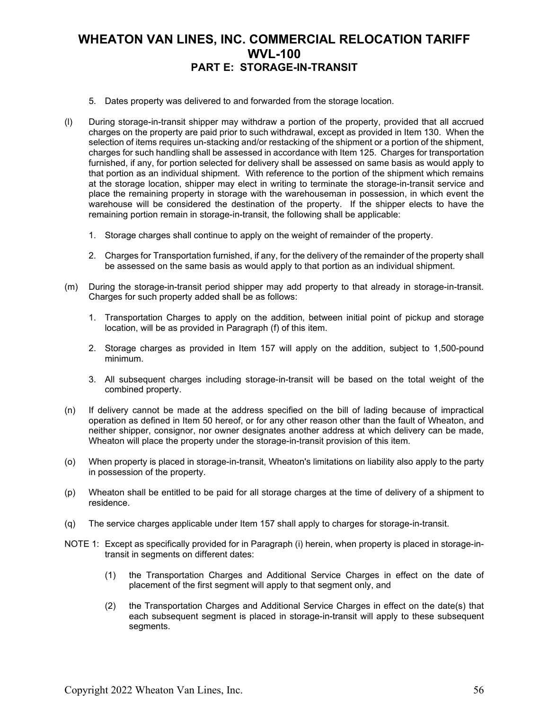- 5. Dates property was delivered to and forwarded from the storage location.
- (l) During storage-in-transit shipper may withdraw a portion of the property, provided that all accrued charges on the property are paid prior to such withdrawal, except as provided in Item 130. When the selection of items requires un-stacking and/or restacking of the shipment or a portion of the shipment, charges for such handling shall be assessed in accordance with Item 125. Charges for transportation furnished, if any, for portion selected for delivery shall be assessed on same basis as would apply to that portion as an individual shipment. With reference to the portion of the shipment which remains at the storage location, shipper may elect in writing to terminate the storage-in-transit service and place the remaining property in storage with the warehouseman in possession, in which event the warehouse will be considered the destination of the property. If the shipper elects to have the remaining portion remain in storage-in-transit, the following shall be applicable:
	- 1. Storage charges shall continue to apply on the weight of remainder of the property.
	- 2. Charges for Transportation furnished, if any, for the delivery of the remainder of the property shall be assessed on the same basis as would apply to that portion as an individual shipment.
- (m) During the storage-in-transit period shipper may add property to that already in storage-in-transit. Charges for such property added shall be as follows:
	- 1. Transportation Charges to apply on the addition, between initial point of pickup and storage location, will be as provided in Paragraph (f) of this item.
	- 2. Storage charges as provided in Item 157 will apply on the addition, subject to 1,500-pound minimum.
	- 3. All subsequent charges including storage-in-transit will be based on the total weight of the combined property.
- (n) If delivery cannot be made at the address specified on the bill of lading because of impractical operation as defined in Item 50 hereof, or for any other reason other than the fault of Wheaton, and neither shipper, consignor, nor owner designates another address at which delivery can be made, Wheaton will place the property under the storage-in-transit provision of this item.
- (o) When property is placed in storage-in-transit, Wheaton's limitations on liability also apply to the party in possession of the property.
- (p) Wheaton shall be entitled to be paid for all storage charges at the time of delivery of a shipment to residence.
- (q) The service charges applicable under Item 157 shall apply to charges for storage-in-transit.
- NOTE 1: Except as specifically provided for in Paragraph (i) herein, when property is placed in storage-intransit in segments on different dates:
	- (1) the Transportation Charges and Additional Service Charges in effect on the date of placement of the first segment will apply to that segment only, and
	- (2) the Transportation Charges and Additional Service Charges in effect on the date(s) that each subsequent segment is placed in storage-in-transit will apply to these subsequent segments.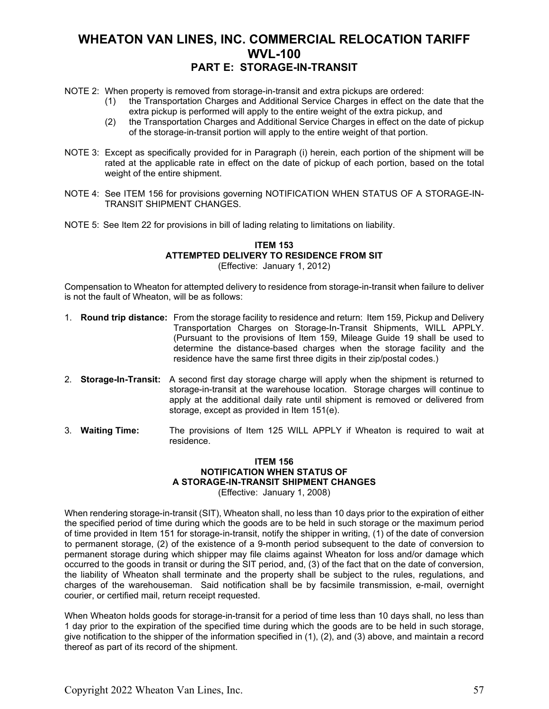- NOTE 2: When property is removed from storage-in-transit and extra pickups are ordered:
	- (1) the Transportation Charges and Additional Service Charges in effect on the date that the extra pickup is performed will apply to the entire weight of the extra pickup, and
	- (2) the Transportation Charges and Additional Service Charges in effect on the date of pickup of the storage-in-transit portion will apply to the entire weight of that portion.
- NOTE 3: Except as specifically provided for in Paragraph (i) herein, each portion of the shipment will be rated at the applicable rate in effect on the date of pickup of each portion, based on the total weight of the entire shipment.
- NOTE 4: See ITEM 156 for provisions governing NOTIFICATION WHEN STATUS OF A STORAGE-IN-TRANSIT SHIPMENT CHANGES.
- NOTE 5: See Item 22 for provisions in bill of lading relating to limitations on liability.

#### **ITEM 153 ATTEMPTED DELIVERY TO RESIDENCE FROM SIT** (Effective: January 1, 2012)

Compensation to Wheaton for attempted delivery to residence from storage-in-transit when failure to deliver is not the fault of Wheaton, will be as follows:

- 1. **Round trip distance:** From the storage facility to residence and return: Item 159, Pickup and Delivery Transportation Charges on Storage-In-Transit Shipments, WILL APPLY. (Pursuant to the provisions of Item 159, Mileage Guide 19 shall be used to determine the distance-based charges when the storage facility and the residence have the same first three digits in their zip/postal codes.)
- 2. **Storage-In-Transit:** A second first day storage charge will apply when the shipment is returned to storage-in-transit at the warehouse location. Storage charges will continue to apply at the additional daily rate until shipment is removed or delivered from storage, except as provided in Item 151(e).
- 3. **Waiting Time:** The provisions of Item 125 WILL APPLY if Wheaton is required to wait at residence.

#### **ITEM 156 NOTIFICATION WHEN STATUS OF A STORAGE-IN-TRANSIT SHIPMENT CHANGES** (Effective: January 1, 2008)

When rendering storage-in-transit (SIT), Wheaton shall, no less than 10 days prior to the expiration of either the specified period of time during which the goods are to be held in such storage or the maximum period of time provided in Item 151 for storage-in-transit, notify the shipper in writing, (1) of the date of conversion to permanent storage, (2) of the existence of a 9-month period subsequent to the date of conversion to permanent storage during which shipper may file claims against Wheaton for loss and/or damage which occurred to the goods in transit or during the SIT period, and, (3) of the fact that on the date of conversion, the liability of Wheaton shall terminate and the property shall be subject to the rules, regulations, and charges of the warehouseman. Said notification shall be by facsimile transmission, e-mail, overnight courier, or certified mail, return receipt requested.

When Wheaton holds goods for storage-in-transit for a period of time less than 10 days shall, no less than 1 day prior to the expiration of the specified time during which the goods are to be held in such storage, give notification to the shipper of the information specified in (1), (2), and (3) above, and maintain a record thereof as part of its record of the shipment.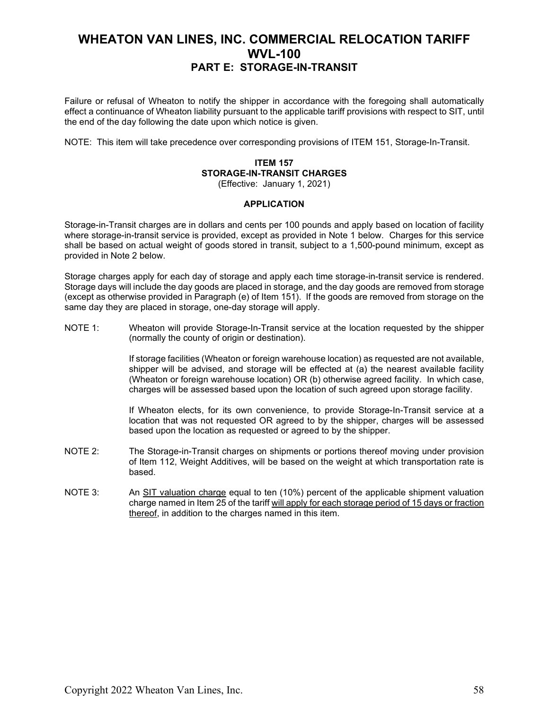Failure or refusal of Wheaton to notify the shipper in accordance with the foregoing shall automatically effect a continuance of Wheaton liability pursuant to the applicable tariff provisions with respect to SIT, until the end of the day following the date upon which notice is given.

NOTE: This item will take precedence over corresponding provisions of ITEM 151, Storage-In-Transit.

#### **ITEM 157 STORAGE-IN-TRANSIT CHARGES** (Effective: January 1, 2021)

#### **APPLICATION**

Storage-in-Transit charges are in dollars and cents per 100 pounds and apply based on location of facility where storage-in-transit service is provided, except as provided in Note 1 below. Charges for this service shall be based on actual weight of goods stored in transit, subject to a 1,500-pound minimum, except as provided in Note 2 below.

Storage charges apply for each day of storage and apply each time storage-in-transit service is rendered. Storage days will include the day goods are placed in storage, and the day goods are removed from storage (except as otherwise provided in Paragraph (e) of Item 151). If the goods are removed from storage on the same day they are placed in storage, one-day storage will apply.

NOTE 1: Wheaton will provide Storage-In-Transit service at the location requested by the shipper (normally the county of origin or destination).

> If storage facilities (Wheaton or foreign warehouse location) as requested are not available, shipper will be advised, and storage will be effected at (a) the nearest available facility (Wheaton or foreign warehouse location) OR (b) otherwise agreed facility. In which case, charges will be assessed based upon the location of such agreed upon storage facility.

> If Wheaton elects, for its own convenience, to provide Storage-In-Transit service at a location that was not requested OR agreed to by the shipper, charges will be assessed based upon the location as requested or agreed to by the shipper.

- NOTE 2: The Storage-in-Transit charges on shipments or portions thereof moving under provision of Item 112, Weight Additives, will be based on the weight at which transportation rate is based.
- NOTE 3: An SIT valuation charge equal to ten (10%) percent of the applicable shipment valuation charge named in Item 25 of the tariff will apply for each storage period of 15 days or fraction thereof, in addition to the charges named in this item.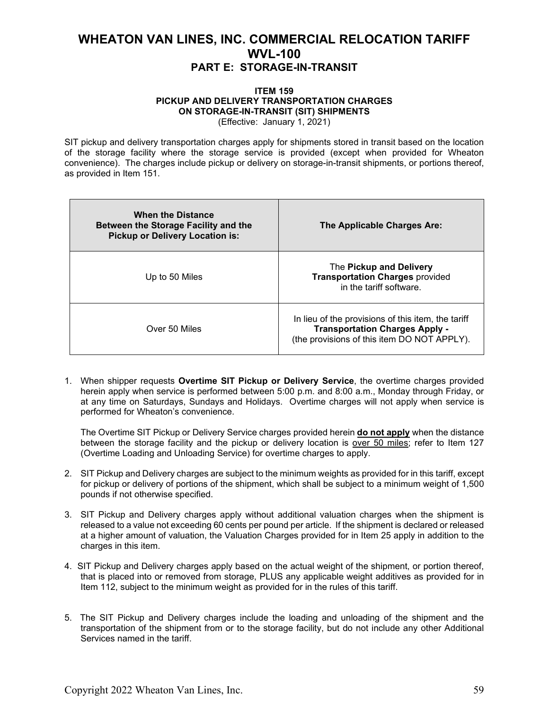#### **ITEM 159 PICKUP AND DELIVERY TRANSPORTATION CHARGES ON STORAGE-IN-TRANSIT (SIT) SHIPMENTS** (Effective: January 1, 2021)

SIT pickup and delivery transportation charges apply for shipments stored in transit based on the location of the storage facility where the storage service is provided (except when provided for Wheaton convenience). The charges include pickup or delivery on storage-in-transit shipments, or portions thereof, as provided in Item 151.

| <b>When the Distance</b><br>Between the Storage Facility and the<br><b>Pickup or Delivery Location is:</b> | The Applicable Charges Are:                                                                                                                |
|------------------------------------------------------------------------------------------------------------|--------------------------------------------------------------------------------------------------------------------------------------------|
| Up to 50 Miles                                                                                             | The Pickup and Delivery<br><b>Transportation Charges provided</b><br>in the tariff software.                                               |
| Over 50 Miles                                                                                              | In lieu of the provisions of this item, the tariff<br><b>Transportation Charges Apply -</b><br>(the provisions of this item DO NOT APPLY). |

1. When shipper requests **Overtime SIT Pickup or Delivery Service**, the overtime charges provided herein apply when service is performed between 5:00 p.m. and 8:00 a.m., Monday through Friday, or at any time on Saturdays, Sundays and Holidays. Overtime charges will not apply when service is performed for Wheaton's convenience.

The Overtime SIT Pickup or Delivery Service charges provided herein **do not apply** when the distance between the storage facility and the pickup or delivery location is over 50 miles; refer to Item 127 (Overtime Loading and Unloading Service) for overtime charges to apply.

- 2. SIT Pickup and Delivery charges are subject to the minimum weights as provided for in this tariff, except for pickup or delivery of portions of the shipment, which shall be subject to a minimum weight of 1,500 pounds if not otherwise specified.
- 3. SIT Pickup and Delivery charges apply without additional valuation charges when the shipment is released to a value not exceeding 60 cents per pound per article. If the shipment is declared or released at a higher amount of valuation, the Valuation Charges provided for in Item 25 apply in addition to the charges in this item.
- 4. SIT Pickup and Delivery charges apply based on the actual weight of the shipment, or portion thereof, that is placed into or removed from storage, PLUS any applicable weight additives as provided for in Item 112, subject to the minimum weight as provided for in the rules of this tariff.
- 5. The SIT Pickup and Delivery charges include the loading and unloading of the shipment and the transportation of the shipment from or to the storage facility, but do not include any other Additional Services named in the tariff.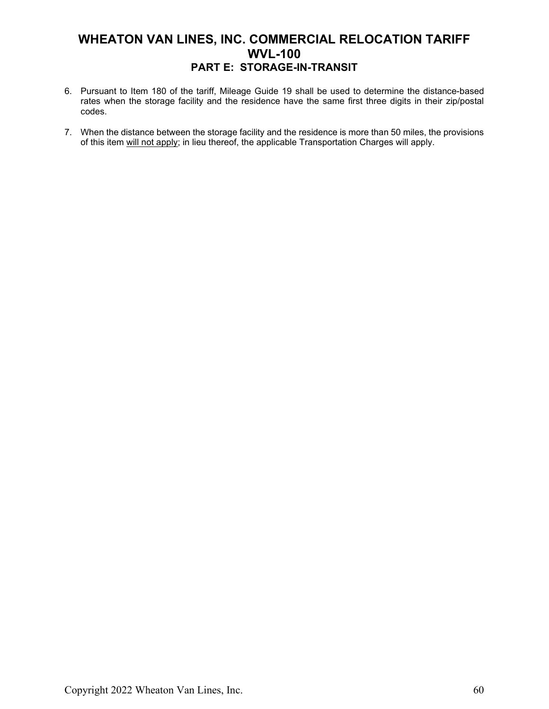- 6. Pursuant to Item 180 of the tariff, Mileage Guide 19 shall be used to determine the distance-based rates when the storage facility and the residence have the same first three digits in their zip/postal codes.
- 7. When the distance between the storage facility and the residence is more than 50 miles, the provisions of this item will not apply; in lieu thereof, the applicable Transportation Charges will apply.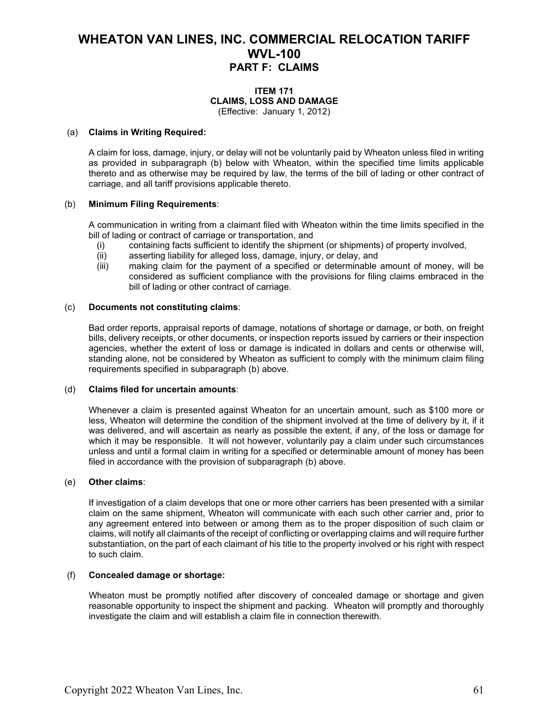#### **ITEM 171 CLAIMS, LOSS AND DAMAGE** (Effective: January 1, 2012)

#### (a) **Claims in Writing Required:**

A claim for loss, damage, injury, or delay will not be voluntarily paid by Wheaton unless filed in writing as provided in subparagraph (b) below with Wheaton, within the specified time limits applicable thereto and as otherwise may be required by law, the terms of the bill of lading or other contract of carriage, and all tariff provisions applicable thereto.

#### (b) **Minimum Filing Requirements**:

A communication in writing from a claimant filed with Wheaton within the time limits specified in the bill of lading or contract of carriage or transportation, and

- (i) containing facts sufficient to identify the shipment (or shipments) of property involved,<br>(ii) asserting liability for alleged loss, damage, injury, or delay, and
- asserting liability for alleged loss, damage, injury, or delay, and
- (iii) making claim for the payment of a specified or determinable amount of money, will be considered as sufficient compliance with the provisions for filing claims embraced in the bill of lading or other contract of carriage.

#### (c) **Documents not constituting claims**:

Bad order reports, appraisal reports of damage, notations of shortage or damage, or both, on freight bills, delivery receipts, or other documents, or inspection reports issued by carriers or their inspection agencies, whether the extent of loss or damage is indicated in dollars and cents or otherwise will, standing alone, not be considered by Wheaton as sufficient to comply with the minimum claim filing requirements specified in subparagraph (b) above.

#### (d) **Claims filed for uncertain amounts**:

Whenever a claim is presented against Wheaton for an uncertain amount, such as \$100 more or less, Wheaton will determine the condition of the shipment involved at the time of delivery by it, if it was delivered, and will ascertain as nearly as possible the extent, if any, of the loss or damage for which it may be responsible. It will not however, voluntarily pay a claim under such circumstances unless and until a formal claim in writing for a specified or determinable amount of money has been filed in accordance with the provision of subparagraph (b) above.

#### (e) **Other claims**:

If investigation of a claim develops that one or more other carriers has been presented with a similar claim on the same shipment, Wheaton will communicate with each such other carrier and, prior to any agreement entered into between or among them as to the proper disposition of such claim or claims, will notify all claimants of the receipt of conflicting or overlapping claims and will require further substantiation, on the part of each claimant of his title to the property involved or his right with respect to such claim.

#### (f) **Concealed damage or shortage:**

Wheaton must be promptly notified after discovery of concealed damage or shortage and given reasonable opportunity to inspect the shipment and packing. Wheaton will promptly and thoroughly investigate the claim and will establish a claim file in connection therewith.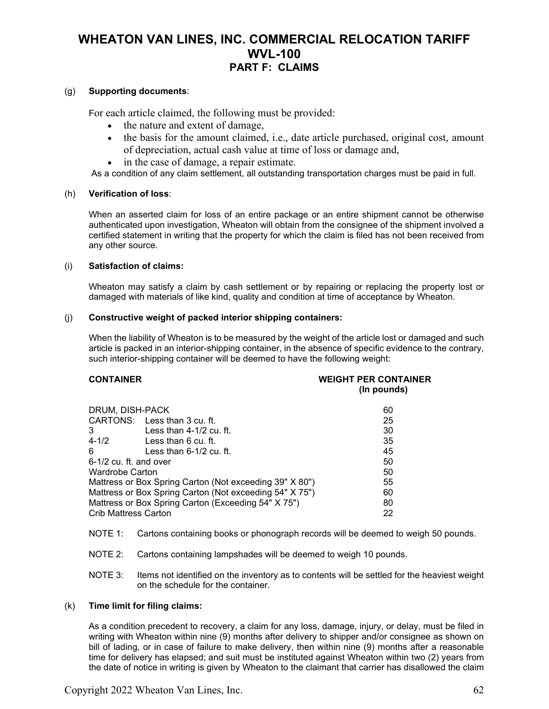#### (g) **Supporting documents**:

For each article claimed, the following must be provided:

- the nature and extent of damage,
- the basis for the amount claimed, i.e., date article purchased, original cost, amount of depreciation, actual cash value at time of loss or damage and,
- in the case of damage, a repair estimate.

As a condition of any claim settlement, all outstanding transportation charges must be paid in full.

#### (h) **Verification of loss**:

When an asserted claim for loss of an entire package or an entire shipment cannot be otherwise authenticated upon investigation, Wheaton will obtain from the consignee of the shipment involved a certified statement in writing that the property for which the claim is filed has not been received from any other source.

#### (i) **Satisfaction of claims:**

Wheaton may satisfy a claim by cash settlement or by repairing or replacing the property lost or damaged with materials of like kind, quality and condition at time of acceptance by Wheaton.

#### (j) **Constructive weight of packed interior shipping containers:**

When the liability of Wheaton is to be measured by the weight of the article lost or damaged and such article is packed in an interior-shipping container, in the absence of specific evidence to the contrary, such interior-shipping container will be deemed to have the following weight:

#### **CONTAINER WEIGHT PER CONTAINER (In pounds)**

| DRUM, DISH-PACK                                         |                              | 60 |
|---------------------------------------------------------|------------------------------|----|
|                                                         | CARTONS: Less than 3 cu. ft. | 25 |
| 3                                                       | Less than 4-1/2 cu. ft.      | 30 |
| $4 - 1/2$                                               | Less than 6 cu. ft.          | 35 |
| 6                                                       | Less than $6-1/2$ cu. ft.    | 45 |
| $6-1/2$ cu. ft. and over                                |                              | 50 |
| <b>Wardrobe Carton</b>                                  |                              | 50 |
| Mattress or Box Spring Carton (Not exceeding 39" X 80") |                              | 55 |
| Mattress or Box Spring Carton (Not exceeding 54" X 75") |                              | 60 |
| Mattress or Box Spring Carton (Exceeding 54" X 75")     |                              | 80 |
| <b>Crib Mattress Carton</b>                             |                              | 22 |

- NOTE 1: Cartons containing books or phonograph records will be deemed to weigh 50 pounds.
- NOTE 2: Cartons containing lampshades will be deemed to weigh 10 pounds.
- NOTE 3: Items not identified on the inventory as to contents will be settled for the heaviest weight on the schedule for the container.

#### (k) **Time limit for filing claims:**

As a condition precedent to recovery, a claim for any loss, damage, injury, or delay, must be filed in writing with Wheaton within nine (9) months after delivery to shipper and/or consignee as shown on bill of lading, or in case of failure to make delivery, then within nine (9) months after a reasonable time for delivery has elapsed; and suit must be instituted against Wheaton within two (2) years from the date of notice in writing is given by Wheaton to the claimant that carrier has disallowed the claim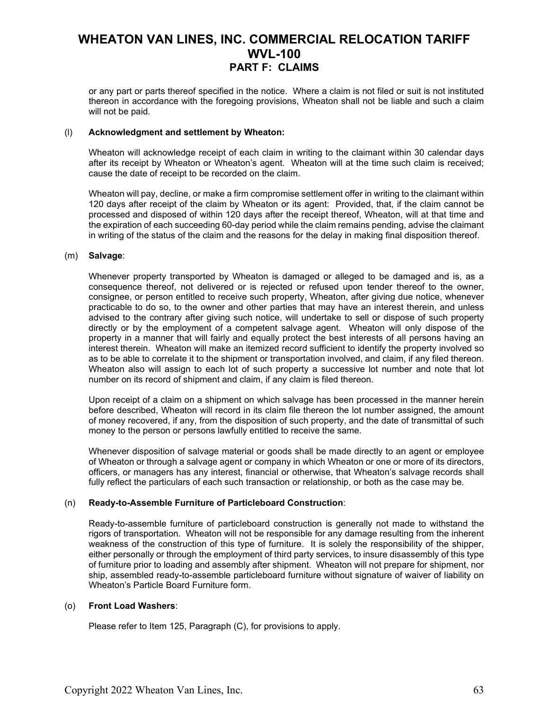or any part or parts thereof specified in the notice. Where a claim is not filed or suit is not instituted thereon in accordance with the foregoing provisions, Wheaton shall not be liable and such a claim will not be paid.

#### (l) **Acknowledgment and settlement by Wheaton:**

Wheaton will acknowledge receipt of each claim in writing to the claimant within 30 calendar days after its receipt by Wheaton or Wheaton's agent. Wheaton will at the time such claim is received; cause the date of receipt to be recorded on the claim.

Wheaton will pay, decline, or make a firm compromise settlement offer in writing to the claimant within 120 days after receipt of the claim by Wheaton or its agent: Provided, that, if the claim cannot be processed and disposed of within 120 days after the receipt thereof, Wheaton, will at that time and the expiration of each succeeding 60-day period while the claim remains pending, advise the claimant in writing of the status of the claim and the reasons for the delay in making final disposition thereof.

#### (m) **Salvage**:

Whenever property transported by Wheaton is damaged or alleged to be damaged and is, as a consequence thereof, not delivered or is rejected or refused upon tender thereof to the owner, consignee, or person entitled to receive such property, Wheaton, after giving due notice, whenever practicable to do so, to the owner and other parties that may have an interest therein, and unless advised to the contrary after giving such notice, will undertake to sell or dispose of such property directly or by the employment of a competent salvage agent. Wheaton will only dispose of the property in a manner that will fairly and equally protect the best interests of all persons having an interest therein. Wheaton will make an itemized record sufficient to identify the property involved so as to be able to correlate it to the shipment or transportation involved, and claim, if any filed thereon. Wheaton also will assign to each lot of such property a successive lot number and note that lot number on its record of shipment and claim, if any claim is filed thereon.

Upon receipt of a claim on a shipment on which salvage has been processed in the manner herein before described, Wheaton will record in its claim file thereon the lot number assigned, the amount of money recovered, if any, from the disposition of such property, and the date of transmittal of such money to the person or persons lawfully entitled to receive the same.

Whenever disposition of salvage material or goods shall be made directly to an agent or employee of Wheaton or through a salvage agent or company in which Wheaton or one or more of its directors, officers, or managers has any interest, financial or otherwise, that Wheaton's salvage records shall fully reflect the particulars of each such transaction or relationship, or both as the case may be.

#### (n) **Ready-to-Assemble Furniture of Particleboard Construction**:

Ready-to-assemble furniture of particleboard construction is generally not made to withstand the rigors of transportation. Wheaton will not be responsible for any damage resulting from the inherent weakness of the construction of this type of furniture. It is solely the responsibility of the shipper, either personally or through the employment of third party services, to insure disassembly of this type of furniture prior to loading and assembly after shipment. Wheaton will not prepare for shipment, nor ship, assembled ready-to-assemble particleboard furniture without signature of waiver of liability on Wheaton's Particle Board Furniture form.

#### (o) **Front Load Washers**:

Please refer to Item 125, Paragraph (C), for provisions to apply.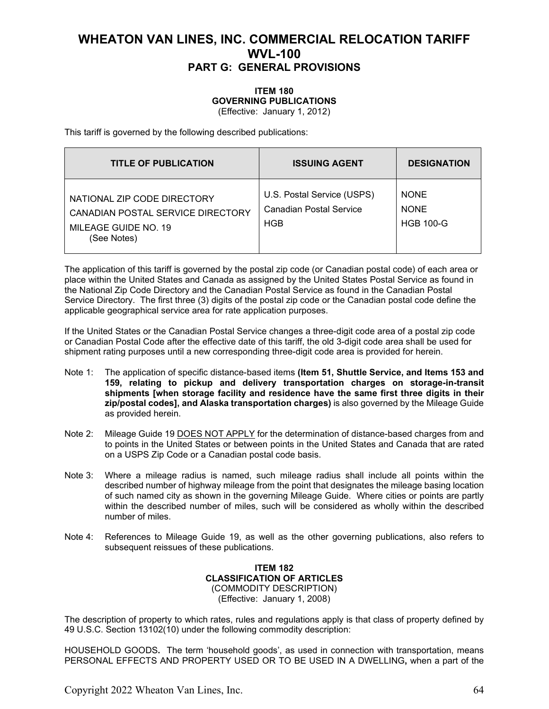#### **ITEM 180 GOVERNING PUBLICATIONS** (Effective: January 1, 2012)

This tariff is governed by the following described publications:

| <b>TITLE OF PUBLICATION</b>                                                                             | <b>ISSUING AGENT</b>                                         | <b>DESIGNATION</b>                             |
|---------------------------------------------------------------------------------------------------------|--------------------------------------------------------------|------------------------------------------------|
| NATIONAL ZIP CODE DIRECTORY<br>CANADIAN POSTAL SERVICE DIRECTORY<br>MILEAGE GUIDE NO. 19<br>(See Notes) | U.S. Postal Service (USPS)<br>Canadian Postal Service<br>HGB | <b>NONE</b><br><b>NONE</b><br><b>HGB 100-G</b> |

The application of this tariff is governed by the postal zip code (or Canadian postal code) of each area or place within the United States and Canada as assigned by the United States Postal Service as found in the National Zip Code Directory and the Canadian Postal Service as found in the Canadian Postal Service Directory. The first three (3) digits of the postal zip code or the Canadian postal code define the applicable geographical service area for rate application purposes.

If the United States or the Canadian Postal Service changes a three-digit code area of a postal zip code or Canadian Postal Code after the effective date of this tariff, the old 3-digit code area shall be used for shipment rating purposes until a new corresponding three-digit code area is provided for herein.

- Note 1: The application of specific distance-based items **(Item 51, Shuttle Service, and Items 153 and 159, relating to pickup and delivery transportation charges on storage-in-transit shipments [when storage facility and residence have the same first three digits in their zip/postal codes], and Alaska transportation charges)** is also governed by the Mileage Guide as provided herein.
- Note 2: Mileage Guide 19 DOES NOT APPLY for the determination of distance-based charges from and to points in the United States or between points in the United States and Canada that are rated on a USPS Zip Code or a Canadian postal code basis.
- Note 3: Where a mileage radius is named, such mileage radius shall include all points within the described number of highway mileage from the point that designates the mileage basing location of such named city as shown in the governing Mileage Guide. Where cities or points are partly within the described number of miles, such will be considered as wholly within the described number of miles.
- Note 4: References to Mileage Guide 19, as well as the other governing publications, also refers to subsequent reissues of these publications.

#### **ITEM 182 CLASSIFICATION OF ARTICLES** (COMMODITY DESCRIPTION) (Effective: January 1, 2008)

The description of property to which rates, rules and regulations apply is that class of property defined by 49 U.S.C. Section 13102(10) under the following commodity description:

HOUSEHOLD GOODS**.** The term 'household goods', as used in connection with transportation, means PERSONAL EFFECTS AND PROPERTY USED OR TO BE USED IN A DWELLING**,** when a part of the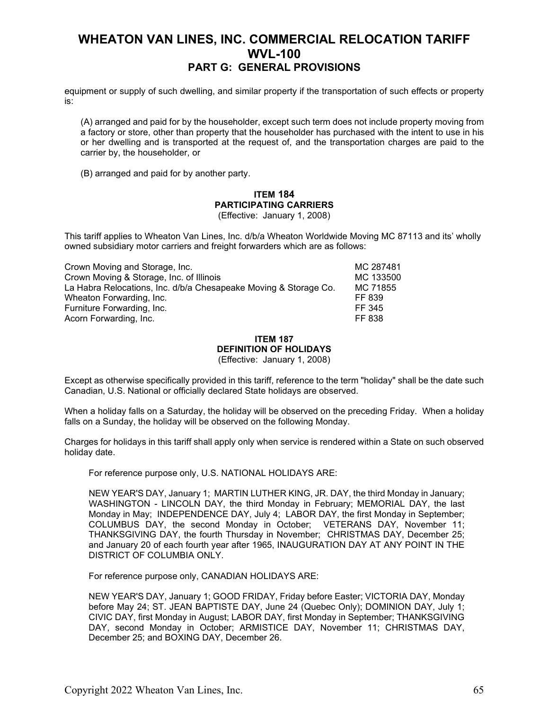equipment or supply of such dwelling, and similar property if the transportation of such effects or property is:

(A) arranged and paid for by the householder, except such term does not include property moving from a factory or store, other than property that the householder has purchased with the intent to use in his or her dwelling and is transported at the request of, and the transportation charges are paid to the carrier by, the householder, or

(B) arranged and paid for by another party.

### **ITEM 184 PARTICIPATING CARRIERS**

(Effective: January 1, 2008)

This tariff applies to Wheaton Van Lines, Inc. d/b/a Wheaton Worldwide Moving MC 87113 and its' wholly owned subsidiary motor carriers and freight forwarders which are as follows:

| Crown Moving and Storage, Inc.                                   | MC 287481 |
|------------------------------------------------------------------|-----------|
| Crown Moving & Storage, Inc. of Illinois                         | MC 133500 |
| La Habra Relocations, Inc. d/b/a Chesapeake Moving & Storage Co. | MC 71855  |
| Wheaton Forwarding, Inc.                                         | FF 839    |
| Furniture Forwarding, Inc.                                       | FF 345    |
| Acorn Forwarding, Inc.                                           | FF 838    |

#### **ITEM 187 DEFINITION OF HOLIDAYS** (Effective: January 1, 2008)

Except as otherwise specifically provided in this tariff, reference to the term "holiday" shall be the date such Canadian, U.S. National or officially declared State holidays are observed.

When a holiday falls on a Saturday, the holiday will be observed on the preceding Friday. When a holiday falls on a Sunday, the holiday will be observed on the following Monday.

Charges for holidays in this tariff shall apply only when service is rendered within a State on such observed holiday date.

For reference purpose only, U.S. NATIONAL HOLIDAYS ARE:

NEW YEAR'S DAY, January 1; MARTIN LUTHER KING, JR. DAY, the third Monday in January; WASHINGTON - LINCOLN DAY, the third Monday in February; MEMORIAL DAY, the last Monday in May; INDEPENDENCE DAY, July 4; LABOR DAY, the first Monday in September; COLUMBUS DAY, the second Monday in October; VETERANS DAY, November 11; THANKSGIVING DAY, the fourth Thursday in November; CHRISTMAS DAY, December 25; and January 20 of each fourth year after 1965, INAUGURATION DAY AT ANY POINT IN THE DISTRICT OF COLUMBIA ONLY.

For reference purpose only, CANADIAN HOLIDAYS ARE:

NEW YEAR'S DAY, January 1; GOOD FRIDAY, Friday before Easter; VICTORIA DAY, Monday before May 24; ST. JEAN BAPTISTE DAY, June 24 (Quebec Only); DOMINION DAY, July 1; CIVIC DAY, first Monday in August; LABOR DAY, first Monday in September; THANKSGIVING DAY, second Monday in October; ARMISTICE DAY, November 11; CHRISTMAS DAY, December 25; and BOXING DAY, December 26.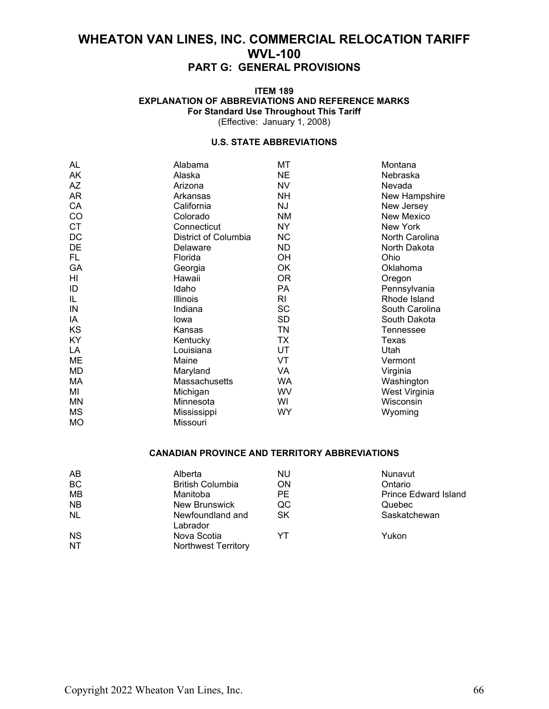#### **ITEM 189 EXPLANATION OF ABBREVIATIONS AND REFERENCE MARKS For Standard Use Throughout This Tariff** (Effective: January 1, 2008)

#### **U.S. STATE ABBREVIATIONS**

| AL        | Alabama              | МT        | Montana        |
|-----------|----------------------|-----------|----------------|
| AK        | Alaska               | <b>NE</b> | Nebraska       |
| AZ        | Arizona              | <b>NV</b> | Nevada         |
| AR        | Arkansas             | <b>NH</b> | New Hampshire  |
| CA        | California           | ΝJ        | New Jersey     |
| CO        | Colorado             | <b>NM</b> | New Mexico     |
| <b>CT</b> | Connecticut          | NY.       | New York       |
| DC        | District of Columbia | <b>NC</b> | North Carolina |
| DE        | Delaware             | <b>ND</b> | North Dakota   |
| FL.       | Florida              | OH        | Ohio           |
| GA        | Georgia              | OK        | Oklahoma       |
| HI        | Hawaii               | 0R        | Oregon         |
| ID        | Idaho                | PA        | Pennsylvania   |
| IL        | Illinois             | RI        | Rhode Island   |
| IN        | Indiana              | <b>SC</b> | South Carolina |
| IA        | lowa                 | <b>SD</b> | South Dakota   |
| KS        | Kansas               | TN        | Tennessee      |
| <b>KY</b> | Kentucky             | <b>TX</b> | Texas          |
| LA        | Louisiana            | UT        | Utah           |
| ME        | Maine                | VT        | Vermont        |
| <b>MD</b> | Maryland             | VA        | Virginia       |
| МA        | Massachusetts        | <b>WA</b> | Washington     |
| MI        | Michigan             | WV        | West Virginia  |
| MN        | Minnesota            | WI        | Wisconsin      |
| <b>MS</b> | Mississippi          | <b>WY</b> | Wyoming        |
| <b>MO</b> | Missouri             |           |                |

#### **CANADIAN PROVINCE AND TERRITORY ABBREVIATIONS**

| AB        | Alberta                      | NU        | Nunavut                     |
|-----------|------------------------------|-----------|-----------------------------|
| <b>BC</b> | <b>British Columbia</b>      | <b>ON</b> | Ontario                     |
| <b>MB</b> | Manitoba                     | <b>PE</b> | <b>Prince Edward Island</b> |
| <b>NB</b> | New Brunswick                | QC        | Quebec                      |
| <b>NL</b> | Newfoundland and<br>Labrador | <b>SK</b> | Saskatchewan                |
| <b>NS</b> | Nova Scotia                  | YT        | Yukon                       |
| <b>NT</b> | <b>Northwest Territory</b>   |           |                             |